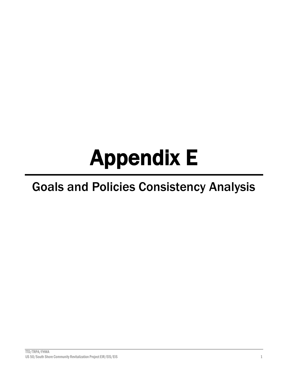# Appendix E

# Goals and Policies Consistency Analysis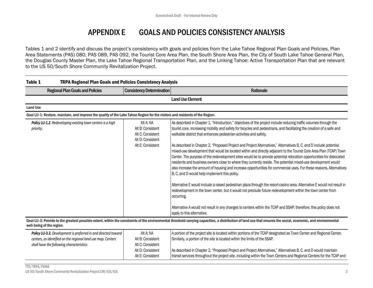# APPENDIX E GOALS AND POLICIES CONSISTENCY ANALYSIS

Tables 1 and 2 identify and discuss the project's consistency with goals and policies from the Lake Tahoe Regional Plan Goals and Policies, Plan Area Statements (PAS) 080, PAS 089, PAS 092, the Tourist Core Area Plan, the South Shore Area Plan, the City of South Lake Tahoe General Plan, the Douglas County Master Plan, the Lake Tahoe Regional Transportation Plan, and the Linking Tahoe: Active Transportation Plan that are relevant to the US 50/South Shore Community Revitalization Project.

| Table 1<br><b>TRPA Regional Plan Goals and Policies Consistency Analysis</b>                                                                                                |                                                                                               |                                                                                                                                                                                                                                                                                                                                                                                                                                                                                                                                                                                                                                                                                                                                                                                                                                                                                                                                                                                                                                                                                                                                                                                                                                                                                                                                                                                            |
|-----------------------------------------------------------------------------------------------------------------------------------------------------------------------------|-----------------------------------------------------------------------------------------------|--------------------------------------------------------------------------------------------------------------------------------------------------------------------------------------------------------------------------------------------------------------------------------------------------------------------------------------------------------------------------------------------------------------------------------------------------------------------------------------------------------------------------------------------------------------------------------------------------------------------------------------------------------------------------------------------------------------------------------------------------------------------------------------------------------------------------------------------------------------------------------------------------------------------------------------------------------------------------------------------------------------------------------------------------------------------------------------------------------------------------------------------------------------------------------------------------------------------------------------------------------------------------------------------------------------------------------------------------------------------------------------------|
| <b>Regional Plan Goals and Policies</b>                                                                                                                                     | <b>Consistency Determination</b>                                                              | Rationale                                                                                                                                                                                                                                                                                                                                                                                                                                                                                                                                                                                                                                                                                                                                                                                                                                                                                                                                                                                                                                                                                                                                                                                                                                                                                                                                                                                  |
|                                                                                                                                                                             |                                                                                               | <b>Land Use Element</b>                                                                                                                                                                                                                                                                                                                                                                                                                                                                                                                                                                                                                                                                                                                                                                                                                                                                                                                                                                                                                                                                                                                                                                                                                                                                                                                                                                    |
| <b>Land Use</b>                                                                                                                                                             |                                                                                               |                                                                                                                                                                                                                                                                                                                                                                                                                                                                                                                                                                                                                                                                                                                                                                                                                                                                                                                                                                                                                                                                                                                                                                                                                                                                                                                                                                                            |
| Goal LU-1: Restore, maintain, and improve the quality of the Lake Tahoe Region for the visitors and residents of the Region.                                                |                                                                                               |                                                                                                                                                                                                                                                                                                                                                                                                                                                                                                                                                                                                                                                                                                                                                                                                                                                                                                                                                                                                                                                                                                                                                                                                                                                                                                                                                                                            |
| Policy LU-1.2. Redeveloping existing town centers is a high<br>priority.                                                                                                    | Alt A: NA<br>Alt B: Consistent<br>Alt C: Consistent<br>Alt D: Consistent<br>Alt E: Consistent | As described in Chapter 1, "Introduction," objectives of the project include reducing traffic volumes through the<br>tourist core, increasing mobility and safety for bicycles and pedestrians, and facilitating the creation of a safe and<br>walkable district that enhances pedestrian activities and safety.<br>As described in Chapter 2, "Proposed Project and Project Alternatives," Alternatives B, C, and D include potential<br>mixed-use development that would be located within and directly adjacent to the Tourist Core Area Plan (TCAP) Town<br>Center. The purpose of the redevelopment sites would be to provide potential relocation opportunities for dislocated<br>residents and business owners close to where they currently reside. The potential mixed-use development would<br>also increase the amount of housing and increase opportunities for commercial uses. For these reasons, Alternatives<br>B, C, and D would help implement this policy.<br>Alternative E would include a raised pedestrian plaza through the resort-casino area. Alternative E would not result in<br>redevelopment in the town center, but it would not preclude future redevelopment within the town center from<br>occurring.<br>Alternative A would not result in any changes to centers within the TCAP and SSAP; therefore, this policy does not<br>apply to this alternative. |
| well-being of the region.                                                                                                                                                   |                                                                                               | Goal LU-3: Provide to the greatest possible extent, within the constraints of the environmental threshold carrying capacities, a distribution of land use that ensures the social, economic, and environmental                                                                                                                                                                                                                                                                                                                                                                                                                                                                                                                                                                                                                                                                                                                                                                                                                                                                                                                                                                                                                                                                                                                                                                             |
| Policy LU-3.3. Development is preferred in and directed toward<br>centers, as identified on the regional land use map. Centers<br>shall have the following characteristics: | Alt A: NA<br>Alt B: Consistent<br>Alt C: Consistent<br>Alt D: Consistent                      | A portion of the project site is located within portions of the TCAP designated as Town Center and Regional Center.<br>Similarly, a portion of the site is located within the limits of the SSAP.<br>As described in Chapter 2, "Proposed Project and Project Alternatives," Alternatives B, C, and D would maintain                                                                                                                                                                                                                                                                                                                                                                                                                                                                                                                                                                                                                                                                                                                                                                                                                                                                                                                                                                                                                                                                       |

transit services throughout the project site, including within the Town Centers and Regional Centers for the TCAP and

Alt E: Consistent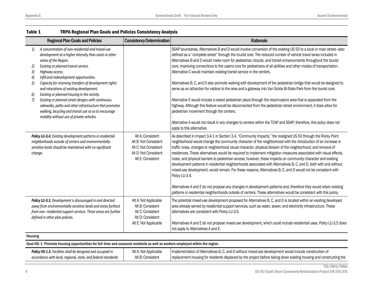| <b>Regional Plan Goals and Policies</b>                                                                                                                                                                                                                                                                                                                                                                                                                                                                                                                                                                                                                         | <b>Consistency Determination</b>                                                                                  | Rationale                                                                                                                                                                                                                                                                                                                                                                                                                                                                                                                                                                                                                                                                                                                                                                                                                                                                                                                                                                                                                                                                                                                                                                                                                              |  |
|-----------------------------------------------------------------------------------------------------------------------------------------------------------------------------------------------------------------------------------------------------------------------------------------------------------------------------------------------------------------------------------------------------------------------------------------------------------------------------------------------------------------------------------------------------------------------------------------------------------------------------------------------------------------|-------------------------------------------------------------------------------------------------------------------|----------------------------------------------------------------------------------------------------------------------------------------------------------------------------------------------------------------------------------------------------------------------------------------------------------------------------------------------------------------------------------------------------------------------------------------------------------------------------------------------------------------------------------------------------------------------------------------------------------------------------------------------------------------------------------------------------------------------------------------------------------------------------------------------------------------------------------------------------------------------------------------------------------------------------------------------------------------------------------------------------------------------------------------------------------------------------------------------------------------------------------------------------------------------------------------------------------------------------------------|--|
| A concentration of non-residential and mixed-use<br>1)<br>development at a higher intensity than exists in other<br>areas of the Region.<br>2)<br>Existing or planned transit service.<br>3)<br>Highway access.<br>Infill and redevelopment opportunities.<br>4)<br>5)<br>Capacity for receiving transfers of development rights<br>and relocations of existing development.<br>6)<br>Existing or planned housing in the vicinity.<br>7)<br>Existing or planned street designs with continuous<br>sidewalks, paths and other infrastructure that promotes<br>walking, bicycling and transit use so as to encourage<br>mobility without use of private vehicles. |                                                                                                                   | SSAP boundaries. Alternatives B and D would involve conversion of the existing US 50 to a local or main street-also<br>defined as a "complete street" through the tourist core. The reduced number of vehicle travel lanes included in<br>Alternatives B and D would make room for pedestrian, bicycle, and transit enhancements throughout the tourist<br>core, improving connections to the casino core for pedestrians of all abilities and other modes of transportation.<br>Alternative C would maintain existing transit service in the centers.<br>Alternatives B, C, and D also promote walking with development of the pedestrian bridge that would be designed to<br>serve as an attraction for visitors to the area and a gateway into Van Sickle Bi-State Park from the tourist core.<br>Alternative E would include a raised pedestrian plaza through the resort-casino area that is separated from the<br>highway. Although this feature would be disconnected from the pedestrian street environment, it does allow for<br>pedestrian movement through the centers.<br>Alternative A would not result in any changes to centers within the TCAP and SSAP; therefore, this policy does not<br>apply to this alternative. |  |
| Policy LU-3.4. Existing development patterns in residential<br>neighborhoods outside of centers and environmentally-<br>sensitive lands should be maintained with no significant<br>change.                                                                                                                                                                                                                                                                                                                                                                                                                                                                     | Alt A: Consistent<br>Alt B: Not Consistent<br>Alt C: Not Consistent<br>Alt D: Not Consistent<br>Alt E: Consistent | As described in Impact 3.4-1 in Section 3.4, "Community Impacts," the realigned US 50 through the Rocky Point<br>neighborhood would change the community character of the neighborhood with the introduction of an increase in<br>traffic noise, changes to neighborhood visual character, physical division of the neighborhood, and removal of<br>residences. These alternatives would be required to implement mitigation measures associated with visual effects,<br>noise, and physical barriers to pedestrian access; however, these impacts on community character and existing<br>development patterns in residential neighborhoods associated with Alternatives B, C, and D, both with and without<br>mixed-use development, would remain. For these reasons, Alternatives B, C, and D would not be consistent with<br>Policy LU-3.4.<br>Alternatives A and E do not propose any changes in development patterns and, therefore they would retain existing<br>patterns in residential neighborhoods outside of centers. These alternatives would be consistent with this policy.                                                                                                                                              |  |
| Policy LU-3.5. Development is discouraged in and directed<br>away from environmentally-sensitive lands and areas furthest<br>from non- residential support services. These areas are further<br>defined in other plan policies.                                                                                                                                                                                                                                                                                                                                                                                                                                 | Alt A: Not Applicable<br>Alt B: Consistent<br>Alt C: Consistent<br>Alt D: Consistent<br>Alt E: Not Applicable     | The potential mixed-use development proposed for Alternatives B, C, and D is located within an existing developed<br>area already served by residential support services, such as water, sewer, and electricity infrastructure. These<br>alternatives are consistent with Policy LU-3.5.<br>Alternatives A and E do not propose mixed-use development, which could include residential uses. Policy LU-3.5 does<br>not apply to Alternatives A and E.                                                                                                                                                                                                                                                                                                                                                                                                                                                                                                                                                                                                                                                                                                                                                                                  |  |
| Housing                                                                                                                                                                                                                                                                                                                                                                                                                                                                                                                                                                                                                                                         |                                                                                                                   |                                                                                                                                                                                                                                                                                                                                                                                                                                                                                                                                                                                                                                                                                                                                                                                                                                                                                                                                                                                                                                                                                                                                                                                                                                        |  |
| Goal HS-1: Promote housing opportunities for full-time and seasonal residents as well as workers employed within the region.                                                                                                                                                                                                                                                                                                                                                                                                                                                                                                                                    |                                                                                                                   |                                                                                                                                                                                                                                                                                                                                                                                                                                                                                                                                                                                                                                                                                                                                                                                                                                                                                                                                                                                                                                                                                                                                                                                                                                        |  |

Alt A: Not Applicable Alt B: Consistent

# Table 1 TRPA Regional Plan Goals and Policies Consistency Analysis

| /FHWA<br>TTD/TRPA/                                             |  |
|----------------------------------------------------------------|--|
| US 50/South Shore Community Revitalization Project EIR/EIS/EIS |  |

Implementation of Alternatives B, C, and D without mixed-use development would include construction of

replacement housing for residents displaced by the project before taking down existing housing and constructing the

*Policy HS-1.3. Facilities shall be designed and occupied in accordance with local, regional, state, and federal standards*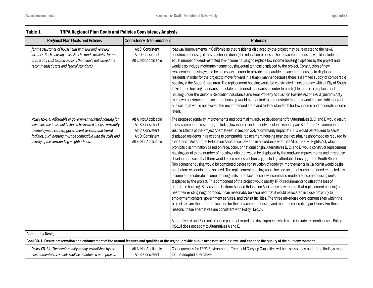| <b>Regional Plan Goals and Policies</b>                                                                                                                                                                                                                                                               | <b>Consistency Determination</b>                                                                              | Rationale                                                                                                                                                                                                                                                                                                                                                                                                                                                                                                                                                                                                                                                                                                                                                                                                                                                                                                                                                                                                                                                                                                                                                                                                                                                                                                                                                                                                                                                                                                                                                                                                                                                                                                                                                                                                                                                                                                                                                                                                                                                                                                                                             |  |
|-------------------------------------------------------------------------------------------------------------------------------------------------------------------------------------------------------------------------------------------------------------------------------------------------------|---------------------------------------------------------------------------------------------------------------|-------------------------------------------------------------------------------------------------------------------------------------------------------------------------------------------------------------------------------------------------------------------------------------------------------------------------------------------------------------------------------------------------------------------------------------------------------------------------------------------------------------------------------------------------------------------------------------------------------------------------------------------------------------------------------------------------------------------------------------------------------------------------------------------------------------------------------------------------------------------------------------------------------------------------------------------------------------------------------------------------------------------------------------------------------------------------------------------------------------------------------------------------------------------------------------------------------------------------------------------------------------------------------------------------------------------------------------------------------------------------------------------------------------------------------------------------------------------------------------------------------------------------------------------------------------------------------------------------------------------------------------------------------------------------------------------------------------------------------------------------------------------------------------------------------------------------------------------------------------------------------------------------------------------------------------------------------------------------------------------------------------------------------------------------------------------------------------------------------------------------------------------------------|--|
| for the assistance of households with low and very low<br>incomes. Such housing units shall be made available for rental<br>or sale at a cost to such persons that would not exceed the<br>recommended state and federal standards.                                                                   | Alt C: Consistent<br>Alt D: Consistent<br>Alt E: Not Applicable                                               | roadway improvements in California so that residents displaced by the project may be relocated to the newly<br>constructed housing if they so choose during the relocation process. The replacement housing would include an<br>equal number of deed-restricted low-income housing to replace low income housing displaced by the project and<br>would also include moderate-income housing equal to those displaced by the project. Construction of new<br>replacement housing would be necessary in order to provide comparable replacement housing to displaced<br>residents in order for the project to move forward in a timely manner because there is a limited supply of comparable<br>housing in the South Shore area. The replacement housing would be constructed in accordance with all City of South<br>Lake Tahoe building standards and state and federal standards. In order to be eligible for use as replacement<br>housing under the Uniform Relocation Assistance and Real Property Acquisition Policies Act of 1970 (Uniform Act),<br>the newly constructed replacement housing would be required to demonstrate that they would be available for rent<br>at a cost that would not exceed the recommended state and federal standards for low income and moderate income<br>levels.                                                                                                                                                                                                                                                                                                                                                                                                                                                                                                                                                                                                                                                                                                                                                                                                                                              |  |
| Policy HS-1.4. Affordable or government assisted housing for<br>lower income households should be located in close proximity<br>to employment centers, government services, and transit<br>facilities. Such housing must be compatible with the scale and<br>density of the surrounding neighborhood. | Alt A: Not Applicable<br>Alt B: Consistent<br>Alt C: Consistent<br>Alt D: Consistent<br>Alt E: Not Applicable | The proposed roadway improvements and potential mixed-use development for Alternatives B, C, and D would result<br>in displacement of residents, including low-income and minority residents (see Impact 3.4-4 and "Environmental<br>Justice Effects of the Project Alternatives" in Section 3.4, "Community Impacts"). TTD would be required to assist<br>displaced residents in relocating to comparable replacement housing near their existing neighborhood as required by<br>the Uniform Act and the Relocation Assistance Law and in accordance with Title VI of the Civil Rights Act, which<br>prohibits discrimination based on race, color, or national origin. Alternatives B, C, and D would construct replacement<br>housing equal to the number of housing units that would be displaced by the roadway improvements and mixed-use<br>development such that there would be no net loss of housing, including affordable housing, in the South Shore.<br>Replacement housing would be completed before construction of roadway improvements in California would begin<br>and before residents are displaced. The replacement housing would include an equal number of deed-restricted low<br>income and moderate income housing units to replace those low income and moderate income housing units<br>displaced by the project. This component of the project would satisfy TRPA requirements to offset the loss of<br>affordable housing. Because the Uniform Act and Relocation Assistance Law require that replacement housing be<br>near their existing neighborhood, it can reasonably be assumed that it would be located in close proximity to<br>employment centers, government services, and transit facilities. The three mixed-use development sites within the<br>project site are the preferred location for the replacement housing and meet these location guidelines. For these<br>reasons, these alternatives are consistent with Policy HS-1.4.<br>Alternatives A and E do not propose potential mixed-use development, which could include residential uses. Policy<br>HS-1.4 does not apply to Alternatives A and E. |  |
| <b>Community Design</b>                                                                                                                                                                                                                                                                               |                                                                                                               |                                                                                                                                                                                                                                                                                                                                                                                                                                                                                                                                                                                                                                                                                                                                                                                                                                                                                                                                                                                                                                                                                                                                                                                                                                                                                                                                                                                                                                                                                                                                                                                                                                                                                                                                                                                                                                                                                                                                                                                                                                                                                                                                                       |  |
| Goal CD-1: Ensure preservation and enhancement of the natural features and qualities of the region, provide public access to scenic views, and enhance the quality of the built environment.                                                                                                          |                                                                                                               |                                                                                                                                                                                                                                                                                                                                                                                                                                                                                                                                                                                                                                                                                                                                                                                                                                                                                                                                                                                                                                                                                                                                                                                                                                                                                                                                                                                                                                                                                                                                                                                                                                                                                                                                                                                                                                                                                                                                                                                                                                                                                                                                                       |  |
| Policy CD-1.1. The scenic quality ratings established by the<br>environmental thresholds shall be maintained or improved.                                                                                                                                                                             | Alt A: Not Applicable<br>Alt B: Consistent                                                                    | Consequences for TRPA Environmental Threshold Carrying Capacities will be discussed as part of the findings made<br>for the adopted alternative.                                                                                                                                                                                                                                                                                                                                                                                                                                                                                                                                                                                                                                                                                                                                                                                                                                                                                                                                                                                                                                                                                                                                                                                                                                                                                                                                                                                                                                                                                                                                                                                                                                                                                                                                                                                                                                                                                                                                                                                                      |  |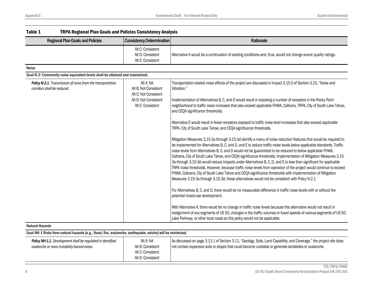| Table 1<br><b>TRPA Regional Plan Goals and Policies Consistency Analysis</b>               |                                                                                                           |                                                                                                                                                                                                                                                                                                                                                                                                                                                                                                                                                                                                                                                                                                                                                                                                                                                                                                                                                                                                                                                                                                                                                                                                                                                                                                                                                                                                                                                                                                                                                                                                                                                                                                                                                                                                                                   |
|--------------------------------------------------------------------------------------------|-----------------------------------------------------------------------------------------------------------|-----------------------------------------------------------------------------------------------------------------------------------------------------------------------------------------------------------------------------------------------------------------------------------------------------------------------------------------------------------------------------------------------------------------------------------------------------------------------------------------------------------------------------------------------------------------------------------------------------------------------------------------------------------------------------------------------------------------------------------------------------------------------------------------------------------------------------------------------------------------------------------------------------------------------------------------------------------------------------------------------------------------------------------------------------------------------------------------------------------------------------------------------------------------------------------------------------------------------------------------------------------------------------------------------------------------------------------------------------------------------------------------------------------------------------------------------------------------------------------------------------------------------------------------------------------------------------------------------------------------------------------------------------------------------------------------------------------------------------------------------------------------------------------------------------------------------------------|
| <b>Regional Plan Goals and Policies</b>                                                    | <b>Consistency Determination</b>                                                                          | Rationale                                                                                                                                                                                                                                                                                                                                                                                                                                                                                                                                                                                                                                                                                                                                                                                                                                                                                                                                                                                                                                                                                                                                                                                                                                                                                                                                                                                                                                                                                                                                                                                                                                                                                                                                                                                                                         |
|                                                                                            | Alt C: Consistent<br>Alt D: Consistent<br>Alt E: Consistent                                               | Alternative A would be a continuation of existing conditions and, thus, would not change scenic quality ratings.                                                                                                                                                                                                                                                                                                                                                                                                                                                                                                                                                                                                                                                                                                                                                                                                                                                                                                                                                                                                                                                                                                                                                                                                                                                                                                                                                                                                                                                                                                                                                                                                                                                                                                                  |
| <b>Noise</b>                                                                               |                                                                                                           |                                                                                                                                                                                                                                                                                                                                                                                                                                                                                                                                                                                                                                                                                                                                                                                                                                                                                                                                                                                                                                                                                                                                                                                                                                                                                                                                                                                                                                                                                                                                                                                                                                                                                                                                                                                                                                   |
| Goal N-2: Community noise equivalent levels shall be attained and maintained.              |                                                                                                           |                                                                                                                                                                                                                                                                                                                                                                                                                                                                                                                                                                                                                                                                                                                                                                                                                                                                                                                                                                                                                                                                                                                                                                                                                                                                                                                                                                                                                                                                                                                                                                                                                                                                                                                                                                                                                                   |
| Policy N-2.1. Transmission of noise from the transportation<br>corridors shall be reduced. | Alt A: NA<br>Alt B: Not Consistent<br>Alt C: Not Consistent<br>Alt D: Not Consistent<br>Alt E: Consistent | Transportation-related noise effects of the project are discussed in Impact 3.15-3 of Section 3.15, "Noise and<br>Vibration."<br>Implementation of Alternatives B, C, and D would result in exposing a number of receptors in the Rocky Point<br>neighborhood to traffic noise increases that also exceed applicable FHWA, Caltrans, TRPA, City of South Lake Tahoe,<br>and CEQA significance thresholds.<br>Alternative E would result in fewer receptors exposed to traffic noise level increases that also exceed applicable<br>TRPA, City of South Lake Tahoe, and CEQA significance thresholds.<br>Mitigation Measures 3.15-3a through 3.15-3d identify a menu of noise reduction features that would be required to<br>be implemented for Alternatives B, C, and D, and E to reduce traffic noise levels below applicable standards. Traffic<br>noise levels from Alternatives B, C, and D would not be guaranteed to be reduced to below applicable FHWA,<br>Caltrans, City of South Lake Tahoe, and CEQA significance thresholds. Implementation of Mitigation Measures 3.15-<br>3a through 3.15-3d would reduce impacts under Alternatives B, C, D, and E to less than significant for applicable<br>TRPA noise thresholds. However, because traffic noise levels from operation of the project would continue to exceed<br>FHWA, Caltrans, City of South Lake Tahoe and CEQA significance thresholds with implementation of Mitigation<br>Measures 3.15-3a through 3.15-3d, these alternatives would not be consistent with Policy N-2.1.<br>For Alternatives B, C, and D, there would be no measurable difference in traffic noise levels with or without the<br>potential mixed-use development.<br>With Alternative A, there would be no change in traffic noise levels because this alternative would not result in |
| <b>Natural Hazards</b>                                                                     |                                                                                                           | realignment of any segments of US 50, changes in the traffic volumes or travel speeds of various segments of US 50,<br>Lake Parkway, or other local roads so this policy would not be applicable.                                                                                                                                                                                                                                                                                                                                                                                                                                                                                                                                                                                                                                                                                                                                                                                                                                                                                                                                                                                                                                                                                                                                                                                                                                                                                                                                                                                                                                                                                                                                                                                                                                 |

# Goal NH-1 Risks from natural hazards (e.g., flood, fire, avalanche, earthquake, seiche) will be minimized.

| <b>Policy NH-1.1.</b> Development shall be regulated in identified | Alt A: NA         | As discussed on page 3.11-1 of Section 3.11, "Geology, Soils, Land Capability, and Coverage," the project site does |
|--------------------------------------------------------------------|-------------------|---------------------------------------------------------------------------------------------------------------------|
| avalanche or mass instability hazard areas.                        | Alt B: Consistent | not contain expansive soils or slopes that could become unstable or generate landslides or avalanche.               |
|                                                                    | Alt C: Consistent |                                                                                                                     |
|                                                                    | Alt D: Consistent |                                                                                                                     |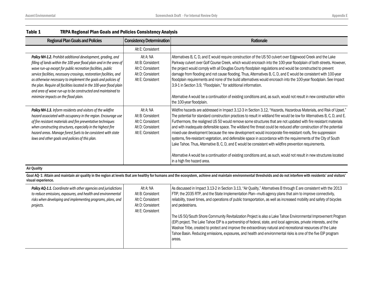| <b>Regional Plan Goals and Policies</b>                                                                                                                                                                                                                                                                                                                                                                                                                                                                                    | <b>Consistency Determination</b>                                                              | Rationale                                                                                                                                                                                                                                                                                                                                                                                                                                                                                                                                                                                                                                                                                                                                                                                                                                                                                                                                                                                          |
|----------------------------------------------------------------------------------------------------------------------------------------------------------------------------------------------------------------------------------------------------------------------------------------------------------------------------------------------------------------------------------------------------------------------------------------------------------------------------------------------------------------------------|-----------------------------------------------------------------------------------------------|----------------------------------------------------------------------------------------------------------------------------------------------------------------------------------------------------------------------------------------------------------------------------------------------------------------------------------------------------------------------------------------------------------------------------------------------------------------------------------------------------------------------------------------------------------------------------------------------------------------------------------------------------------------------------------------------------------------------------------------------------------------------------------------------------------------------------------------------------------------------------------------------------------------------------------------------------------------------------------------------------|
|                                                                                                                                                                                                                                                                                                                                                                                                                                                                                                                            | Alt E: Consistent                                                                             |                                                                                                                                                                                                                                                                                                                                                                                                                                                                                                                                                                                                                                                                                                                                                                                                                                                                                                                                                                                                    |
| Policy NH-1.2. Prohibit additional development, grading, and<br>filling of lands within the 100-year flood plain and in the area of<br>wave run-up except for public recreation facilities, public<br>service facilities, necessary crossings, restoration facilities, and<br>as otherwise necessary to implement the goals and policies of<br>the plan. Require all facilities located in the 100-year flood plain<br>and area of wave run-up to be constructed and maintained to<br>minimize impacts on the flood plain. | Alt A: NA<br>Alt B: Consistent<br>Alt C: Consistent<br>Alt D: Consistent<br>Alt E: Consistent | Alternatives B, C, D, and E would require construction of the US 50 culvert over Edgewood Creek and the Lake<br>Parkway culvert over Golf Course Creek, which would encroach into the 100-year floodplain of both streets. However,<br>the project would comply with all Douglas County floodplain regulations and would be constructed to prevent<br>damage from flooding and not cause flooding. Thus, Alternatives B, C, D, and E would be consistent with 100-year<br>floodplain requirements and none of the build alternatives would encroach into the 100-year floodplain. See Impact<br>3.9-1 in Section 3.9, "Floodplain," for additional information.<br>Alternative A would be a continuation of existing conditions and, as such, would not result in new construction within<br>the 100-year floodplain.                                                                                                                                                                              |
| Policy NH-1.3. Inform residents and visitors of the wildfire<br>hazard associated with occupancy in the region. Encourage use<br>of fire resistant materials and fire preventative techniques<br>when constructing structures, especially in the highest fire<br>hazard areas. Manage forest fuels to be consistent with state<br>laws and other goals and policies of this plan.                                                                                                                                          | Alt A: NA<br>Alt B: Consistent<br>Alt C: Consistent<br>Alt D: Consistent<br>Alt E: Consistent | Wildfire hazards are addressed in Impact 3.12-3 in Section 3.12, "Hazards, Hazardous Materials, and Risk of Upset."<br>The potential for standard construction practices to result in wildland fire would be low for Alternatives B, C, D, and E.<br>Furthermore, the realigned US 50 would remove some structures that are not updated with fire resistant materials<br>and with inadequate defensible space. The wildland fire threat could be reduced after construction of the potential<br>mixed-use development because the new development would incorporate fire-resistant roofs, fire suppression<br>systems, fire-resistant vegetation, and defensible space in accordance with the requirements of the City of South<br>Lake Tahoe. Thus, Alternative B, C, D, and E would be consistent with wildfire prevention requirements.<br>Alternative A would be a continuation of existing conditions and, as such, would not result in new structures located<br>in a high fire hazard area. |

### Air Quality

Goal AQ-1: Attain and maintain air quality in the region at levels that are healthy for humans and the ecosystem, achieve and maintain environmental thresholds and do not interfere with residents' and visitors' visual experience.

| <b>Policy AQ-1.1.</b> Coordinate with other agencies and jurisdictions<br>to reduce emissions, exposures, and health and environmental<br>risks when developing and implementing programs, plans, and<br>projects. | Alt A: NA<br>Alt B: Consistent<br>Alt C: Consistent<br>Alt D: Consistent<br>Alt E: Consistent | As discussed in Impact 3.13-2 in Section 3.13, "Air Quality," Alternatives B through E are consistent with the 2013<br>FTIP, the 2035 RTP, and the State Implementation Plan-multi-agency plans that aim to improve connectivity,<br>reliability, travel times, and operations of public transportation, as well as increased mobility and safety of bicycles<br>and pedestrians.<br>The US 50/South Shore Community Revitalization Project is also a Lake Tahoe Environmental Improvement Program<br>(EIP) project. The Lake Tahoe EIP is a partnership of federal, state, and local agencies, private interests, and the<br>Washoe Tribe, created to protect and improve the extraordinary natural and recreational resources of the Lake<br>Tahoe Basin. Reducing emissions, exposures, and health and environmental risks is one of the five EIP program<br>areas. |
|--------------------------------------------------------------------------------------------------------------------------------------------------------------------------------------------------------------------|-----------------------------------------------------------------------------------------------|------------------------------------------------------------------------------------------------------------------------------------------------------------------------------------------------------------------------------------------------------------------------------------------------------------------------------------------------------------------------------------------------------------------------------------------------------------------------------------------------------------------------------------------------------------------------------------------------------------------------------------------------------------------------------------------------------------------------------------------------------------------------------------------------------------------------------------------------------------------------|
|--------------------------------------------------------------------------------------------------------------------------------------------------------------------------------------------------------------------|-----------------------------------------------------------------------------------------------|------------------------------------------------------------------------------------------------------------------------------------------------------------------------------------------------------------------------------------------------------------------------------------------------------------------------------------------------------------------------------------------------------------------------------------------------------------------------------------------------------------------------------------------------------------------------------------------------------------------------------------------------------------------------------------------------------------------------------------------------------------------------------------------------------------------------------------------------------------------------|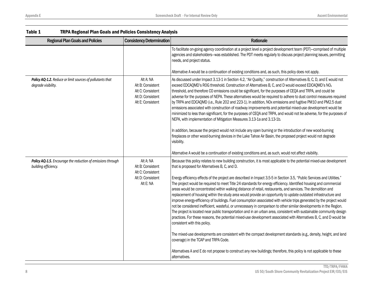| Table 1<br><b>TRPA Regional Plan Goals and Policies Consistency Analysis</b>        |                                                                                               |                                                                                                                                                                                                                                                                                                                                                                                                                                                                                                                                                                                                                                                                                                                                                                                                                                                                                                                                                                                                                                                                                                                                                                                                                                                                                                                                                                                                                                                                                                  |
|-------------------------------------------------------------------------------------|-----------------------------------------------------------------------------------------------|--------------------------------------------------------------------------------------------------------------------------------------------------------------------------------------------------------------------------------------------------------------------------------------------------------------------------------------------------------------------------------------------------------------------------------------------------------------------------------------------------------------------------------------------------------------------------------------------------------------------------------------------------------------------------------------------------------------------------------------------------------------------------------------------------------------------------------------------------------------------------------------------------------------------------------------------------------------------------------------------------------------------------------------------------------------------------------------------------------------------------------------------------------------------------------------------------------------------------------------------------------------------------------------------------------------------------------------------------------------------------------------------------------------------------------------------------------------------------------------------------|
| <b>Regional Plan Goals and Policies</b>                                             | <b>Consistency Determination</b>                                                              | Rationale                                                                                                                                                                                                                                                                                                                                                                                                                                                                                                                                                                                                                                                                                                                                                                                                                                                                                                                                                                                                                                                                                                                                                                                                                                                                                                                                                                                                                                                                                        |
|                                                                                     |                                                                                               | To facilitate on-going agency coordination at a project level a project development team (PDT)-comprised of multiple<br>agencies and stakeholders-was established. The PDT meets regularly to discuss project planning issues, permitting<br>needs, and project status.                                                                                                                                                                                                                                                                                                                                                                                                                                                                                                                                                                                                                                                                                                                                                                                                                                                                                                                                                                                                                                                                                                                                                                                                                          |
|                                                                                     |                                                                                               | Alternative A would be a continuation of existing conditions and, as such, this policy does not apply.                                                                                                                                                                                                                                                                                                                                                                                                                                                                                                                                                                                                                                                                                                                                                                                                                                                                                                                                                                                                                                                                                                                                                                                                                                                                                                                                                                                           |
| Policy AQ-1.2. Reduce or limit sources of pollutants that<br>degrade visibility.    | Alt A: NA<br>Alt B: Consistent<br>Alt C: Consistent<br>Alt D: Consistent<br>Alt E: Consistent | As discussed under Impact 3.13-1 in Section 4.2, "Air Quality," construction of Alternatives B, C, D, and E would not<br>exceed EDCAQMD's ROG threshold. Construction of Alternatives B, C, and D would exceed EDCAQMD's NO <sub>x</sub><br>threshold, and therefore CO emissions could be significant, for the purposes of CEQA and TRPA, and could be<br>adverse for the purposes of NEPA. These alternatives would be required to adhere to dust control measures required<br>by TRPA and EDCAQMD (i.e., Rule 202 and 223-1). In addition, NOx emissions and fugitive PM10 and PM2.5 dust<br>emissions associated with construction of roadway improvements and potential mixed-use development would be<br>minimized to less than significant, for the purposes of CEQA and TRPA, and would not be adverse, for the purposes of<br>NEPA, with implementation of Mitigation Measures 3.13-1a and 3.13-1b.<br>In addition, because the project would not include any open burning or the introduction of new wood-burning<br>fireplaces or other wood-burning devices in the Lake Tahoe Air Basin, the proposed project would not degrade<br>visibility.                                                                                                                                                                                                                                                                                                                                       |
|                                                                                     |                                                                                               | Alternative A would be a continuation of existing conditions and, as such, would not affect visibility.                                                                                                                                                                                                                                                                                                                                                                                                                                                                                                                                                                                                                                                                                                                                                                                                                                                                                                                                                                                                                                                                                                                                                                                                                                                                                                                                                                                          |
| Policy AQ-1.5. Encourage the reduction of emissions through<br>building efficiency. | Alt A: NA<br>Alt B: Consistent<br>Alt C: Consistent<br>Alt D: Consistent<br>Alt E: NA         | Because this policy relates to new building construction, it is most applicable to the potential mixed-use development<br>that is proposed for Alternatives B, C, and D.<br>Energy efficiency effects of the project are described in Impact 3.5-5 in Section 3.5, "Public Services and Utilities."<br>The project would be required to meet Title 24 standards for energy efficiency. Identified housing and commercial<br>areas would be concentrated within walking distance of retail, restaurants, and services. The demolition and<br>replacement of housing within the study area would provide an opportunity to update outdated infrastructure and<br>improve energy-efficiency of buildings. Fuel consumption associated with vehicle trips generated by the project would<br>not be considered inefficient, wasteful, or unnecessary in comparison to other similar developments in the Region.<br>The project is located near public transportation and in an urban area, consistent with sustainable community design<br>practices. For these reasons, the potential mixed-use development associated with Alternatives B, C, and D would be<br>consistent with this policy.<br>The mixed-use developments are consistent with the compact development standards (e.g., density, height, and land<br>coverage) in the TCAP and TRPA Code.<br>Alternatives A and E do not propose to construct any new buildings; therefore, this policy is not applicable to these<br>alternatives. |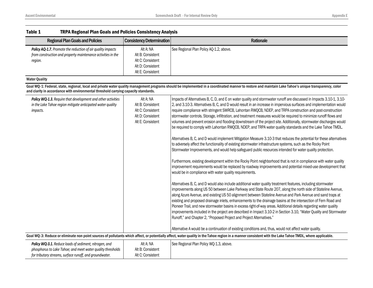| Table 1<br><b>TRPA Regional Plan Goals and Policies Consistency Analysis</b>                                                                                                     |                                                                                               |                                                                                                                                                                                                                                                                                                                                                                                                                                                                                                                                                                                                                                                                                                                                                                                                                                                                                                                                                                                                                                                                                                                                                                                                                                                                                                                                                                                                                                                                                                                                                                                                                                                                                                                                                                                                                                                                                                                                                                                                                                                                                                                                                                                                                                                                          |
|----------------------------------------------------------------------------------------------------------------------------------------------------------------------------------|-----------------------------------------------------------------------------------------------|--------------------------------------------------------------------------------------------------------------------------------------------------------------------------------------------------------------------------------------------------------------------------------------------------------------------------------------------------------------------------------------------------------------------------------------------------------------------------------------------------------------------------------------------------------------------------------------------------------------------------------------------------------------------------------------------------------------------------------------------------------------------------------------------------------------------------------------------------------------------------------------------------------------------------------------------------------------------------------------------------------------------------------------------------------------------------------------------------------------------------------------------------------------------------------------------------------------------------------------------------------------------------------------------------------------------------------------------------------------------------------------------------------------------------------------------------------------------------------------------------------------------------------------------------------------------------------------------------------------------------------------------------------------------------------------------------------------------------------------------------------------------------------------------------------------------------------------------------------------------------------------------------------------------------------------------------------------------------------------------------------------------------------------------------------------------------------------------------------------------------------------------------------------------------------------------------------------------------------------------------------------------------|
| <b>Regional Plan Goals and Policies</b>                                                                                                                                          | <b>Consistency Determination</b>                                                              | Rationale                                                                                                                                                                                                                                                                                                                                                                                                                                                                                                                                                                                                                                                                                                                                                                                                                                                                                                                                                                                                                                                                                                                                                                                                                                                                                                                                                                                                                                                                                                                                                                                                                                                                                                                                                                                                                                                                                                                                                                                                                                                                                                                                                                                                                                                                |
| Policy AQ-1.7. Promote the reduction of air quality impacts<br>from construction and property maintenance activities in the<br>region.                                           | Alt A: NA<br>Alt B: Consistent<br>Alt C: Consistent<br>Alt D: Consistent<br>Alt E: Consistent | See Regional Plan Policy AQ-1.2, above.                                                                                                                                                                                                                                                                                                                                                                                                                                                                                                                                                                                                                                                                                                                                                                                                                                                                                                                                                                                                                                                                                                                                                                                                                                                                                                                                                                                                                                                                                                                                                                                                                                                                                                                                                                                                                                                                                                                                                                                                                                                                                                                                                                                                                                  |
| <b>Water Quality</b>                                                                                                                                                             |                                                                                               |                                                                                                                                                                                                                                                                                                                                                                                                                                                                                                                                                                                                                                                                                                                                                                                                                                                                                                                                                                                                                                                                                                                                                                                                                                                                                                                                                                                                                                                                                                                                                                                                                                                                                                                                                                                                                                                                                                                                                                                                                                                                                                                                                                                                                                                                          |
| and clarity in accordance with environmental threshold carrying capacity standards.                                                                                              |                                                                                               | Goal WQ-1: Federal, state, regional, local and private water quality management programs should be implemented in a coordinated manner to restore and maintain Lake Tahoe's unique transparency, color                                                                                                                                                                                                                                                                                                                                                                                                                                                                                                                                                                                                                                                                                                                                                                                                                                                                                                                                                                                                                                                                                                                                                                                                                                                                                                                                                                                                                                                                                                                                                                                                                                                                                                                                                                                                                                                                                                                                                                                                                                                                   |
| Policy WQ-1.3. Require that development and other activities<br>in the Lake Tahoe region mitigate anticipated water quality<br>impacts.                                          | Alt A: NA<br>Alt B: Consistent<br>Alt C: Consistent<br>Alt D: Consistent<br>Alt E: Consistent | Impacts of Alternatives B, C, D, and E on water quality and stormwater runoff are discussed in Impacts 3.10-1, 3.10-<br>2, and 3.10-3. Alternatives B, C, and D would result in an increase in impervious surfaces and implementation would<br>require compliance with stringent SWRCB, Lahontan RWQCB, NDEP, and TRPA construction and post-construction<br>stormwater controls. Storage, infiltration, and treatment measures would be required to minimize runoff flows and<br>volumes and prevent erosion and flooding downstream of the project site. Additionally, stormwater discharges would<br>be required to comply with Lahontan RWQCB, NDEP, and TRPA water quality standards and the Lake Tahoe TMDL.<br>Alternatives B, C, and D would implement Mitigation Measure 3.10-3 that reduces the potential for these alternatives<br>to adversely affect the functionality of existing stormwater infrastructure systems, such as the Rocky Point<br>Stormwater Improvements, and would help safeguard public resources intended for water quality protection.<br>Furthermore, existing development within the Rocky Point neighborhood that is not in compliance with water quality<br>improvement requirements would be replaced by roadway improvements and potential mixed-use development that<br>would be in compliance with water quality requirements.<br>Alternatives B, C, and D would also include additional water quality treatment features, including stormwater<br>improvements along US 50 between Lake Parkway and State Route 207, along the north side of Stateline Avenue,<br>along Azure Avenue, and existing US 50 alignment between Stateline Avenue and Park Avenue and sand traps at<br>existing and proposed drainage inlets, enhancements to the drainage basins at the intersection of Fern Road and<br>Pioneer Trail, and new stormwater basins in excess right-of-way areas. Additional details regarding water quality<br>improvements included in the project are described in Impact 3.10-2 in Section 3.10, "Water Quality and Stormwater<br>Runoff," and Chapter 2, "Proposed Project and Project Alternatives."<br>Alternative A would be a continuation of existing conditions and, thus, would not affect water quality. |
|                                                                                                                                                                                  |                                                                                               | Goal WQ-3: Reduce or eliminate non point sources of pollutants which affect, or potentially affect, water quality in the Tahoe region in a manner consistent with the Lake Tahoe TMDL, where applicable.                                                                                                                                                                                                                                                                                                                                                                                                                                                                                                                                                                                                                                                                                                                                                                                                                                                                                                                                                                                                                                                                                                                                                                                                                                                                                                                                                                                                                                                                                                                                                                                                                                                                                                                                                                                                                                                                                                                                                                                                                                                                 |
| Policy WQ-3.1. Reduce loads of sediment, nitrogen, and<br>phosphorus to Lake Tahoe; and meet water quality thresholds<br>for tributary streams, surface runoff, and groundwater. | Alt A: NA<br>Alt B: Consistent<br>Alt C: Consistent                                           | See Regional Plan Policy WQ-1.3, above.                                                                                                                                                                                                                                                                                                                                                                                                                                                                                                                                                                                                                                                                                                                                                                                                                                                                                                                                                                                                                                                                                                                                                                                                                                                                                                                                                                                                                                                                                                                                                                                                                                                                                                                                                                                                                                                                                                                                                                                                                                                                                                                                                                                                                                  |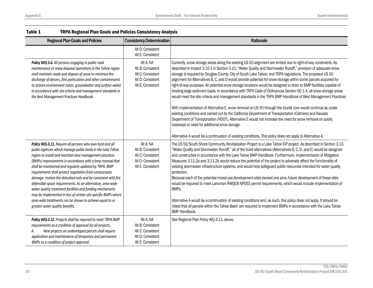| <b>Regional Plan Goals and Policies</b>                                                                                                                                                                                                                                                                                                                                                                                                                                                                                                                                                                                                                                                                                             | <b>Consistency Determination</b>                                                              | Rationale                                                                                                                                                                                                                                                                                                                                                                                                                                                                                                                                                                                                                                                                                                                                                                                                                                                                                                                                                                                                                                                                                                                                                                                                               |
|-------------------------------------------------------------------------------------------------------------------------------------------------------------------------------------------------------------------------------------------------------------------------------------------------------------------------------------------------------------------------------------------------------------------------------------------------------------------------------------------------------------------------------------------------------------------------------------------------------------------------------------------------------------------------------------------------------------------------------------|-----------------------------------------------------------------------------------------------|-------------------------------------------------------------------------------------------------------------------------------------------------------------------------------------------------------------------------------------------------------------------------------------------------------------------------------------------------------------------------------------------------------------------------------------------------------------------------------------------------------------------------------------------------------------------------------------------------------------------------------------------------------------------------------------------------------------------------------------------------------------------------------------------------------------------------------------------------------------------------------------------------------------------------------------------------------------------------------------------------------------------------------------------------------------------------------------------------------------------------------------------------------------------------------------------------------------------------|
|                                                                                                                                                                                                                                                                                                                                                                                                                                                                                                                                                                                                                                                                                                                                     | Alt D: Consistent<br>Alt E: Consistent                                                        |                                                                                                                                                                                                                                                                                                                                                                                                                                                                                                                                                                                                                                                                                                                                                                                                                                                                                                                                                                                                                                                                                                                                                                                                                         |
| Policy WQ-3.6. All persons engaging in public road<br>maintenance or snow disposal operations in the Tahoe region<br>shall maintain roads and dispose of snow to minimize the<br>discharge of deicers, fine particulates and other contaminants<br>to stream environment zones, groundwater and surface-water<br>in accordance with site criteria and management standards in<br>the Best Management Practices Handbook.                                                                                                                                                                                                                                                                                                            | Alt A: NA<br>Alt B: Consistent<br>Alt C: Consistent<br>Alt D: Consistent<br>Alt E: Consistent | Currently, snow storage areas along the existing US 50 alignment are limited due to right-of-way constraints. As<br>described in Impact 3.10-1 in Section 3.10, "Water Quality and Stormwater Runoff," provision of adequate snow<br>storage is required by Douglas County, City of South Lake Tahoe, and TRPA regulations. The proposed US 50<br>alignment for Alternatives B, C, and D would provide potential for snow storage within some parcels acquired for<br>right-of-way purposes. All potential snow storage locations would be designed to drain to BMP facilities capable of<br>treating large sediment loads. In accordance with TRPA Code of Ordinances Section 60.1.4, all snow storage areas<br>would meet the site criteria and management standards in the TRPA BMP Handbook of Best Management Practices.<br>With implementation of Alternative E, snow removal on US 50 through the tourist core would continue as under<br>existing conditions and carried out by the California Department of Transportation (Caltrans) and Nevada<br>Department of Transportation (NDOT). Alternative E would not increase the need for snow removal on public<br>roadways or need for additional snow storage. |
|                                                                                                                                                                                                                                                                                                                                                                                                                                                                                                                                                                                                                                                                                                                                     |                                                                                               | Alternative A would be a continuation of existing conditions. This policy does not apply to Alternative A.                                                                                                                                                                                                                                                                                                                                                                                                                                                                                                                                                                                                                                                                                                                                                                                                                                                                                                                                                                                                                                                                                                              |
| Policy WQ-3.11. Require all persons who own land and all<br>public agencies which manage public lands in the Lake Tahoe<br>region to install and maintain best management practices<br>(BMPs) improvements in accordance with a bmp manual that<br>shall be maintained and regularly updated by TRPA. BMP<br>requirements shall protect vegetation from unnecessary<br>damage; restore the disturbed soils and be consistent with fire<br>defensible space requirements. As an alternative, area-wide<br>water quality treatment facilities and funding mechanisms<br>may be implemented in lieu of certain site specific BMPs where<br>area-wide treatments can be shown to achieve equal to or<br>greater water quality benefits. | Alt A: NA<br>Alt B: Consistent<br>Alt C: Consistent<br>Alt D: Consistent<br>Alt E: Consistent | The US 50/South Shore Community Revitalization Project is a Lake Tahoe EIP project. As described in Section 3.10,<br>"Water Quality and Stormwater Runoff," all of the build alternatives (Alternatives B, C, D, and E) would be designed<br>and constructed in accordance with the Lake Tahoe BMP Handbook. Furthermore, implementation of Mitigation<br>Measures 3.11-2a and 3.11-2b would reduce the potential of the project to adversely affect the functionality of<br>existing stormwater infrastructure systems, and would help safeguard public resources intended for water quality<br>protection.<br>Because each of the potential mixed-use development sites exceed one acre, future development of these sites<br>would be required to meet Lahontan RWQCB NPDES permit requirements, which would include implementation of<br>BMPs.<br>Alternative A would be a continuation of existing conditions and, as such, this policy does not apply. It should be<br>noted that all parcels within the Tahoe Basin are required to implement BMPs in accordance with the Lake Tahoe<br><b>BMP Handbook.</b>                                                                                                     |
| Policy WQ-3.12. Projects shall be required to meet TRPA BMP<br>requirements as a condition of approval for all projects.<br>New projects on undeveloped parcels shall require<br>А.<br>application and maintenance of temporary and permanent<br>BMPs as a condition of project approval.                                                                                                                                                                                                                                                                                                                                                                                                                                           | Alt A: NA<br>Alt B: Consistent<br>Alt C: Consistent<br>Alt D: Consistent<br>Alt E: Consistent | See Regional Plan Policy WQ-3.11, above.                                                                                                                                                                                                                                                                                                                                                                                                                                                                                                                                                                                                                                                                                                                                                                                                                                                                                                                                                                                                                                                                                                                                                                                |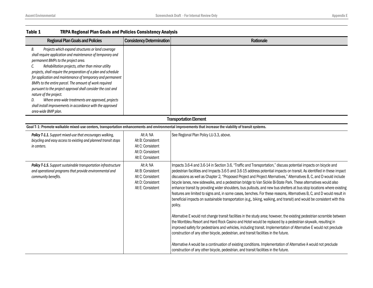| Table 1<br>TRPA Regional Plan Goals and Policies Consistency Analysis                                                                                                                                                                                                                                                                                                                                                                                                                                                                                                                                                                                       |                                                                                               |                                                                                                                                                                                                                                                                                                                                                                                                                                                                                                                                                                                                                                                                                                                                                                                                                                                                                                                                                                                                                                                                                                                                                                                                                                                                                                                                                                                                                                                                                                                                                    |
|-------------------------------------------------------------------------------------------------------------------------------------------------------------------------------------------------------------------------------------------------------------------------------------------------------------------------------------------------------------------------------------------------------------------------------------------------------------------------------------------------------------------------------------------------------------------------------------------------------------------------------------------------------------|-----------------------------------------------------------------------------------------------|----------------------------------------------------------------------------------------------------------------------------------------------------------------------------------------------------------------------------------------------------------------------------------------------------------------------------------------------------------------------------------------------------------------------------------------------------------------------------------------------------------------------------------------------------------------------------------------------------------------------------------------------------------------------------------------------------------------------------------------------------------------------------------------------------------------------------------------------------------------------------------------------------------------------------------------------------------------------------------------------------------------------------------------------------------------------------------------------------------------------------------------------------------------------------------------------------------------------------------------------------------------------------------------------------------------------------------------------------------------------------------------------------------------------------------------------------------------------------------------------------------------------------------------------------|
| <b>Regional Plan Goals and Policies</b>                                                                                                                                                                                                                                                                                                                                                                                                                                                                                                                                                                                                                     | <b>Consistency Determination</b>                                                              | Rationale                                                                                                                                                                                                                                                                                                                                                                                                                                                                                                                                                                                                                                                                                                                                                                                                                                                                                                                                                                                                                                                                                                                                                                                                                                                                                                                                                                                                                                                                                                                                          |
| Projects which expand structures or land coverage<br>В.<br>shall require application and maintenance of temporary and<br>permanent BMPs to the project area.<br>Rehabilitation projects, other than minor utility<br>C.<br>projects, shall require the preparation of a plan and schedule<br>for application and maintenance of temporary and permanent<br>BMPs to the entire parcel. The amount of work required<br>pursuant to the project approval shall consider the cost and<br>nature of the project.<br>Where area-wide treatments are approved, projects<br>D.<br>shall install improvements in accordance with the approved<br>area-wide BMP plan. |                                                                                               |                                                                                                                                                                                                                                                                                                                                                                                                                                                                                                                                                                                                                                                                                                                                                                                                                                                                                                                                                                                                                                                                                                                                                                                                                                                                                                                                                                                                                                                                                                                                                    |
|                                                                                                                                                                                                                                                                                                                                                                                                                                                                                                                                                                                                                                                             |                                                                                               | <b>Transportation Element</b>                                                                                                                                                                                                                                                                                                                                                                                                                                                                                                                                                                                                                                                                                                                                                                                                                                                                                                                                                                                                                                                                                                                                                                                                                                                                                                                                                                                                                                                                                                                      |
| Goal T-1: Promote walkable mixed-use centers, transportation enhancements and environmental improvements that increase the viability of transit systems.                                                                                                                                                                                                                                                                                                                                                                                                                                                                                                    |                                                                                               |                                                                                                                                                                                                                                                                                                                                                                                                                                                                                                                                                                                                                                                                                                                                                                                                                                                                                                                                                                                                                                                                                                                                                                                                                                                                                                                                                                                                                                                                                                                                                    |
| Policy T-1.1. Support mixed-use that encourages walking,<br>bicycling and easy access to existing and planned transit stops<br>in centers.                                                                                                                                                                                                                                                                                                                                                                                                                                                                                                                  | Alt A: NA<br>Alt B: Consistent<br>Alt C: Consistent<br>Alt D: Consistent<br>Alt E: Consistent | See Regional Plan Policy LU-3.3, above.                                                                                                                                                                                                                                                                                                                                                                                                                                                                                                                                                                                                                                                                                                                                                                                                                                                                                                                                                                                                                                                                                                                                                                                                                                                                                                                                                                                                                                                                                                            |
| Policy T-1.5. Support sustainable transportation infrastructure<br>and operational programs that provide environmental and<br>community benefits.                                                                                                                                                                                                                                                                                                                                                                                                                                                                                                           | Alt A: NA<br>Alt B: Consistent<br>Alt C: Consistent<br>Alt D: Consistent<br>Alt E: Consistent | Impacts 3.6-4 and 3.6-14 in Section 3.6, "Traffic and Transportation," discuss potential impacts on bicycle and<br>pedestrian facilities and Impacts 3.6-5 and 3.6-15 address potential impacts on transit. As identified in these impact<br>discussions as well as Chapter 2, "Proposed Project and Project Alternatives," Alternatives B, C, and D would include<br>bicycle lanes, new sidewalks, and a pedestrian bridge to Van Sickle Bi-State Park. These alternatives would also<br>enhance transit by providing wider shoulders, bus pullouts, and new bus shelters at bus stop locations where existing<br>features are limited to signs and, in some cases, benches. For these reasons, Alternatives B, C, and D would result in<br>beneficial impacts on sustainable transportation (e.g., biking, walking, and transit) and would be consistent with this<br>policy.<br>Alternative E would not change transit facilities in the study area; however, the existing pedestrian scramble between<br>the Montbleu Resort and Hard Rock Casino and Hotel would be replaced by a pedestrian skywalk, resulting in<br>improved safety for pedestrians and vehicles, including transit. Implementation of Alternative E would not preclude<br>construction of any other bicycle, pedestrian, and transit facilities in the future.<br>Alternative A would be a continuation of existing conditions. Implementation of Alternative A would not preclude<br>construction of any other bicycle, pedestrian, and transit facilities in the future. |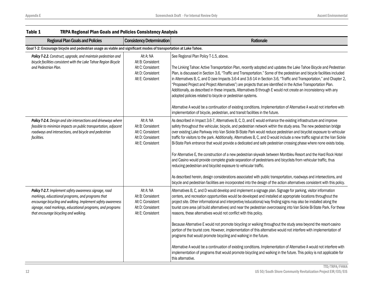| <b>Regional Plan Goals and Policies</b>                                                                                                                                                                                                                                           | <b>Consistency Determination</b>                                                              | Rationale                                                                                                                                                                                                                                                                                                                                                                                                                                                                                                                                                                                                                                                                                                                                                                                                                                                                                                                                                                                                                                                                                                                                                                     |  |  |
|-----------------------------------------------------------------------------------------------------------------------------------------------------------------------------------------------------------------------------------------------------------------------------------|-----------------------------------------------------------------------------------------------|-------------------------------------------------------------------------------------------------------------------------------------------------------------------------------------------------------------------------------------------------------------------------------------------------------------------------------------------------------------------------------------------------------------------------------------------------------------------------------------------------------------------------------------------------------------------------------------------------------------------------------------------------------------------------------------------------------------------------------------------------------------------------------------------------------------------------------------------------------------------------------------------------------------------------------------------------------------------------------------------------------------------------------------------------------------------------------------------------------------------------------------------------------------------------------|--|--|
| Goal T-2: Encourage bicycle and pedestrian usage as viable and significant modes of transportation at Lake Tahoe.                                                                                                                                                                 |                                                                                               |                                                                                                                                                                                                                                                                                                                                                                                                                                                                                                                                                                                                                                                                                                                                                                                                                                                                                                                                                                                                                                                                                                                                                                               |  |  |
| Policy T-2.2. Construct, upgrade, and maintain pedestrian and<br>bicycle facilities consistent with the Lake Tahoe Region Bicycle<br>and Pedestrian Plan.                                                                                                                         | Alt A: NA<br>Alt B: Consistent<br>Alt C: Consistent<br>Alt D: Consistent<br>Alt E: Consistent | See Regional Plan Policy T-1.5, above.<br>The Linking Tahoe: Active Transportation Plan, recently adopted and updates the Lake Tahoe Bicycle and Pedestrian<br>Plan, is discussed in Section 3.6, "Traffic and Transportation." Some of the pedestrian and bicycle facilities included<br>in Alternatives B, C, and D (see Impacts 3.6-4 and 3.6-14 in Section 3.6, "Traffic and Transportation," and Chapter 2,<br>'Proposed Project and Project Alternatives") are projects that are identified in the Active Transportation Plan.<br>Additionally, as described in these impacts, Alternatives B through E would not create an inconsistency with any<br>adopted policies related to bicycle or pedestrian systems.<br>Alternative A would be a continuation of existing conditions. Implementation of Alternative A would not interfere with<br>implementation of bicycle, pedestrian, and transit facilities in the future.                                                                                                                                                                                                                                              |  |  |
| Policy T-2.4. Design and site intersections and driveways where<br>feasible to minimize impacts on public transportation, adjacent<br>roadways and intersections, and bicycle and pedestrian<br>facilities.                                                                       | Alt A: NA<br>Alt B: Consistent<br>Alt C: Consistent<br>Alt D: Consistent<br>Alt E: Consistent | As described in Impact 3.6-7, Alternatives B, C, D, and E would enhance the existing infrastructure and improve<br>safety throughout the vehicular, bicycle, and pedestrian network within the study area. The new pedestrian bridge<br>over existing Lake Parkway into Van Sickle Bi-State Park would reduce pedestrian and bicyclist exposure to vehicular<br>traffic for visitors to the park. Additionally, Alternatives B, C, and D would include a new traffic signal at the Van Sickle<br>Bi-State Park entrance that would provide a dedicated and safe pedestrian crossing phase where none exists today.<br>For Alternative E, the construction of a new pedestrian skywalk between Montbleu Resort and the Hard Rock Hotel<br>and Casino would provide complete grade separation of pedestrians and bicyclists from vehicular traffic, thus<br>reducing pedestrian and bicyclist exposure to vehicular traffic.<br>As described herein, design considerations associated with public transportation, roadways and intersections, and<br>bicycle and pedestrian facilities are incorporated into the design of the action alternatives consistent with this policy. |  |  |
| Policy T-2.7. Implement safety awareness signage, road<br>markings, educational programs, and programs that<br>encourage bicycling and walking. Implement safety awareness<br>signage, road markings, educational programs, and programs<br>that encourage bicycling and walking. | Alt A: NA<br>Alt B: Consistent<br>Alt C: Consistent<br>Alt D: Consistent<br>Alt E: Consistent | Alternatives B, C, and D would develop and implement a signage plan. Signage for parking, visitor information<br>centers, and recreation opportunities would be developed and installed at appropriate locations throughout the<br>project site. Other informational and interpretive/educational/way finding signs may also be installed along the<br>tourist core area (all build alternatives) and near the pedestrian overcrossing into Van Sickle Bi-State Park. For these<br>reasons, these alternatives would not conflict with this policy.<br>Because Alternative E would not promote bicycling or walking throughout the study area beyond the resort-casino<br>portion of the tourist core. However, implementation of this alternative would not interfere with implementation of<br>programs that would promote bicycling and walking in the future.<br>Alternative A would be a continuation of existing conditions. Implementation of Alternative A would not interfere with<br>implementation of programs that would promote bicycling and walking in the future. This policy is not applicable for<br>this alternative.                                      |  |  |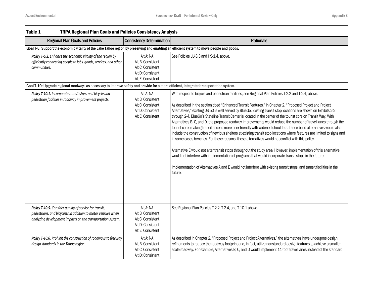| Table 1<br><b>TRPA Regional Plan Goals and Policies Consistency Analysis</b>                                                                                                                                                                                                                 |                                                                                               |                                                                                                                                                                                                                                                                                                                                                                                                                                                                                                                                                                                                                                                                                                                                                                                                                                                                                                                                                                                                                                                                                                                                                                                                                                                                                                             |
|----------------------------------------------------------------------------------------------------------------------------------------------------------------------------------------------------------------------------------------------------------------------------------------------|-----------------------------------------------------------------------------------------------|-------------------------------------------------------------------------------------------------------------------------------------------------------------------------------------------------------------------------------------------------------------------------------------------------------------------------------------------------------------------------------------------------------------------------------------------------------------------------------------------------------------------------------------------------------------------------------------------------------------------------------------------------------------------------------------------------------------------------------------------------------------------------------------------------------------------------------------------------------------------------------------------------------------------------------------------------------------------------------------------------------------------------------------------------------------------------------------------------------------------------------------------------------------------------------------------------------------------------------------------------------------------------------------------------------------|
| <b>Regional Plan Goals and Policies</b>                                                                                                                                                                                                                                                      | <b>Consistency Determination</b>                                                              | Rationale                                                                                                                                                                                                                                                                                                                                                                                                                                                                                                                                                                                                                                                                                                                                                                                                                                                                                                                                                                                                                                                                                                                                                                                                                                                                                                   |
| Goal T-6: Support the economic vitality of the Lake Tahoe region by preserving and enabling an efficient system to move people and goods.                                                                                                                                                    |                                                                                               |                                                                                                                                                                                                                                                                                                                                                                                                                                                                                                                                                                                                                                                                                                                                                                                                                                                                                                                                                                                                                                                                                                                                                                                                                                                                                                             |
| Policy T-6.2. Enhance the economic vitality of the region by<br>efficiently connecting people to jobs, goods, services, and other<br>communities.<br>Goal T-10: Upgrade regional roadways as necessary to improve safety and provide for a more efficient, integrated transportation system. | Alt A: NA<br>Alt B: Consistent<br>Alt C: Consistent<br>Alt D: Consistent<br>Alt E: Consistent | See Policies LU-3.3 and HS-1.4, above.                                                                                                                                                                                                                                                                                                                                                                                                                                                                                                                                                                                                                                                                                                                                                                                                                                                                                                                                                                                                                                                                                                                                                                                                                                                                      |
|                                                                                                                                                                                                                                                                                              |                                                                                               |                                                                                                                                                                                                                                                                                                                                                                                                                                                                                                                                                                                                                                                                                                                                                                                                                                                                                                                                                                                                                                                                                                                                                                                                                                                                                                             |
| Policy T-10.1. Incorporate transit stops and bicycle and<br>pedestrian facilities in roadway improvement projects.                                                                                                                                                                           | Alt A: NA<br>Alt B: Consistent<br>Alt C: Consistent<br>Alt D: Consistent<br>Alt E: Consistent | With respect to bicycle and pedestrian facilities, see Regional Plan Policies T-2.2 and T-2.4, above.<br>As described in the section titled "Enhanced Transit Features," in Chapter 2, "Proposed Project and Project<br>Alternatives," existing US 50 is well served by BlueGo. Existing transit stop locations are shown on Exhibits 2-2<br>through 2-4. BlueGo's Stateline Transit Center is located in the center of the tourist core on Transit Way. With<br>Alternatives B, C, and D, the proposed roadway improvements would reduce the number of travel lanes through the<br>tourist core, making transit access more user-friendly with widened shoulders. These build alternatives would also<br>include the construction of new bus shelters at existing transit stop locations where features are limited to signs and<br>in some cases benches. For these reasons, these alternatives would not conflict with this policy.<br>Alternative E would not alter transit stops throughout the study area. However, implementation of this alternative<br>would not interfere with implementation of programs that would incorporate transit stops in the future.<br>Implementation of Alternatives A and E would not interfere with existing transit stops, and transit facilities in the<br>future. |
| Policy T-10.5. Consider quality of service for transit,<br>pedestrians, and bicyclists in addition to motor vehicles when<br>analyzing development impacts on the transportation system.                                                                                                     | Alt A: NA<br>Alt B: Consistent<br>Alt C: Consistent<br>Alt D: Consistent<br>Alt E: Consistent | See Regional Plan Policies T-2.2, T-2.4, and T-10.1 above.                                                                                                                                                                                                                                                                                                                                                                                                                                                                                                                                                                                                                                                                                                                                                                                                                                                                                                                                                                                                                                                                                                                                                                                                                                                  |
| Policy T-10.6. Prohibit the construction of roadways to freeway<br>design standards in the Tahoe region.                                                                                                                                                                                     | Alt A: NA<br>Alt B: Consistent<br>Alt C: Consistent<br>Alt D: Consistent                      | As described in Chapter 2, "Proposed Project and Project Alternatives," the alternatives have undergone design<br>refinements to reduce the roadway footprint and, in fact, utilize nonstandard design features to achieve a smaller-<br>scale roadway. For example, Alternatives B, C, and D would implement 11-foot travel lanes instead of the standard                                                                                                                                                                                                                                                                                                                                                                                                                                                                                                                                                                                                                                                                                                                                                                                                                                                                                                                                                  |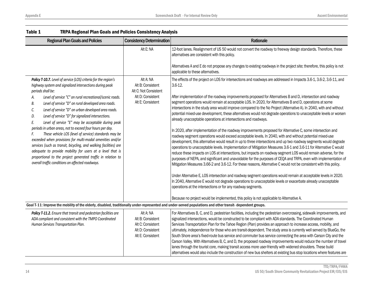| <b>Regional Plan Goals and Policies</b>                                                                                                                                                                                                                                                                                                                                                                                                                                                                                                                                                                                                                                                                                                                                                                                                                                                                            | <b>Consistency Determination</b>                                                                  | Rationale                                                                                                                                                                                                                                                                                                                                                                                                                                                                                                                                                                                                                                                                                                                                                                                                                                                                                                                                                                                                                                                                                                                                                                                                                                                                                                                                                                                                                                                                                                                                                                                                                                                                                                                                                                                                                                                                                                    |
|--------------------------------------------------------------------------------------------------------------------------------------------------------------------------------------------------------------------------------------------------------------------------------------------------------------------------------------------------------------------------------------------------------------------------------------------------------------------------------------------------------------------------------------------------------------------------------------------------------------------------------------------------------------------------------------------------------------------------------------------------------------------------------------------------------------------------------------------------------------------------------------------------------------------|---------------------------------------------------------------------------------------------------|--------------------------------------------------------------------------------------------------------------------------------------------------------------------------------------------------------------------------------------------------------------------------------------------------------------------------------------------------------------------------------------------------------------------------------------------------------------------------------------------------------------------------------------------------------------------------------------------------------------------------------------------------------------------------------------------------------------------------------------------------------------------------------------------------------------------------------------------------------------------------------------------------------------------------------------------------------------------------------------------------------------------------------------------------------------------------------------------------------------------------------------------------------------------------------------------------------------------------------------------------------------------------------------------------------------------------------------------------------------------------------------------------------------------------------------------------------------------------------------------------------------------------------------------------------------------------------------------------------------------------------------------------------------------------------------------------------------------------------------------------------------------------------------------------------------------------------------------------------------------------------------------------------------|
|                                                                                                                                                                                                                                                                                                                                                                                                                                                                                                                                                                                                                                                                                                                                                                                                                                                                                                                    | Alt E: NA                                                                                         | 12-foot lanes. Realignment of US 50 would not convert the roadway to freeway design standards. Therefore, these<br>alternatives are consistent with this policy.<br>Alternatives A and E do not propose any changes to existing roadways in the project site; therefore, this policy is not<br>applicable to these alternatives.                                                                                                                                                                                                                                                                                                                                                                                                                                                                                                                                                                                                                                                                                                                                                                                                                                                                                                                                                                                                                                                                                                                                                                                                                                                                                                                                                                                                                                                                                                                                                                             |
| Policy T-10.7. Level of service (LOS) criteria for the region's<br>highway system and signalized intersections during peak<br>periods shall be:<br>Level of service "C" on rural recreational/scenic roads.<br>А.<br>Level of service "D" on rural developed area roads.<br>В.<br>Level of service "D" on urban developed area roads.<br>C.<br>D.<br>Level of service "D" for signalized intersections.<br>Level of service "E" may be acceptable during peak<br>Ε.<br>periods in urban areas, not to exceed four hours per day.<br>These vehicle LOS (level of service) standards may be<br>F.<br>exceeded when provisions for multi-modal amenities and/or<br>services (such as transit, bicycling, and walking facilities) are<br>adequate to provide mobility for users at a level that is<br>proportional to the project generated traffic in relation to<br>overall traffic conditions on affected roadways. | Alt A: NA<br>Alt B: Consistent<br>Alt C: Not Consistent<br>Alt D: Consistent<br>Alt E: Consistent | The effects of the project on LOS for intersections and roadways are addressed in Impacts 3.6-1, 3.6-2, 3.6-11, and<br>$3.6 - 12.$<br>After implementation of the roadway improvements proposed for Alternatives B and D, intersection and roadway<br>segment operations would remain at acceptable LOS. In 2020, for Alternatives B and D, operations at some<br>intersections in the study area would improve compared to the No Project (Alternative A). In 2040, with and without<br>potential mixed-use development, these alternatives would not degrade operations to unacceptable levels or worsen<br>already unacceptable operations at intersections and roadways.<br>In 2020, after implementation of the roadway improvements proposed for Alternative C, some intersection and<br>roadway segment operations would exceed acceptable levels. In 2040, with and without potential mixed-use<br>development, this alternative would result in up to three intersections and up two roadway segments would degrade<br>operations to unacceptable levels. Implementation of Mitigation Measures 3.6-1 and 3.6-11 for Alternative C would<br>reduce these impacts on LOS at intersections, but impacts on roadway segment LOS would remain adverse, for the<br>purposes of NEPA, and significant and unavoidable for the purposes of CEQA and TRPA, even with implementation of<br>Mitigation Measures 3.66-2 and 3.6-12. For these reasons, Alternative C would not be consistent with this policy.<br>Under Alternative E, LOS intersection and roadway segment operations would remain at acceptable levels in 2020.<br>In 2040, Alternative E would not degrade operations to unacceptable levels or exacerbate already unacceptable<br>operations at the intersections or for any roadway segments.<br>Because no project would be implemented, this policy is not applicable to Alternative A. |
| Goal T-11: Improve the mobility of the elderly, disabled, traditionally under-represented and under-served populations and other transit- dependent groups.                                                                                                                                                                                                                                                                                                                                                                                                                                                                                                                                                                                                                                                                                                                                                        |                                                                                                   |                                                                                                                                                                                                                                                                                                                                                                                                                                                                                                                                                                                                                                                                                                                                                                                                                                                                                                                                                                                                                                                                                                                                                                                                                                                                                                                                                                                                                                                                                                                                                                                                                                                                                                                                                                                                                                                                                                              |
| Policy T-11.2. Ensure that transit and pedestrian facilities are<br>ADA compliant and consistent with the TMPO Coordinated<br>Human Services Transportation Plan.                                                                                                                                                                                                                                                                                                                                                                                                                                                                                                                                                                                                                                                                                                                                                  | Alt A: NA<br>Alt B: Consistent<br>Alt C: Consistent<br>Alt D: Consistent<br>Alt E: Consistent     | For Alternatives B, C, and D, pedestrian facilities, including the pedestrian overcrossing, sidewalk improvements, and<br>signalized intersections, would be constructed to be compliant with ADA standards. The Coordinated Human<br>Services Transportation Plan for the Tahoe Region (Plan) provides an approach to increase access, mobility, and<br>ultimately, independence for those who are transit-dependent. The study area is currently well served by BlueGo, the<br>South Shore area's fixed-route bus service and commuter bus service connecting the area with Carson City and the                                                                                                                                                                                                                                                                                                                                                                                                                                                                                                                                                                                                                                                                                                                                                                                                                                                                                                                                                                                                                                                                                                                                                                                                                                                                                                            |

| <b>POIICY 1-11.2.</b> Ensure that transit and pedestrian facilities are<br>ADA compliant and consistent with the TMPO Coordinated<br>Human Services Transportation Plan. | aila: Ina<br>Alt B: Consistent<br>Alt C: Consistent<br>Alt D: Consistent<br>Alt E: Consistent | TFor Alternatives B, C, and D, pedestrian facilities, including the pedestrian overcrossing, sidewalk improvements, and<br>signalized intersections, would be constructed to be compliant with ADA standards. The Coordinated Human<br>Services Transportation Plan for the Tahoe Region (Plan) provides an approach to increase access, mobility, and<br>ultimately, independence for those who are transit-dependent. The study area is currently well served by BlueGo, the<br>South Shore area's fixed-route bus service and commuter bus service connecting the area with Carson City and the<br>Carson Valley. With Alternatives B, C, and D, the proposed roadway improvements would reduce the number of travel<br>lanes through the tourist core, making transit access more user-friendly with widened shoulders. These build |
|--------------------------------------------------------------------------------------------------------------------------------------------------------------------------|-----------------------------------------------------------------------------------------------|-----------------------------------------------------------------------------------------------------------------------------------------------------------------------------------------------------------------------------------------------------------------------------------------------------------------------------------------------------------------------------------------------------------------------------------------------------------------------------------------------------------------------------------------------------------------------------------------------------------------------------------------------------------------------------------------------------------------------------------------------------------------------------------------------------------------------------------------|
|                                                                                                                                                                          |                                                                                               | alternatives would also include the construction of new bus shelters at existing bus stop locations where features are                                                                                                                                                                                                                                                                                                                                                                                                                                                                                                                                                                                                                                                                                                                  |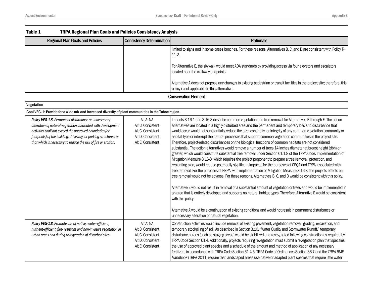| Table 1<br><b>TRPA Regional Plan Goals and Policies Consistency Analysis</b>                                                                                                                                                                                                                                          |                                                                                               |                                                                                                                                                                                                                                                                                                                                                                                                                                                                                                                                                                                                                                                                                                                                                                                                                                                                                                                                                                                                                                                                                                                                                                                                                                                                                                                                                                                                                                                                                                                                                                                                                                                                                                         |
|-----------------------------------------------------------------------------------------------------------------------------------------------------------------------------------------------------------------------------------------------------------------------------------------------------------------------|-----------------------------------------------------------------------------------------------|---------------------------------------------------------------------------------------------------------------------------------------------------------------------------------------------------------------------------------------------------------------------------------------------------------------------------------------------------------------------------------------------------------------------------------------------------------------------------------------------------------------------------------------------------------------------------------------------------------------------------------------------------------------------------------------------------------------------------------------------------------------------------------------------------------------------------------------------------------------------------------------------------------------------------------------------------------------------------------------------------------------------------------------------------------------------------------------------------------------------------------------------------------------------------------------------------------------------------------------------------------------------------------------------------------------------------------------------------------------------------------------------------------------------------------------------------------------------------------------------------------------------------------------------------------------------------------------------------------------------------------------------------------------------------------------------------------|
| <b>Regional Plan Goals and Policies</b>                                                                                                                                                                                                                                                                               | <b>Consistency Determination</b>                                                              | Rationale                                                                                                                                                                                                                                                                                                                                                                                                                                                                                                                                                                                                                                                                                                                                                                                                                                                                                                                                                                                                                                                                                                                                                                                                                                                                                                                                                                                                                                                                                                                                                                                                                                                                                               |
|                                                                                                                                                                                                                                                                                                                       |                                                                                               | limited to signs and in some cases benches. For these reasons, Alternatives B, C, and D are consistent with Policy T-<br>11.2.                                                                                                                                                                                                                                                                                                                                                                                                                                                                                                                                                                                                                                                                                                                                                                                                                                                                                                                                                                                                                                                                                                                                                                                                                                                                                                                                                                                                                                                                                                                                                                          |
|                                                                                                                                                                                                                                                                                                                       |                                                                                               | For Alternative E, the skywalk would meet ADA standards by providing access via four elevators and escalators<br>located near the walkway endpoints.                                                                                                                                                                                                                                                                                                                                                                                                                                                                                                                                                                                                                                                                                                                                                                                                                                                                                                                                                                                                                                                                                                                                                                                                                                                                                                                                                                                                                                                                                                                                                    |
|                                                                                                                                                                                                                                                                                                                       |                                                                                               | Alternative A does not propose any changes to existing pedestrian or transit facilities in the project site; therefore, this<br>policy is not applicable to this alternative.                                                                                                                                                                                                                                                                                                                                                                                                                                                                                                                                                                                                                                                                                                                                                                                                                                                                                                                                                                                                                                                                                                                                                                                                                                                                                                                                                                                                                                                                                                                           |
|                                                                                                                                                                                                                                                                                                                       |                                                                                               | <b>Conservation Element</b>                                                                                                                                                                                                                                                                                                                                                                                                                                                                                                                                                                                                                                                                                                                                                                                                                                                                                                                                                                                                                                                                                                                                                                                                                                                                                                                                                                                                                                                                                                                                                                                                                                                                             |
| Vegetation                                                                                                                                                                                                                                                                                                            |                                                                                               |                                                                                                                                                                                                                                                                                                                                                                                                                                                                                                                                                                                                                                                                                                                                                                                                                                                                                                                                                                                                                                                                                                                                                                                                                                                                                                                                                                                                                                                                                                                                                                                                                                                                                                         |
| Goal VEG-1: Provide for a wide mix and increased diversity of plant communities in the Tahoe region.                                                                                                                                                                                                                  |                                                                                               |                                                                                                                                                                                                                                                                                                                                                                                                                                                                                                                                                                                                                                                                                                                                                                                                                                                                                                                                                                                                                                                                                                                                                                                                                                                                                                                                                                                                                                                                                                                                                                                                                                                                                                         |
| Policy VEG-1.5. Permanent disturbance or unnecessary<br>alteration of natural vegetation associated with development<br>activities shall not exceed the approved boundaries (or<br>footprints) of the building, driveway, or parking structures, or<br>that which is necessary to reduce the risk of fire or erosion. | Alt A: NA<br>Alt B: Consistent<br>Alt C: Consistent<br>Alt D: Consistent<br>Alt E: Consistent | Impacts 3.16-1 and 3.16-3 describe common vegetation and tree removal for Alternatives B through E. The action<br>alternatives are located in a highly disturbed area and the permanent and temporary loss and disturbance that<br>would occur would not substantially reduce the size, continuity, or integrity of any common vegetation community or<br>habitat type or interrupt the natural processes that support common vegetation communities in the project site.<br>Therefore, project-related disturbances on the biological functions of common habitats are not considered<br>substantial. The action alternatives would remove a number of trees 14 inches diameter at breast height (dbh) or<br>greater, which would constitute substantial tree removal under Section 61.1.8 of the TRPA Code. Implementation of<br>Mitigation Measure 3.16-3, which requires the project proponent to prepare a tree removal, protection, and<br>replanting plan, would reduce potentially significant impacts, for the purposes of CEQA and TRPA, associated with<br>tree removal. For the purposes of NEPA, with implementation of Mitigation Measure 3.16-3, the projects effects on<br>tree removal would not be adverse. For these reasons, Alternatives B, C, and D would be consistent with this policy.<br>Alternative E would not result in removal of a substantial amount of vegetation or trees and would be implemented in<br>an area that is entirely developed and supports no natural habitat types. Therefore, Alternative E would be consistent<br>with this policy.<br>Alternative A would be a continuation of existing conditions and would not result in permanent disturbance or |
| Policy VEG-1.8. Promote use of native, water-efficient,<br>nutrient-efficient, fire- resistant and non-invasive vegetation in<br>urban areas and during revegetation of disturbed sites.                                                                                                                              | Alt A: NA<br>Alt B: Consistent<br>Alt C: Consistent<br>Alt D: Consistent<br>Alt E: Consistent | unnecessary alteration of natural vegetation.<br>Construction activities would include removal of existing pavement, vegetation removal, grading, excavation, and<br>temporary stockpiling of soil. As described in Section 3.10, "Water Quality and Stormwater Runoff," temporary<br>disturbance areas (such as staging areas) would be stabilized and revegetated following construction as required by<br>TRPA Code Section 61.4. Additionally, projects requiring revegetation must submit a revegetation plan that specifies<br>the use of approved plant species and a schedule of the amount and method of application of any necessary<br>fertilizers in accordance with TRPA Code Section 61.4.5. TRPA Code of Ordinances Section 36.7 and the TRPA BMP<br>Handbook (TRPA 2011) require that landscaped areas use native or adapted plant species that require little water                                                                                                                                                                                                                                                                                                                                                                                                                                                                                                                                                                                                                                                                                                                                                                                                                    |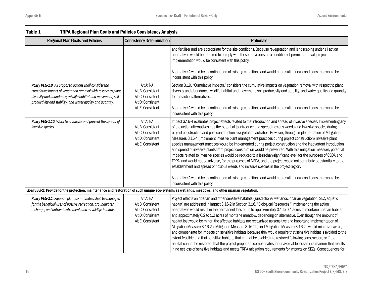| Table 1<br><b>TRPA Regional Plan Goals and Policies Consistency Analysis</b>                                                                                                                                                                            |                                                                                               |                                                                                                                                                                                                                                                                                                                                                                                                                                                                                                                                                                                                                                                                                                                                                                                                                                                                                                                                                                                                                                                                                                                                                                                                                   |
|---------------------------------------------------------------------------------------------------------------------------------------------------------------------------------------------------------------------------------------------------------|-----------------------------------------------------------------------------------------------|-------------------------------------------------------------------------------------------------------------------------------------------------------------------------------------------------------------------------------------------------------------------------------------------------------------------------------------------------------------------------------------------------------------------------------------------------------------------------------------------------------------------------------------------------------------------------------------------------------------------------------------------------------------------------------------------------------------------------------------------------------------------------------------------------------------------------------------------------------------------------------------------------------------------------------------------------------------------------------------------------------------------------------------------------------------------------------------------------------------------------------------------------------------------------------------------------------------------|
| <b>Regional Plan Goals and Policies</b>                                                                                                                                                                                                                 | <b>Consistency Determination</b>                                                              | Rationale                                                                                                                                                                                                                                                                                                                                                                                                                                                                                                                                                                                                                                                                                                                                                                                                                                                                                                                                                                                                                                                                                                                                                                                                         |
|                                                                                                                                                                                                                                                         |                                                                                               | and fertilizer and are appropriate for the site conditions. Because revegetation and landscaping under all action<br>alternatives would be required to comply with these provisions as a condition of permit approval, project<br>implementation would be consistent with this policy.<br>Alternative A would be a continuation of existing conditions and would not result in new conditions that would be                                                                                                                                                                                                                                                                                                                                                                                                                                                                                                                                                                                                                                                                                                                                                                                                       |
|                                                                                                                                                                                                                                                         |                                                                                               | inconsistent with this policy.                                                                                                                                                                                                                                                                                                                                                                                                                                                                                                                                                                                                                                                                                                                                                                                                                                                                                                                                                                                                                                                                                                                                                                                    |
| Policy VEG-1.9. All proposed actions shall consider the<br>cumulative impact of vegetation removal with respect to plant<br>diversity and abundance, wildlife habitat and movement, soil<br>productivity and stability, and water quality and quantity. | Alt A: NA<br>Alt B: Consistent<br>Alt C: Consistent<br>Alt D: Consistent                      | Section 3.19, "Cumulative Impacts," considers the cumulative impacts on vegetation removal with respect to plant<br>diversity and abundance, wildlife habitat and movement, soil productivity and stability, and water quality and quantity<br>for the action alternatives.                                                                                                                                                                                                                                                                                                                                                                                                                                                                                                                                                                                                                                                                                                                                                                                                                                                                                                                                       |
|                                                                                                                                                                                                                                                         | Alt E: Consistent                                                                             | Alternative A would be a continuation of existing conditions and would not result in new conditions that would be<br>inconsistent with this policy.                                                                                                                                                                                                                                                                                                                                                                                                                                                                                                                                                                                                                                                                                                                                                                                                                                                                                                                                                                                                                                                               |
| Policy VEG-1.10. Work to eradicate and prevent the spread of<br>invasive species.                                                                                                                                                                       | Alt A: NA<br>Alt B: Consistent<br>Alt C: Consistent<br>Alt D: Consistent<br>Alt E: Consistent | Impact 3.16-4 evaluates project effects related to the introduction and spread of invasive species. Implementing any<br>of the action alternatives has the potential to introduce and spread noxious weeds and invasive species during<br>project construction and post-construction revegetation activities. However, through implementation of Mitigation<br>Measures 3.16-4 (Implement invasive plant management practices during project construction), invasive plant<br>species management practices would be implemented during project construction and the inadvertent introduction<br>and spread of invasive plants from project construction would be prevented. With this mitigation measure, potential<br>impacts related to invasive species would be reduced to a less-than-significant level, for the purposes of CEQA and<br>TRPA, and would not be adverse, for the purposes of NEPA, and the project would not contribute substantially to the<br>establishment and spread of noxious weeds and invasive species in the project region.<br>Alternative A would be a continuation of existing conditions and would not result in new conditions that would be<br>inconsistent with this policy. |
| Goal VEG-2: Provide for the protection, maintenance and restoration of such unique eco-systems as wetlands, meadows, and other riparian vegetation.                                                                                                     |                                                                                               |                                                                                                                                                                                                                                                                                                                                                                                                                                                                                                                                                                                                                                                                                                                                                                                                                                                                                                                                                                                                                                                                                                                                                                                                                   |
| Policy VEG-2.1. Riparian plant communities shall be managed<br>for the beneficial uses of passive recreation, groundwater<br>recharge, and nutrient catchment, and as wildlife habitats.                                                                | Alt A: NA<br>Alt B: Consistent<br>Alt C: Consistent<br>Alt D: Consistent<br>Alt E: Consistent | Project effects on riparian and other sensitive habitats (jurisdictional wetlands, riparian vegetation, SEZ, aquatic<br>habitat) are addressed in Impact 3.16-2 in Section 3.16, "Biological Resources." Implementing the action<br>alternatives would result in the permanent loss of up to approximately 0.1 to 0.4 acres of montane riparian habitat<br>and approximately 0.2 to 1.2 acres of montane meadow, depending on alternative. Even though the amount of<br>habitat lost would be minor, the affected habitats are recognized as sensitive and important. Implementation of<br>Mitigation Measure 3.16-2a, Mitigation Measure 3.16-2b, and Mitigation Measure 3.16-2c would minimize, avoid,<br>and compensate for impacts on sensitive habitats because they would require that sensitive habitat is avoided to the<br>extent feasible and that sensitive habitats that cannot be avoided are restored following construction, or if the<br>habitat cannot be restored, that the project proponent compensates for unavoidable losses in a manner that results<br>in no net loss of sensitive habitats and meets TRPA mitigation requirements for impacts on SEZs. Consequences for                  |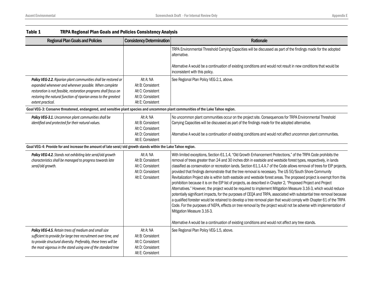| Table 1                                                                                                                                                                                                                                                                                | <b>TRPA Regional Plan Goals and Policies Consistency Analysis</b>                             |                                                                                                                                                                                                                                                                                                                                                                                                                                                                                                                                                                                                                                                                                                                                                                                                                                                                                                                                                                                                                                                                                                                                                                                                                                              |  |
|----------------------------------------------------------------------------------------------------------------------------------------------------------------------------------------------------------------------------------------------------------------------------------------|-----------------------------------------------------------------------------------------------|----------------------------------------------------------------------------------------------------------------------------------------------------------------------------------------------------------------------------------------------------------------------------------------------------------------------------------------------------------------------------------------------------------------------------------------------------------------------------------------------------------------------------------------------------------------------------------------------------------------------------------------------------------------------------------------------------------------------------------------------------------------------------------------------------------------------------------------------------------------------------------------------------------------------------------------------------------------------------------------------------------------------------------------------------------------------------------------------------------------------------------------------------------------------------------------------------------------------------------------------|--|
| <b>Regional Plan Goals and Policies</b>                                                                                                                                                                                                                                                | <b>Consistency Determination</b>                                                              | Rationale                                                                                                                                                                                                                                                                                                                                                                                                                                                                                                                                                                                                                                                                                                                                                                                                                                                                                                                                                                                                                                                                                                                                                                                                                                    |  |
|                                                                                                                                                                                                                                                                                        |                                                                                               | TRPA Environmental Threshold Carrying Capacities will be discussed as part of the findings made for the adopted<br>alternative.<br>Alternative A would be a continuation of existing conditions and would not result in new conditions that would be                                                                                                                                                                                                                                                                                                                                                                                                                                                                                                                                                                                                                                                                                                                                                                                                                                                                                                                                                                                         |  |
|                                                                                                                                                                                                                                                                                        |                                                                                               | inconsistent with this policy.                                                                                                                                                                                                                                                                                                                                                                                                                                                                                                                                                                                                                                                                                                                                                                                                                                                                                                                                                                                                                                                                                                                                                                                                               |  |
| Policy VEG-2.2. Riparian plant communities shall be restored or<br>expanded whenever and wherever possible. When complete<br>restoration is not feasible, restoration programs shall focus on<br>restoring the natural function of riparian areas to the greatest<br>extent practical. | Alt A: NA<br>Alt B: Consistent<br>Alt C: Consistent<br>Alt D: Consistent<br>Alt E: Consistent | See Regional Plan Policy VEG-2.1, above.                                                                                                                                                                                                                                                                                                                                                                                                                                                                                                                                                                                                                                                                                                                                                                                                                                                                                                                                                                                                                                                                                                                                                                                                     |  |
| Goal VEG-3: Conserve threatened, endangered, and sensitive plant species and uncommon plant communities of the Lake Tahoe region.                                                                                                                                                      |                                                                                               |                                                                                                                                                                                                                                                                                                                                                                                                                                                                                                                                                                                                                                                                                                                                                                                                                                                                                                                                                                                                                                                                                                                                                                                                                                              |  |
| Policy VEG-3.1. Uncommon plant communities shall be<br>identified and protected for their natural values.                                                                                                                                                                              | Alt A: NA<br>Alt B: Consistent<br>Alt C: Consistent                                           | No uncommon plant communities occur on the project site. Consequences for TRPA Environmental Threshold<br>Carrying Capacities will be discussed as part of the findings made for the adopted alternative.                                                                                                                                                                                                                                                                                                                                                                                                                                                                                                                                                                                                                                                                                                                                                                                                                                                                                                                                                                                                                                    |  |
|                                                                                                                                                                                                                                                                                        | Alt D: Consistent<br>Alt E: Consistent                                                        | Alternative A would be a continuation of existing conditions and would not affect uncommon plant communities.                                                                                                                                                                                                                                                                                                                                                                                                                                                                                                                                                                                                                                                                                                                                                                                                                                                                                                                                                                                                                                                                                                                                |  |
| Goal VEG-4: Provide for and increase the amount of late seral/old growth stands within the Lake Tahoe region.                                                                                                                                                                          |                                                                                               |                                                                                                                                                                                                                                                                                                                                                                                                                                                                                                                                                                                                                                                                                                                                                                                                                                                                                                                                                                                                                                                                                                                                                                                                                                              |  |
| Policy VEG-4.2. Stands not exhibiting late seral/old growth<br>characteristics shall be managed to progress towards late<br>seral/old growth.                                                                                                                                          | Alt A: NA<br>Alt B: Consistent<br>Alt C: Consistent<br>Alt D: Consistent<br>Alt E: Consistent | With limited exceptions, Section 61.1.4, "Old Growth Enhancement Protections," of the TRPA Code prohibits the<br>removal of trees greater than 24 and 30 inches dbh in eastside and westside forest types, respectively, in lands<br>classified as conservation or recreation lands. Section 61.1.4.A.7 of the Code allows removal of trees for EIP projects,<br>provided that findings demonstrate that the tree removal is necessary. The US 50/South Shore Community<br>Revitalization Project site is within both eastside and westside forest areas. The proposed project is exempt from this<br>prohibition because it is on the EIP list of projects, as described in Chapter 2, "Proposed Project and Project<br>Alternatives." However, the project would be required to implement Mitigation Measure 3.16-3, which would reduce<br>potentially significant impacts, for the purposes of CEQA and TRPA, associated with substantial tree removal because<br>a qualified forester would be retained to develop a tree removal plan that would comply with Chapter 61 of the TRPA<br>Code. For the purposes of NEPA, effects on tree removal by the project would not be adverse with implementation of<br>Mitigation Measure 3.16-3. |  |
|                                                                                                                                                                                                                                                                                        |                                                                                               | Alternative A would be a continuation of existing conditions and would not affect any tree stands.                                                                                                                                                                                                                                                                                                                                                                                                                                                                                                                                                                                                                                                                                                                                                                                                                                                                                                                                                                                                                                                                                                                                           |  |
| Policy VEG-4.5. Retain trees of medium and small size<br>sufficient to provide for large tree recruitment over time, and<br>to provide structural diversity. Preferably, these trees will be<br>the most vigorous in the stand using one of the standard tree                          | Alt A: NA<br>Alt B: Consistent<br>Alt C: Consistent<br>Alt D: Consistent<br>Alt E: Consistent | See Regional Plan Policy VEG-1.5, above.                                                                                                                                                                                                                                                                                                                                                                                                                                                                                                                                                                                                                                                                                                                                                                                                                                                                                                                                                                                                                                                                                                                                                                                                     |  |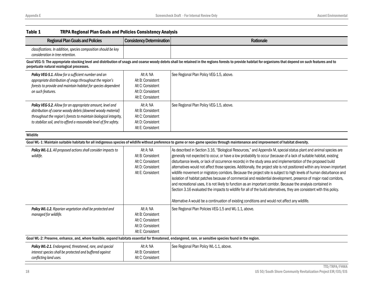| <b>Regional Plan Goals and Policies</b>                                                                                                                                                                                                                               | <b>Consistency Determination</b>                                                              | Rationale                                                                                                                                                                                                                                                                                                                                                                                                                                                                                                                                                                                                                                                                                                                                                                                                                                                                                                                                                                                                                                                                             |
|-----------------------------------------------------------------------------------------------------------------------------------------------------------------------------------------------------------------------------------------------------------------------|-----------------------------------------------------------------------------------------------|---------------------------------------------------------------------------------------------------------------------------------------------------------------------------------------------------------------------------------------------------------------------------------------------------------------------------------------------------------------------------------------------------------------------------------------------------------------------------------------------------------------------------------------------------------------------------------------------------------------------------------------------------------------------------------------------------------------------------------------------------------------------------------------------------------------------------------------------------------------------------------------------------------------------------------------------------------------------------------------------------------------------------------------------------------------------------------------|
| classifications. In addition, species composition should be key<br>consideration in tree retention.                                                                                                                                                                   |                                                                                               |                                                                                                                                                                                                                                                                                                                                                                                                                                                                                                                                                                                                                                                                                                                                                                                                                                                                                                                                                                                                                                                                                       |
| perpetuate natural ecological processes.                                                                                                                                                                                                                              |                                                                                               | Goal VEG-5: The appropriate stocking level and distribution of snags and coarse woody debris shall be retained in the regions forests to provide habitat for organisms that depend on such features and to                                                                                                                                                                                                                                                                                                                                                                                                                                                                                                                                                                                                                                                                                                                                                                                                                                                                            |
| Policy VEG-5.1. Allow for a sufficient number and an<br>appropriate distribution of snags throughout the region's<br>forests to provide and maintain habitat for species dependent<br>on such features.                                                               | Alt A: NA<br>Alt B: Consistent<br>Alt C: Consistent<br>Alt D: Consistent<br>Alt E: Consistent | See Regional Plan Policy VEG-1.5, above.                                                                                                                                                                                                                                                                                                                                                                                                                                                                                                                                                                                                                                                                                                                                                                                                                                                                                                                                                                                                                                              |
| Policy VEG-5.2. Allow for an appropriate amount, level and<br>distribution of coarse woody debris (downed woody material)<br>throughout the region's forests to maintain biological integrity,<br>to stabilize soil, and to afford a reasonable level of fire safety. | Alt A: NA<br>Alt B: Consistent<br>Alt C: Consistent<br>Alt D: Consistent<br>Alt E: Consistent | See Regional Plan Policy VEG-1.5, above.                                                                                                                                                                                                                                                                                                                                                                                                                                                                                                                                                                                                                                                                                                                                                                                                                                                                                                                                                                                                                                              |
| Wildlife                                                                                                                                                                                                                                                              |                                                                                               |                                                                                                                                                                                                                                                                                                                                                                                                                                                                                                                                                                                                                                                                                                                                                                                                                                                                                                                                                                                                                                                                                       |
|                                                                                                                                                                                                                                                                       |                                                                                               | Goal WL-1: Maintain suitable habitats for all indigenous species of wildlife without preference to game or non-game species through maintenance and improvement of habitat diversity.                                                                                                                                                                                                                                                                                                                                                                                                                                                                                                                                                                                                                                                                                                                                                                                                                                                                                                 |
| Policy WL-1.1. All proposed actions shall consider impacts to<br>wildlife.                                                                                                                                                                                            | Alt A: NA<br>Alt B: Consistent<br>Alt C: Consistent<br>Alt D: Consistent<br>Alt E: Consistent | As described in Section 3.16, "Biological Resources," and Appendix M, special status plant and animal species are<br>generally not expected to occur, or have a low probability to occur (because of a lack of suitable habitat, existing<br>disturbance levels, or lack of occurrence records) in the study area and implementation of the proposed build<br>alternatives would not affect those species. Additionally, the project site is not positioned within any known important<br>wildlife movement or migratory corridors. Because the project site is subject to high levels of human disturbance and<br>isolation of habitat patches because of commercial and residential development, presence of major road corridors,<br>and recreational uses, it is not likely to function as an important corridor. Because the analysis contained in<br>Section 3.16 evaluated the impacts to wildlife for all of the build alternatives, they are consistent with this policy.<br>Alternative A would be a continuation of existing conditions and would not affect any wildlife. |
| Policy WL-1.2. Riparian vegetation shall be protected and<br>managed for wildlife.                                                                                                                                                                                    | Alt A: NA<br>Alt B: Consistent<br>Alt C: Consistent<br>Alt D: Consistent<br>Alt E: Consistent | See Regional Plan Policies VEG-1.5 and WL-1.1, above.                                                                                                                                                                                                                                                                                                                                                                                                                                                                                                                                                                                                                                                                                                                                                                                                                                                                                                                                                                                                                                 |
| Goal WL-2: Preserve, enhance, and, where feasible, expand habitats essential for threatened, endangered, rare, or sensitive species found in the region.                                                                                                              |                                                                                               |                                                                                                                                                                                                                                                                                                                                                                                                                                                                                                                                                                                                                                                                                                                                                                                                                                                                                                                                                                                                                                                                                       |
| Policy WL-2.1. Endangered, threatened, rare, and special<br>interest species shall be protected and buffered against<br>conflicting land uses.                                                                                                                        | Alt A: NA<br>Alt B: Consistent<br>Alt C: Consistent                                           | See Regional Plan Policy WL-1.1, above.                                                                                                                                                                                                                                                                                                                                                                                                                                                                                                                                                                                                                                                                                                                                                                                                                                                                                                                                                                                                                                               |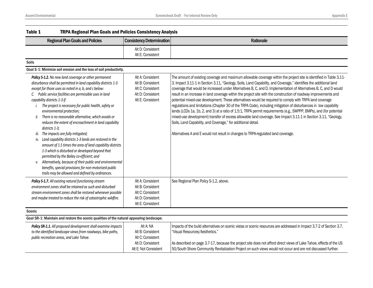| Table 1<br><b>TRPA Regional Plan Goals and Policies Consistency Analysis</b>                                                                                                                                                                                                                                                                                                                                                                                                                                                                                                                                                                                                                                                                                                                                                                                                                                                                                           |                                                                                                       |                                                                                                                                                                                                                                                                                                                                                                                                                                                                                                                                                                                                                                                                                                                                                                                                                                                                                                                                                                                                                                                                                                                   |
|------------------------------------------------------------------------------------------------------------------------------------------------------------------------------------------------------------------------------------------------------------------------------------------------------------------------------------------------------------------------------------------------------------------------------------------------------------------------------------------------------------------------------------------------------------------------------------------------------------------------------------------------------------------------------------------------------------------------------------------------------------------------------------------------------------------------------------------------------------------------------------------------------------------------------------------------------------------------|-------------------------------------------------------------------------------------------------------|-------------------------------------------------------------------------------------------------------------------------------------------------------------------------------------------------------------------------------------------------------------------------------------------------------------------------------------------------------------------------------------------------------------------------------------------------------------------------------------------------------------------------------------------------------------------------------------------------------------------------------------------------------------------------------------------------------------------------------------------------------------------------------------------------------------------------------------------------------------------------------------------------------------------------------------------------------------------------------------------------------------------------------------------------------------------------------------------------------------------|
| <b>Regional Plan Goals and Policies</b>                                                                                                                                                                                                                                                                                                                                                                                                                                                                                                                                                                                                                                                                                                                                                                                                                                                                                                                                | <b>Consistency Determination</b>                                                                      | Rationale                                                                                                                                                                                                                                                                                                                                                                                                                                                                                                                                                                                                                                                                                                                                                                                                                                                                                                                                                                                                                                                                                                         |
|                                                                                                                                                                                                                                                                                                                                                                                                                                                                                                                                                                                                                                                                                                                                                                                                                                                                                                                                                                        | Alt D: Consistent<br>Alt E: Consistent                                                                |                                                                                                                                                                                                                                                                                                                                                                                                                                                                                                                                                                                                                                                                                                                                                                                                                                                                                                                                                                                                                                                                                                                   |
| <b>Soils</b>                                                                                                                                                                                                                                                                                                                                                                                                                                                                                                                                                                                                                                                                                                                                                                                                                                                                                                                                                           |                                                                                                       |                                                                                                                                                                                                                                                                                                                                                                                                                                                                                                                                                                                                                                                                                                                                                                                                                                                                                                                                                                                                                                                                                                                   |
| Goal S-1: Minimize soil erosion and the loss of soil productivity.                                                                                                                                                                                                                                                                                                                                                                                                                                                                                                                                                                                                                                                                                                                                                                                                                                                                                                     |                                                                                                       |                                                                                                                                                                                                                                                                                                                                                                                                                                                                                                                                                                                                                                                                                                                                                                                                                                                                                                                                                                                                                                                                                                                   |
| Policy S-1.2. No new land coverage or other permanent<br>disturbance shall be permitted in land capability districts 1-3<br>except for those uses as noted in a, b, and c below:<br>C. Public service facilities are permissible uses in land<br>capability districts 1-3 if:<br>The project is necessary for public health, safety or<br>i.<br>environmental protection;<br>There is no reasonable alternative, which avoids or<br>ii.<br>reduces the extent of encroachment in land capability<br>districts 1-3:<br>The impacts are fully mitigated;<br>iii.<br>iv. Land capability districts 1-3 lands are restored in the<br>amount of 1.5 times the area of land capability districts<br>1-3 which is disturbed or developed beyond that<br>permitted by the Bailey co-efficient; and<br>v. Alternatively, because of their public and environmental<br>benefits, special provisions for non-motorized public<br>trails may be allowed and defined by ordinances. | Alt A: Consistent<br>Alt B: Consistent<br>Alt C: Consistent<br>Alt D: Consistent<br>Alt E: Consistent | The amount of existing coverage and maximum allowable coverage within the project site is identified in Table 3.11-<br>3. Impact 3.11-1 in Section 3.11, "Geology, Soils, Land Capability, and Coverage," identifies the additional land<br>coverage that would be increased under Alternatives B, C, and D. Implementation of Alternatives B, C, and D would<br>result in an increase in land coverage within the project site with the construction of roadway improvements and<br>potential mixed-use development. These alternatives would be required to comply with TRPA land coverage<br>regulations and limitations (Chapter 30 of the TRPA Code), including mitigation of disturbances in low capability<br>lands (LCDs 1a, 1b, 2, and 3) at a ratio of 1.5:1, TRPA permit requirements (e.g., SWPPP, BMPs), and (for potential<br>mixed-use development) transfer of excess allowable land coverage. See Impact 3.11-1 in Section 3.11, "Geology,<br>Soils, Land Capability, and Coverage," for additional detail.<br>Alternatives A and E would not result in changes to TRPA-regulated land coverage. |
| Policy S-1.7. All existing natural functioning stream<br>environment zones shall be retained as such and disturbed<br>stream environment zones shall be restored whenever possible<br>and maybe treated to reduce the risk of catastrophic wildfire.                                                                                                                                                                                                                                                                                                                                                                                                                                                                                                                                                                                                                                                                                                                   | Alt A: Consistent<br>Alt B: Consistent<br>Alt C: Consistent<br>Alt D: Consistent<br>Alt E: Consistent | See Regional Plan Policy S-1.2, above.                                                                                                                                                                                                                                                                                                                                                                                                                                                                                                                                                                                                                                                                                                                                                                                                                                                                                                                                                                                                                                                                            |
| Scenic                                                                                                                                                                                                                                                                                                                                                                                                                                                                                                                                                                                                                                                                                                                                                                                                                                                                                                                                                                 |                                                                                                       |                                                                                                                                                                                                                                                                                                                                                                                                                                                                                                                                                                                                                                                                                                                                                                                                                                                                                                                                                                                                                                                                                                                   |
| Goal SR-1: Maintain and restore the scenic qualities of the natural appearing landscape.                                                                                                                                                                                                                                                                                                                                                                                                                                                                                                                                                                                                                                                                                                                                                                                                                                                                               |                                                                                                       |                                                                                                                                                                                                                                                                                                                                                                                                                                                                                                                                                                                                                                                                                                                                                                                                                                                                                                                                                                                                                                                                                                                   |
| Policy SR-1.1. All proposed development shall examine impacts<br>to the identified landscape views from roadways, bike paths,<br>public recreation areas, and Lake Tahoe.                                                                                                                                                                                                                                                                                                                                                                                                                                                                                                                                                                                                                                                                                                                                                                                              | Alt A: NA<br>Alt B: Consistent<br>Alt C: Consistent                                                   | Impacts of the build alternatives on scenic vistas or scenic resources are addressed in Impact 3.7-2 of Section 3.7,<br>"Visual Resources/Aesthetics."                                                                                                                                                                                                                                                                                                                                                                                                                                                                                                                                                                                                                                                                                                                                                                                                                                                                                                                                                            |
|                                                                                                                                                                                                                                                                                                                                                                                                                                                                                                                                                                                                                                                                                                                                                                                                                                                                                                                                                                        | Alt D: Consistent                                                                                     | As described on page 3.7-17, because the project site does not afford direct views of Lake Tahoe, effects of the US                                                                                                                                                                                                                                                                                                                                                                                                                                                                                                                                                                                                                                                                                                                                                                                                                                                                                                                                                                                               |

50/South Shore Community Revitalization Project on such views would not occur and are not discussed further.

Alt E: Not Consistent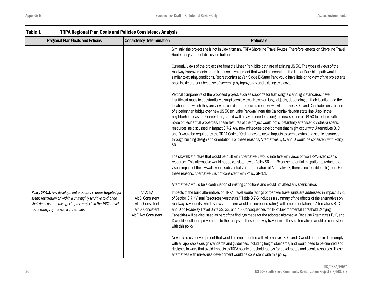| LANIC T<br>TREA RESIGNAL FIAIL QUAIS AND FUILLES CONSISTENCY ANALYSIS                                                                                                                                                                        |                                                                                                   |                                                                                                                                                                                                                                                                                                                                                                                                                                                                                                                                                                                                                                                                                                                                                                                                                                                                                                                                                                                                                                                                                              |
|----------------------------------------------------------------------------------------------------------------------------------------------------------------------------------------------------------------------------------------------|---------------------------------------------------------------------------------------------------|----------------------------------------------------------------------------------------------------------------------------------------------------------------------------------------------------------------------------------------------------------------------------------------------------------------------------------------------------------------------------------------------------------------------------------------------------------------------------------------------------------------------------------------------------------------------------------------------------------------------------------------------------------------------------------------------------------------------------------------------------------------------------------------------------------------------------------------------------------------------------------------------------------------------------------------------------------------------------------------------------------------------------------------------------------------------------------------------|
| <b>Regional Plan Goals and Policies</b>                                                                                                                                                                                                      | <b>Consistency Determination</b>                                                                  | Rationale                                                                                                                                                                                                                                                                                                                                                                                                                                                                                                                                                                                                                                                                                                                                                                                                                                                                                                                                                                                                                                                                                    |
|                                                                                                                                                                                                                                              |                                                                                                   | Similarly, the project site is not in view from any TRPA Shoreline Travel Routes. Therefore, effects on Shoreline Travel<br>Route ratings are not discussed further.                                                                                                                                                                                                                                                                                                                                                                                                                                                                                                                                                                                                                                                                                                                                                                                                                                                                                                                         |
|                                                                                                                                                                                                                                              |                                                                                                   | Currently, views of the project site from the Linear Park bike path are of existing US 50. The types of views of the<br>roadway improvements and mixed-use development that would be seen from the Linear Park bike path would be<br>similar to existing conditions. Recreationists at Van Sickle Bi-State Park would have little or no view of the project site<br>once inside the park because of screening by topography and existing tree cover.                                                                                                                                                                                                                                                                                                                                                                                                                                                                                                                                                                                                                                         |
|                                                                                                                                                                                                                                              |                                                                                                   | Vertical components of the proposed project, such as supports for traffic signals and light standards, have<br>insufficient mass to substantially disrupt scenic views. However, large objects, depending on their location and the<br>location from which they are viewed, could interfere with scenic views. Alternatives B, C, and D include construction<br>of a pedestrian bridge over new US 50 (on Lake Parkway) near the California/Nevada state line. Also, in the<br>neighborhood east of Pioneer Trail, sound walls may be needed along the new section of US 50 to reduce traffic<br>noise on residential properties. These features of the project would not substantially alter scenic vistas or scenic<br>resources, as discussed in Impact 3.7-2. Any new mixed-use development that might occur with Alternatives B, C,<br>and D would be required by the TRPA Code of Ordinances to avoid impacts to scenic vistas and scenic resources<br>through building design and orientation. For these reasons, Alternatives B, C, and D would be consistent with Policy<br>SR-1.1. |
|                                                                                                                                                                                                                                              |                                                                                                   | The skywalk structure that would be built with Alternative E would interfere with views of two TRPA-listed scenic<br>resources. This alternative would not be consistent with Policy SR-1.1. Because potential mitigation to reduce the<br>visual impact of the skywalk would substantially alter the nature of Alternative E, there is no feasible mitigation. For<br>these reasons, Alternative E is not consistent with Policy SR-1.1.                                                                                                                                                                                                                                                                                                                                                                                                                                                                                                                                                                                                                                                    |
|                                                                                                                                                                                                                                              |                                                                                                   | Alternative A would be a continuation of existing conditions and would not affect any scenic views.                                                                                                                                                                                                                                                                                                                                                                                                                                                                                                                                                                                                                                                                                                                                                                                                                                                                                                                                                                                          |
| Policy SR-1.2. Any development proposed in areas targeted for<br>scenic restoration or within a unit highly sensitive to change<br>shall demonstrate the effect of the project on the 1982 travel<br>route ratings of the scenic thresholds. | Alt A: NA<br>Alt B: Consistent<br>Alt C: Consistent<br>Alt D: Consistent<br>Alt E: Not Consistent | Impacts of the build alternatives on TRPA Travel Route ratings of roadway travel units are addressed in Impact 3.7-1<br>of Section 3.7, "Visual Resources/Aesthetics." Table 3.7-6 includes a summary of the effects of the alternatives on<br>roadway travel units, which shows that there would be increased ratings with implementation of Alternatives B, C,<br>and D on Roadway Travel Units 32, 33, and 45. Consequences for TRPA Environmental Threshold Carrying<br>Capacities will be discussed as part of the findings made for the adopted alternative. Because Alternatives B, C, and<br>D would result in improvements to the ratings on these roadway travel units, these alternatives would be consistent<br>with this policy.                                                                                                                                                                                                                                                                                                                                                |
|                                                                                                                                                                                                                                              |                                                                                                   | New mixed-use development that would be implemented with Alternatives B, C, and D would be required to comply<br>with all applicable design standards and guidelines, including height standards, and would need to be oriented and<br>designed in ways that avoid impacts to TRPA scenic threshold ratings for travel routes and scenic resources. These<br>alternatives with mixed-use development would be consistent with this policy.                                                                                                                                                                                                                                                                                                                                                                                                                                                                                                                                                                                                                                                   |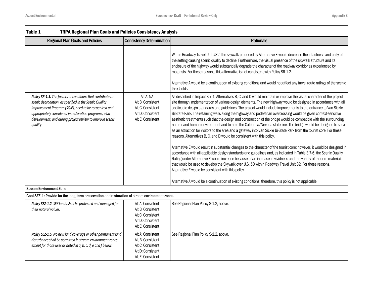| <b>Regional Plan Goals and Policies</b>                                                                                                                                                                                                                                                                                                                                                                           | <b>Consistency Determination</b>                                                                                                                                                                                                                                                                                                                                                                                                                                                                                                                                                                                                                                                                                                                                                                                                                                                                                                                                                                                                                                                                                                                                                    | Rationale                                                                                                                                                                                                                                                                                                                                                                                                                                                                                                                                                                               |
|-------------------------------------------------------------------------------------------------------------------------------------------------------------------------------------------------------------------------------------------------------------------------------------------------------------------------------------------------------------------------------------------------------------------|-------------------------------------------------------------------------------------------------------------------------------------------------------------------------------------------------------------------------------------------------------------------------------------------------------------------------------------------------------------------------------------------------------------------------------------------------------------------------------------------------------------------------------------------------------------------------------------------------------------------------------------------------------------------------------------------------------------------------------------------------------------------------------------------------------------------------------------------------------------------------------------------------------------------------------------------------------------------------------------------------------------------------------------------------------------------------------------------------------------------------------------------------------------------------------------|-----------------------------------------------------------------------------------------------------------------------------------------------------------------------------------------------------------------------------------------------------------------------------------------------------------------------------------------------------------------------------------------------------------------------------------------------------------------------------------------------------------------------------------------------------------------------------------------|
|                                                                                                                                                                                                                                                                                                                                                                                                                   |                                                                                                                                                                                                                                                                                                                                                                                                                                                                                                                                                                                                                                                                                                                                                                                                                                                                                                                                                                                                                                                                                                                                                                                     | Within Roadway Travel Unit #32, the skywalk proposed by Alternative E would decrease the intactness and unity of<br>the setting causing scenic quality to decline. Furthermore, the visual presence of the skywalk structure and its<br>enclosure of the highway would substantially degrade the character of the roadway corridor as experienced by<br>motorists. For these reasons, this alternative is not consistent with Policy SR-1.2.<br>Alternative A would be a continuation of existing conditions and would not affect any travel route ratings of the scenic<br>thresholds. |
| Policy SR-1.3. The factors or conditions that contribute to<br>Alt A: NA<br>scenic degradation, as specified in the Scenic Quality<br>Alt B: Consistent<br>Improvement Program (SQIP), need to be recognized and<br>Alt C: Consistent<br>appropriately considered in restoration programs, plan<br>Alt D: Consistent<br>development, and during project review to improve scenic<br>Alt E: Consistent<br>quality. | As described in Impact 3.7-1, Alternatives B, C, and D would maintain or improve the visual character of the project<br>site through implementation of various design elements. The new highway would be designed in accordance with all<br>applicable design standards and guidelines. The project would include improvements to the entrance to Van Sickle<br>Bi-State Park. The retaining walls along the highway and pedestrian overcrossing would be given context-sensitive<br>aesthetic treatments such that the design and construction of the bridge would be compatible with the surrounding<br>natural and human environment and to note the California/Nevada state line. The bridge would be designed to serve<br>as an attraction for visitors to the area and a gateway into Van Sickle Bi-State Park from the tourist core. For these<br>reasons, Alternatives B, C, and D would be consistent with this policy.<br>Alternative E would result in substantial changes to the character of the tourist core; however, it would be designed in<br>accordance with all applicable design standards and guidelines and, as indicated in Table 3.7-6, the Scenic Quality |                                                                                                                                                                                                                                                                                                                                                                                                                                                                                                                                                                                         |
|                                                                                                                                                                                                                                                                                                                                                                                                                   |                                                                                                                                                                                                                                                                                                                                                                                                                                                                                                                                                                                                                                                                                                                                                                                                                                                                                                                                                                                                                                                                                                                                                                                     | Rating under Alternative E would increase because of an increase in vividness and the variety of modern materials<br>that would be used to develop the Skywalk over U.S. 50 within Roadway Travel Unit 32. For these reasons,<br>Alternative E would be consistent with this policy.<br>Alternative A would be a continuation of existing conditions; therefore, this policy is not applicable.                                                                                                                                                                                         |

#### Stream Environment Zone

Goal SEZ-1: Provide for the long-term preservation and restoration of stream environment zones.

| Policy SEZ-1.2. SEZ lands shall be protected and managed for<br>their natural values.                                                                                                             | Alt A: Consistent<br>Alt B: Consistent<br>Alt C: Consistent<br>Alt D: Consistent<br>Alt E: Consistent | See Regional Plan Policy S-1.2, above. |
|---------------------------------------------------------------------------------------------------------------------------------------------------------------------------------------------------|-------------------------------------------------------------------------------------------------------|----------------------------------------|
| <b>Policy SEZ-1.5.</b> No new land coverage or other permanent land<br>disturbance shall be permitted in stream environment zones<br>except for those uses as noted in a, b, c, d, e and f below: | Alt A: Consistent<br>Alt B: Consistent<br>Alt C: Consistent<br>Alt D: Consistent<br>Alt E: Consistent | See Regional Plan Policy S-1.2, above. |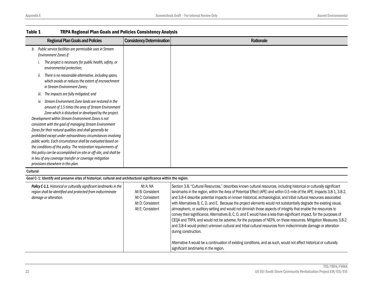| <b>Regional Plan Goals and Policies</b>                                                                                                                                                                                                                                                                                                                                                                                                                                                                                                                                                                                                                                                                                  | <b>Consistency Determination</b>                                                              | Rationale                                                                                                                                                                                                                                                                                                                                                                                                                                                                                                                                                                                                                                                                                                                                                                                                                                                                                                                                                                                                 |
|--------------------------------------------------------------------------------------------------------------------------------------------------------------------------------------------------------------------------------------------------------------------------------------------------------------------------------------------------------------------------------------------------------------------------------------------------------------------------------------------------------------------------------------------------------------------------------------------------------------------------------------------------------------------------------------------------------------------------|-----------------------------------------------------------------------------------------------|-----------------------------------------------------------------------------------------------------------------------------------------------------------------------------------------------------------------------------------------------------------------------------------------------------------------------------------------------------------------------------------------------------------------------------------------------------------------------------------------------------------------------------------------------------------------------------------------------------------------------------------------------------------------------------------------------------------------------------------------------------------------------------------------------------------------------------------------------------------------------------------------------------------------------------------------------------------------------------------------------------------|
| b. Public service facilities are permissible uses in Stream<br>Environment Zones if:                                                                                                                                                                                                                                                                                                                                                                                                                                                                                                                                                                                                                                     |                                                                                               |                                                                                                                                                                                                                                                                                                                                                                                                                                                                                                                                                                                                                                                                                                                                                                                                                                                                                                                                                                                                           |
| The project is necessary for public health, safety, or<br>i.<br>environmental protection;                                                                                                                                                                                                                                                                                                                                                                                                                                                                                                                                                                                                                                |                                                                                               |                                                                                                                                                                                                                                                                                                                                                                                                                                                                                                                                                                                                                                                                                                                                                                                                                                                                                                                                                                                                           |
| There is no reasonable alternative, including spans,<br>ii.<br>which avoids or reduces the extent of encroachment<br>in Stream Environment Zones;                                                                                                                                                                                                                                                                                                                                                                                                                                                                                                                                                                        |                                                                                               |                                                                                                                                                                                                                                                                                                                                                                                                                                                                                                                                                                                                                                                                                                                                                                                                                                                                                                                                                                                                           |
| iii. The impacts are fully mitigated; and                                                                                                                                                                                                                                                                                                                                                                                                                                                                                                                                                                                                                                                                                |                                                                                               |                                                                                                                                                                                                                                                                                                                                                                                                                                                                                                                                                                                                                                                                                                                                                                                                                                                                                                                                                                                                           |
| iv. Stream Environment Zone lands are restored in the<br>amount of 1.5 times the area of Stream Environment<br>Zone which is disturbed or developed by the project.<br>Development within Stream Environment Zones is not<br>consistent with the goal of managing Stream Environment<br>Zones for their natural qualities and shall generally be<br>prohibited except under extraordinary circumstances involving<br>public works. Each circumstance shall be evaluated based on<br>the conditions of this policy. The restoration requirements of<br>this policy can be accomplished on-site or off-site, and shall be<br>in lieu of any coverage transfer or coverage mitigation<br>provisions elsewhere in this plan. |                                                                                               |                                                                                                                                                                                                                                                                                                                                                                                                                                                                                                                                                                                                                                                                                                                                                                                                                                                                                                                                                                                                           |
| Cultural                                                                                                                                                                                                                                                                                                                                                                                                                                                                                                                                                                                                                                                                                                                 |                                                                                               |                                                                                                                                                                                                                                                                                                                                                                                                                                                                                                                                                                                                                                                                                                                                                                                                                                                                                                                                                                                                           |
| Goal C-1: Identify and preserve sites of historical, cultural and architectural significance within the region.                                                                                                                                                                                                                                                                                                                                                                                                                                                                                                                                                                                                          |                                                                                               |                                                                                                                                                                                                                                                                                                                                                                                                                                                                                                                                                                                                                                                                                                                                                                                                                                                                                                                                                                                                           |
| Policy C-1.1. Historical or culturally significant landmarks in the<br>region shall be identified and protected from indiscriminate<br>damage or alteration.                                                                                                                                                                                                                                                                                                                                                                                                                                                                                                                                                             | Alt A: NA<br>Alt B: Consistent<br>Alt C: Consistent<br>Alt D: Consistent<br>Alt E: Consistent | Section 3.8, "Cultural Resources," describes known cultural resources, including historical or culturally significant<br>landmarks in the region, within the Area of Potential Effect (APE) and within 0.5 mile of the APE. Impacts 3.8-1, 3.8-2,<br>and 3.8-4 describe potential impacts on known historical, archaeological, and tribal cultural resources associated<br>with Alternatives B, C, D, and E. Because the project elements would not substantially degrade the existing visual,<br>atmospheric, or auditory setting and would not diminish those aspects of integrity that enable the resources to<br>convey their significance, Alternatives B, C, D, and E would have a less-than-significant impact, for the purposes of<br>CEQA and TRPA, and would not be adverse, for the purposes of NEPA, on these resources. Mitigation Measures 3.8-2<br>and 3.8-4 would protect unknown cultural and tribal cultural resources from indiscriminate damage or alteration<br>during construction. |
|                                                                                                                                                                                                                                                                                                                                                                                                                                                                                                                                                                                                                                                                                                                          |                                                                                               | Alternative A would be a continuation of existing conditions, and as such, would not affect historical or culturally<br>significant landmarks in the region.                                                                                                                                                                                                                                                                                                                                                                                                                                                                                                                                                                                                                                                                                                                                                                                                                                              |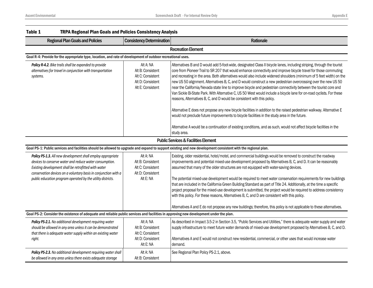| Table 1<br><b>TRPA Regional Plan Goals and Policies Consistency Analysis</b>                                                                                                                                                                                                                                     |                                                                                               |                                                                                                                                                                                                                                                                                                                                                                                                                                                                                                                                                                                                                                                                                                                                                                                                                                                                                                                                                                                                                                                                                                                                                                 |  |
|------------------------------------------------------------------------------------------------------------------------------------------------------------------------------------------------------------------------------------------------------------------------------------------------------------------|-----------------------------------------------------------------------------------------------|-----------------------------------------------------------------------------------------------------------------------------------------------------------------------------------------------------------------------------------------------------------------------------------------------------------------------------------------------------------------------------------------------------------------------------------------------------------------------------------------------------------------------------------------------------------------------------------------------------------------------------------------------------------------------------------------------------------------------------------------------------------------------------------------------------------------------------------------------------------------------------------------------------------------------------------------------------------------------------------------------------------------------------------------------------------------------------------------------------------------------------------------------------------------|--|
| <b>Regional Plan Goals and Policies</b>                                                                                                                                                                                                                                                                          | <b>Consistency Determination</b>                                                              | Rationale                                                                                                                                                                                                                                                                                                                                                                                                                                                                                                                                                                                                                                                                                                                                                                                                                                                                                                                                                                                                                                                                                                                                                       |  |
|                                                                                                                                                                                                                                                                                                                  |                                                                                               | <b>Recreation Element</b>                                                                                                                                                                                                                                                                                                                                                                                                                                                                                                                                                                                                                                                                                                                                                                                                                                                                                                                                                                                                                                                                                                                                       |  |
| Goal R-4: Provide for the appropriate type, location, and rate of development of outdoor recreational uses.                                                                                                                                                                                                      |                                                                                               |                                                                                                                                                                                                                                                                                                                                                                                                                                                                                                                                                                                                                                                                                                                                                                                                                                                                                                                                                                                                                                                                                                                                                                 |  |
| Policy R-4.2. Bike trails shall be expanded to provide<br>alternatives for travel in conjunction with transportation<br>systems.                                                                                                                                                                                 | Alt A: NA<br>Alt B: Consistent<br>Alt C: Consistent<br>Alt D: Consistent<br>Alt E: Consistent | Alternatives B and D would add 5-foot-wide, designated Class II bicycle lanes, including striping, through the tourist<br>core from Pioneer Trail to SR 207 that would enhance connectivity and improve bicycle travel for those commuting<br>and recreating in the area. Both alternatives would also include widened shoulders (minimum of 5 feet width) on the<br>new US 50 alignment. Alternatives B, C, and D would construct a new pedestrian overcrossing over the new US 50<br>near the California/Nevada state line to improve bicycle and pedestrian connectivity between the tourist core and<br>Van Sickle Bi-State Park. With Alternative C, US 50 West would include a bicycle lane for on-road cyclists. For these<br>reasons, Alternatives B, C, and D would be consistent with this policy.<br>Alternative E does not propose any new bicycle facilities in addition to the raised pedestrian walkway. Alternative E<br>would not preclude future improvements to bicycle facilities in the study area in the future.<br>Alternative A would be a continuation of existing conditions, and as such, would not affect bicycle facilities in the |  |
|                                                                                                                                                                                                                                                                                                                  |                                                                                               | study area.                                                                                                                                                                                                                                                                                                                                                                                                                                                                                                                                                                                                                                                                                                                                                                                                                                                                                                                                                                                                                                                                                                                                                     |  |
|                                                                                                                                                                                                                                                                                                                  |                                                                                               | <b>Public Services &amp; Facilities Element</b>                                                                                                                                                                                                                                                                                                                                                                                                                                                                                                                                                                                                                                                                                                                                                                                                                                                                                                                                                                                                                                                                                                                 |  |
|                                                                                                                                                                                                                                                                                                                  |                                                                                               | Goal PS-1: Public services and facilities should be allowed to upgrade and expand to support existing and new development consistent with the regional plan.                                                                                                                                                                                                                                                                                                                                                                                                                                                                                                                                                                                                                                                                                                                                                                                                                                                                                                                                                                                                    |  |
| Policy PS-1.3. All new development shall employ appropriate<br>devices to conserve water and reduce water consumption.<br>Existing development shall be retrofitted with water<br>conservation devices on a voluntary basis in conjunction with a<br>public education program operated by the utility districts. | Alt A: NA<br>Alt B: Consistent<br>Alt C: Consistent<br>Alt D: Consistent<br>Alt E: NA         | Existing, older residential, hotel/motel, and commercial buildings would be removed to construct the roadway<br>improvements and potential mixed-use development proposed by Alternatives B, C, and D. It can be reasonably<br>assumed that many of the older structures are not equipped with water-saving devices.<br>The potential mixed-use development would be required to meet water conservation requirements for new buildings<br>that are included in the California Green Building Standard as part of Title 24. Additionally, at the time a specific<br>project proposal for the mixed-use development is submitted, the project would be required to address consistency<br>with this policy. For these reasons, Alternatives B, C, and D are consistent with this policy.<br>Alternatives A and E do not propose any new buildings; therefore, this policy is not applicable to these alternatives.                                                                                                                                                                                                                                               |  |
| Goal PS-2: Consider the existence of adequate and reliable public services and facilities in approving new development under the plan.                                                                                                                                                                           |                                                                                               |                                                                                                                                                                                                                                                                                                                                                                                                                                                                                                                                                                                                                                                                                                                                                                                                                                                                                                                                                                                                                                                                                                                                                                 |  |
| Policy PS-2.1. No additional development requiring water<br>should be allowed in any area unless it can be demonstrated<br>that there is adequate water supply within an existing water<br>right.                                                                                                                | Alt A: NA<br>Alt B: Consistent<br>Alt C: Consistent<br>Alt D: Consistent<br>Alt E: NA         | As described in Impact 3.5-2 in Section 3.5, "Public Services and Utilities," there is adequate water supply and water<br>supply infrastructure to meet future water demands of mixed-use development proposed by Alternatives B, C, and D.<br>Alternatives A and E would not construct new residential, commercial, or other uses that would increase water<br>demand.                                                                                                                                                                                                                                                                                                                                                                                                                                                                                                                                                                                                                                                                                                                                                                                         |  |
| Policy PS-2.3. No additional development requiring water shall<br>be allowed in any area unless there exists adequate storage                                                                                                                                                                                    | Alt A: NA<br>Alt B: Consistent                                                                | See Regional Plan Policy PS-2.1, above.                                                                                                                                                                                                                                                                                                                                                                                                                                                                                                                                                                                                                                                                                                                                                                                                                                                                                                                                                                                                                                                                                                                         |  |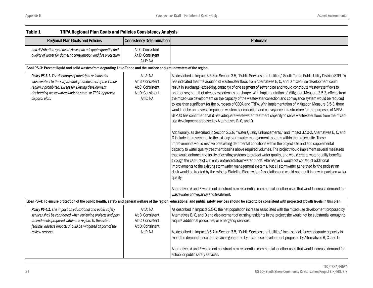| Table 1<br><b>TRPA Regional Plan Goals and Policies Consistency Analysis</b>                                                                                                                                                                                           |                                                                                       |                                                                                                                                                                                                                                                                                                                                                                                                                                                                                                                                                                                                                                                                                                                                                                                                                                                                                                                                                                                                                          |
|------------------------------------------------------------------------------------------------------------------------------------------------------------------------------------------------------------------------------------------------------------------------|---------------------------------------------------------------------------------------|--------------------------------------------------------------------------------------------------------------------------------------------------------------------------------------------------------------------------------------------------------------------------------------------------------------------------------------------------------------------------------------------------------------------------------------------------------------------------------------------------------------------------------------------------------------------------------------------------------------------------------------------------------------------------------------------------------------------------------------------------------------------------------------------------------------------------------------------------------------------------------------------------------------------------------------------------------------------------------------------------------------------------|
| <b>Regional Plan Goals and Policies</b>                                                                                                                                                                                                                                | <b>Consistency Determination</b>                                                      | Rationale                                                                                                                                                                                                                                                                                                                                                                                                                                                                                                                                                                                                                                                                                                                                                                                                                                                                                                                                                                                                                |
| and distribution systems to deliver an adequate quantity and<br>quality of water for domestic consumption and fire protection.                                                                                                                                         | Alt C: Consistent<br>Alt D: Consistent<br>Alt E: NA                                   |                                                                                                                                                                                                                                                                                                                                                                                                                                                                                                                                                                                                                                                                                                                                                                                                                                                                                                                                                                                                                          |
| Goal PS-3: Prevent liquid and solid wastes from degrading Lake Tahoe and the surface and groundwaters of the region.                                                                                                                                                   |                                                                                       |                                                                                                                                                                                                                                                                                                                                                                                                                                                                                                                                                                                                                                                                                                                                                                                                                                                                                                                                                                                                                          |
| Policy PS-3.1. The discharge of municipal or industrial<br>wastewaters to the surface and groundwaters of the Tahoe<br>region is prohibited, except for existing development<br>discharging wastewaters under a state- or TRPA-approved<br>disposal plan.              | Alt A: NA<br>Alt B: Consistent<br>Alt C: Consistent<br>Alt D: Consistent<br>Alt E: NA | As described in Impact 3.5-3 in Section 3.5, "Public Services and Utilities," South Tahoe Public Utility District (STPUD)<br>has indicated that the addition of wastewater flows from Alternatives B, C, and D mixed-use development could<br>result in surcharge (exceeding capacity) of one segment of sewer pipe and would contribute wastewater flows to<br>another segment that already experiences surcharge. With implementation of Mitigation Measure 3.5-3, effects from<br>the mixed-use development on the capacity of the wastewater collection and conveyance system would be reduced<br>to less than significant for the purposes of CEQA and TRPA. With implementation of Mitigation Measure 3.5-3, there<br>would not be an adverse impact on wastewater collection and conveyance infrastructure for the purposes of NEPA.<br>STPUD has confirmed that it has adequate wastewater treatment capacity to serve wastewater flows from the mixed-<br>use development proposed by Alternatives B, C, and D. |
|                                                                                                                                                                                                                                                                        |                                                                                       | Additionally, as described in Section 2.3.8, "Water Quality Enhancements," and Impact 3.10-2, Alternatives B, C, and<br>D include improvements to the existing stormwater management systems within the project site. These<br>improvements would resolve preexisting detrimental conditions within the project site and add supplemental<br>capacity to water quality treatment basins above required volumes. The project would implement several measures<br>that would enhance the ability of existing systems to protect water quality, and would create water quality benefits<br>through the capture of currently untreated stormwater runoff. Alternative E would not construct additional<br>improvements to the existing stormwater management systems, but all stormwater generated by the pedestrian<br>deck would be treated by the existing Stateline Stormwater Association and would not result in new impacts on water<br>quality.                                                                      |
|                                                                                                                                                                                                                                                                        |                                                                                       | Alternatives A and E would not construct new residential, commercial, or other uses that would increase demand for<br>wastewater conveyance and treatment.                                                                                                                                                                                                                                                                                                                                                                                                                                                                                                                                                                                                                                                                                                                                                                                                                                                               |
|                                                                                                                                                                                                                                                                        |                                                                                       | Goal PS-4: To ensure protection of the public health, safety and general welfare of the region, educational and public safety services should be sized to be consistent with projected growth levels in this plan.                                                                                                                                                                                                                                                                                                                                                                                                                                                                                                                                                                                                                                                                                                                                                                                                       |
| Policy PS-4.1. The impact on educational and public safety<br>services shall be considered when reviewing projects and plan<br>amendments proposed within the region. To the extent<br>feasible, adverse impacts should be mitigated as part of the<br>review process. | Alt A: NA<br>Alt B: Consistent<br>Alt C: Consistent<br>Alt D: Consistent<br>Alt E: NA | As described in Impacts 3.5-6, the net population increase associated with the mixed-use development proposed by<br>Alternatives B, C, and D and displacement of existing residents in the project site would not be substantial enough to<br>require additional police, fire, or emergency services.<br>As described in Impact 3.5-7 in Section 3.5, "Public Services and Utilities," local schools have adequate capacity to<br>meet the demand for school services generated by mixed-use development proposed by Alternatives B, C, and D.                                                                                                                                                                                                                                                                                                                                                                                                                                                                           |
|                                                                                                                                                                                                                                                                        |                                                                                       | Alternatives A and E would not construct new residential, commercial, or other uses that would increase demand for<br>school or public safety services.                                                                                                                                                                                                                                                                                                                                                                                                                                                                                                                                                                                                                                                                                                                                                                                                                                                                  |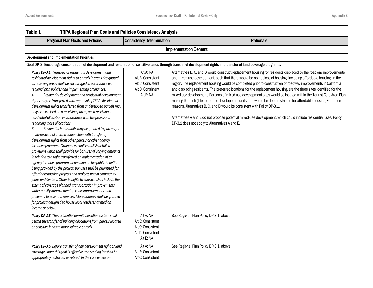| Table 1<br><b>TRPA Regional Plan Goals and Policies Consistency Analysis</b>                                                                                                                                                                                                                                                                                                                                                                                                                                                                                                                                                                                                                                                                                                                                                                                                                                                                                                                                                                                                                                                                                                                                                                                                                                                                                                                                                                                                                                          |                                                                                       |                                                                                                                                                                                                                                                                                                                                                                                                                                                                                                                                                                                                                                                                                                                                                                                                                                                                                                                                                                              |  |  |  |
|-----------------------------------------------------------------------------------------------------------------------------------------------------------------------------------------------------------------------------------------------------------------------------------------------------------------------------------------------------------------------------------------------------------------------------------------------------------------------------------------------------------------------------------------------------------------------------------------------------------------------------------------------------------------------------------------------------------------------------------------------------------------------------------------------------------------------------------------------------------------------------------------------------------------------------------------------------------------------------------------------------------------------------------------------------------------------------------------------------------------------------------------------------------------------------------------------------------------------------------------------------------------------------------------------------------------------------------------------------------------------------------------------------------------------------------------------------------------------------------------------------------------------|---------------------------------------------------------------------------------------|------------------------------------------------------------------------------------------------------------------------------------------------------------------------------------------------------------------------------------------------------------------------------------------------------------------------------------------------------------------------------------------------------------------------------------------------------------------------------------------------------------------------------------------------------------------------------------------------------------------------------------------------------------------------------------------------------------------------------------------------------------------------------------------------------------------------------------------------------------------------------------------------------------------------------------------------------------------------------|--|--|--|
| <b>Regional Plan Goals and Policies</b>                                                                                                                                                                                                                                                                                                                                                                                                                                                                                                                                                                                                                                                                                                                                                                                                                                                                                                                                                                                                                                                                                                                                                                                                                                                                                                                                                                                                                                                                               | <b>Consistency Determination</b>                                                      | Rationale                                                                                                                                                                                                                                                                                                                                                                                                                                                                                                                                                                                                                                                                                                                                                                                                                                                                                                                                                                    |  |  |  |
|                                                                                                                                                                                                                                                                                                                                                                                                                                                                                                                                                                                                                                                                                                                                                                                                                                                                                                                                                                                                                                                                                                                                                                                                                                                                                                                                                                                                                                                                                                                       | <b>Implementation Element</b>                                                         |                                                                                                                                                                                                                                                                                                                                                                                                                                                                                                                                                                                                                                                                                                                                                                                                                                                                                                                                                                              |  |  |  |
| <b>Development and Implementation Priorities</b>                                                                                                                                                                                                                                                                                                                                                                                                                                                                                                                                                                                                                                                                                                                                                                                                                                                                                                                                                                                                                                                                                                                                                                                                                                                                                                                                                                                                                                                                      |                                                                                       |                                                                                                                                                                                                                                                                                                                                                                                                                                                                                                                                                                                                                                                                                                                                                                                                                                                                                                                                                                              |  |  |  |
|                                                                                                                                                                                                                                                                                                                                                                                                                                                                                                                                                                                                                                                                                                                                                                                                                                                                                                                                                                                                                                                                                                                                                                                                                                                                                                                                                                                                                                                                                                                       |                                                                                       | Goal DP-3. Encourage consolidation of development and restoration of sensitive lands through transfer of development rights and transfer of land coverage programs.                                                                                                                                                                                                                                                                                                                                                                                                                                                                                                                                                                                                                                                                                                                                                                                                          |  |  |  |
| Policy DP-3.1. Transfers of residential development and<br>residential development rights to parcels in areas designated<br>as receiving areas shall be encouraged in accordance with<br>regional plan policies and implementing ordinances.<br>Residential development and residential development<br>А.<br>rights may be transferred with approval of TRPA. Residential<br>development rights transferred from undeveloped parcels may<br>only be exercised on a receiving parcel, upon receiving a<br>residential allocation in accordance with the provisions<br>regarding those allocations.<br>Residential bonus units may be granted to parcels for<br>В.<br>multi-residential units in conjunction with transfer of<br>development rights from other parcels or other agency<br>incentive programs. Ordinances shall establish detailed<br>provisions which shall provide for bonuses of varying amounts<br>in relation to a right transferred or implementation of an<br>agency incentive program, depending on the public benefits<br>being provided by the project. Bonuses shall be prioritized for<br>affordable housing projects and projects within community<br>plans and Centers. Other benefits to consider shall include the<br>extent of coverage planned, transportation improvements,<br>water quality improvements, scenic improvements, and<br>proximity to essential services. More bonuses shall be granted<br>for projects designed to house local residents at median<br>income or below. | Alt A: NA<br>Alt B: Consistent<br>Alt C: Consistent<br>Alt D: Consistent<br>Alt E: NA | Alternatives B, C, and D would construct replacement housing for residents displaced by the roadway improvements<br>and mixed-use development, such that there would be no net loss of housing, including affordable housing, in the<br>region. The replacement housing would be completed prior to construction of roadway improvements in California<br>and displacing residents. The preferred locations for the replacement housing are the three sites identified for the<br>mixed-use development. Portions of mixed-use development sites would be located within the Tourist Core Area Plan,<br>making them eligible for bonus development units that would be deed-restricted for affordable housing. For these<br>reasons, Alternatives B, C, and D would be consistent with Policy DP-3.1.<br>Alternatives A and E do not propose potential mixed-use development, which could include residential uses. Policy<br>DP-3.1 does not apply to Alternatives A and E. |  |  |  |
| Policy DP-3.5. The residential permit allocation system shall<br>permit the transfer of building allocations from parcels located<br>on sensitive lands to more suitable parcels.                                                                                                                                                                                                                                                                                                                                                                                                                                                                                                                                                                                                                                                                                                                                                                                                                                                                                                                                                                                                                                                                                                                                                                                                                                                                                                                                     | Alt A: NA<br>Alt B: Consistent<br>Alt C: Consistent<br>Alt D: Consistent<br>Alt E: NA | See Regional Plan Policy DP-3.1, above.                                                                                                                                                                                                                                                                                                                                                                                                                                                                                                                                                                                                                                                                                                                                                                                                                                                                                                                                      |  |  |  |
| Policy DP-3.6. Before transfer of any development right or land<br>coverage under this goal is effective, the sending lot shall be<br>appropriately restricted or retired. In the case where an                                                                                                                                                                                                                                                                                                                                                                                                                                                                                                                                                                                                                                                                                                                                                                                                                                                                                                                                                                                                                                                                                                                                                                                                                                                                                                                       | Alt A: NA<br>Alt B: Consistent<br>Alt C: Consistent                                   | See Regional Plan Policy DP-3.1, above.                                                                                                                                                                                                                                                                                                                                                                                                                                                                                                                                                                                                                                                                                                                                                                                                                                                                                                                                      |  |  |  |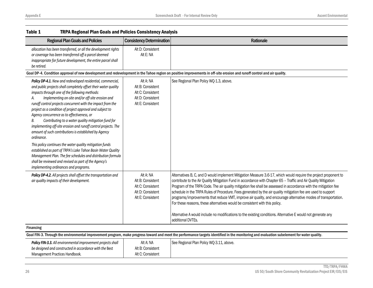| <b>Table 1</b><br><b>TRPA Regional Plan Goals and Policies Consistency Analysis</b>                                                                                                                                                                                                                                                                                                                                                                                                                                                                                                                                                                                                                                                                                                                                                                                                                                    |                                                                                               |                                                                                                                                                                                                                                                                                                                                                                                                                                                                                                                                                                                                                                                                                                                                                                                                                  |
|------------------------------------------------------------------------------------------------------------------------------------------------------------------------------------------------------------------------------------------------------------------------------------------------------------------------------------------------------------------------------------------------------------------------------------------------------------------------------------------------------------------------------------------------------------------------------------------------------------------------------------------------------------------------------------------------------------------------------------------------------------------------------------------------------------------------------------------------------------------------------------------------------------------------|-----------------------------------------------------------------------------------------------|------------------------------------------------------------------------------------------------------------------------------------------------------------------------------------------------------------------------------------------------------------------------------------------------------------------------------------------------------------------------------------------------------------------------------------------------------------------------------------------------------------------------------------------------------------------------------------------------------------------------------------------------------------------------------------------------------------------------------------------------------------------------------------------------------------------|
| <b>Regional Plan Goals and Policies</b>                                                                                                                                                                                                                                                                                                                                                                                                                                                                                                                                                                                                                                                                                                                                                                                                                                                                                | <b>Consistency Determination</b>                                                              | Rationale                                                                                                                                                                                                                                                                                                                                                                                                                                                                                                                                                                                                                                                                                                                                                                                                        |
| allocation has been transferred, or all the development rights<br>or coverage has been transferred off a parcel deemed<br>inappropriate for future development, the entire parcel shall<br>be retired.                                                                                                                                                                                                                                                                                                                                                                                                                                                                                                                                                                                                                                                                                                                 | Alt D: Consistent<br>Alt E: NA                                                                |                                                                                                                                                                                                                                                                                                                                                                                                                                                                                                                                                                                                                                                                                                                                                                                                                  |
|                                                                                                                                                                                                                                                                                                                                                                                                                                                                                                                                                                                                                                                                                                                                                                                                                                                                                                                        |                                                                                               | Goal DP-4. Condition approval of new development and redevelopment in the Tahoe region on positive improvements in off-site erosion and runoff control and air quality.                                                                                                                                                                                                                                                                                                                                                                                                                                                                                                                                                                                                                                          |
| Policy DP-4.1. New and redeveloped residential, commercial,<br>and public projects shall completely offset their water quality<br>impacts through one of the following methods:<br>Implementing on-site and/or off-site erosion and<br>А.<br>runoff control projects concurrent with the impact from the<br>project as a condition of project approval and subject to<br>Agency concurrence as to effectiveness, or<br>Contributing to a water quality mitigation fund for<br>В.<br>implementing off-site erosion and runoff control projects. The<br>amount of such contributions is established by Agency<br>ordinance.<br>This policy continues the water quality mitigation funds<br>established as part of TRPA's Lake Tahoe Basin Water Quality<br>Management Plan. The fee schedules and distribution formula<br>shall be reviewed and revised as part of the Agency's<br>implementing ordinances and programs. | Alt A: NA<br>Alt B: Consistent<br>Alt C: Consistent<br>Alt D: Consistent<br>Alt E: Consistent | See Regional Plan Policy WQ-1.3, above.                                                                                                                                                                                                                                                                                                                                                                                                                                                                                                                                                                                                                                                                                                                                                                          |
| Policy DP-4.2. All projects shall offset the transportation and<br>air quality impacts of their development.                                                                                                                                                                                                                                                                                                                                                                                                                                                                                                                                                                                                                                                                                                                                                                                                           | Alt A: NA<br>Alt B: Consistent<br>Alt C: Consistent<br>Alt D: Consistent<br>Alt E: Consistent | Alternatives B, C, and D would implement Mitigation Measure 3.6-17, which would require the project proponent to<br>contribute to the Air Quality Mitigation Fund in accordance with Chapter 65 - Traffic and Air Quality Mitigation<br>Program of the TRPA Code. The air quality mitigation fee shall be assessed in accordance with the mitigation fee<br>schedule in the TRPA Rules of Procedure. Fees generated by the air quality mitigation fee are used to support<br>programs/improvements that reduce VMT, improve air quality, and encourage alternative modes of transportation.<br>For these reasons, these alternatives would be consistent with this policy.<br>Alternative A would include no modifications to the existing conditions. Alternative E would not generate any<br>additional DVTEs. |
| <b>Financing</b>                                                                                                                                                                                                                                                                                                                                                                                                                                                                                                                                                                                                                                                                                                                                                                                                                                                                                                       |                                                                                               |                                                                                                                                                                                                                                                                                                                                                                                                                                                                                                                                                                                                                                                                                                                                                                                                                  |
|                                                                                                                                                                                                                                                                                                                                                                                                                                                                                                                                                                                                                                                                                                                                                                                                                                                                                                                        |                                                                                               | Goal FIN-3. Through the environmental improvement program, make progress toward and meet the performance targets identified in the monitoring and evaluation subelement for water quality.                                                                                                                                                                                                                                                                                                                                                                                                                                                                                                                                                                                                                       |
| Policy FIN-3.3. All environmental improvement projects shall<br>be designed and constructed in accordance with the Best<br>Management Practices Handbook.                                                                                                                                                                                                                                                                                                                                                                                                                                                                                                                                                                                                                                                                                                                                                              | Alt A: NA<br>Alt B: Consistent<br>Alt C: Consistent                                           | See Regional Plan Policy WQ-3.11, above.                                                                                                                                                                                                                                                                                                                                                                                                                                                                                                                                                                                                                                                                                                                                                                         |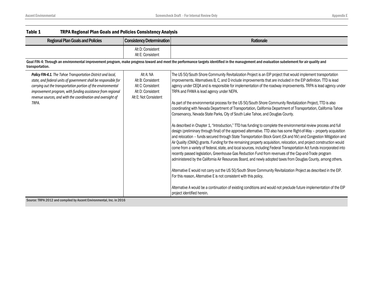| Table 1<br><b>TRPA Regional Plan Goals and Policies Consistency Analysis</b>                                                                                                                                                                                                                                                          |                                                                                                   |                                                                                                                                                                                                                                                                                                                                                                                                                                                                                                                                                                                                                                                                                                                                                                                                                                                                                                                                                                                                                                                                                                                                                                                                                                                                                                                                                                                                                                                                                                                                                                                                                                                                                                                                                                                                                                                                                                                       |
|---------------------------------------------------------------------------------------------------------------------------------------------------------------------------------------------------------------------------------------------------------------------------------------------------------------------------------------|---------------------------------------------------------------------------------------------------|-----------------------------------------------------------------------------------------------------------------------------------------------------------------------------------------------------------------------------------------------------------------------------------------------------------------------------------------------------------------------------------------------------------------------------------------------------------------------------------------------------------------------------------------------------------------------------------------------------------------------------------------------------------------------------------------------------------------------------------------------------------------------------------------------------------------------------------------------------------------------------------------------------------------------------------------------------------------------------------------------------------------------------------------------------------------------------------------------------------------------------------------------------------------------------------------------------------------------------------------------------------------------------------------------------------------------------------------------------------------------------------------------------------------------------------------------------------------------------------------------------------------------------------------------------------------------------------------------------------------------------------------------------------------------------------------------------------------------------------------------------------------------------------------------------------------------------------------------------------------------------------------------------------------------|
| <b>Regional Plan Goals and Policies</b>                                                                                                                                                                                                                                                                                               | <b>Consistency Determination</b>                                                                  | Rationale                                                                                                                                                                                                                                                                                                                                                                                                                                                                                                                                                                                                                                                                                                                                                                                                                                                                                                                                                                                                                                                                                                                                                                                                                                                                                                                                                                                                                                                                                                                                                                                                                                                                                                                                                                                                                                                                                                             |
|                                                                                                                                                                                                                                                                                                                                       | Alt D: Consistent<br>Alt E: Consistent                                                            |                                                                                                                                                                                                                                                                                                                                                                                                                                                                                                                                                                                                                                                                                                                                                                                                                                                                                                                                                                                                                                                                                                                                                                                                                                                                                                                                                                                                                                                                                                                                                                                                                                                                                                                                                                                                                                                                                                                       |
| transportation.                                                                                                                                                                                                                                                                                                                       |                                                                                                   | Goal FIN-4: Through an environmental improvement program, make progress toward and meet the performance targets identified in the management and evaluation subelement for air quality and                                                                                                                                                                                                                                                                                                                                                                                                                                                                                                                                                                                                                                                                                                                                                                                                                                                                                                                                                                                                                                                                                                                                                                                                                                                                                                                                                                                                                                                                                                                                                                                                                                                                                                                            |
| Policy FIN-4.1. The Tahoe Transportation District and local,<br>state, and federal units of government shall be responsible for<br>carrying out the transportation portion of the environmental<br>improvement program, with funding assistance from regional<br>revenue sources, and with the coordination and oversight of<br>TRPA. | Alt A: NA<br>Alt B: Consistent<br>Alt C: Consistent<br>Alt D: Consistent<br>Alt E: Not Consistent | The US 50/South Shore Community Revitalization Project is an EIP project that would implement transportation<br>improvements. Alternatives B, C, and D include improvements that are included in the EIP definition. TTD is lead<br>agency under CEQA and is responsible for implementation of the roadway improvements. TRPA is lead agency under<br>TRPA and FHWA is lead agency under NEPA.<br>As part of the environmental process for the US 50/South Shore Community Revitalization Project, TTD is also<br>coordinating with Nevada Department of Transportation, California Department of Transportation, California Tahoe<br>Conservancy, Nevada State Parks, City of South Lake Tahoe, and Douglas County.<br>As described in Chapter 1, "Introduction," TTD has funding to complete the environmental review process and full<br>design (preliminary through final) of the approved alternative. TTD also has some Right-of-Way - property acquisition<br>and relocation - funds secured through State Transportation Block Grant (CA and NV) and Congestion Mitigation and<br>Air Quality (CMAQ) grants. Funding for the remaining property acquisition, relocation, and project construction would<br>come from a variety of federal, state, and local sources, including Federal Transportation Act funds incorporated into<br>recently passed legislation, Greenhouse Gas Reduction Fund from revenues of the Cap-and-Trade program<br>administered by the California Air Resources Board, and newly adopted taxes from Douglas County, among others.<br>Alternative E would not carry out the US 50/South Shore Community Revitalization Project as described in the EIP.<br>For this reason, Alternative E is not consistent with this policy.<br>Alternative A would be a continuation of existing conditions and would not preclude future implementation of the EIP<br>project identified herein. |

Source: TRPA 2012 and compiled by Ascent Environmental, Inc. in 2016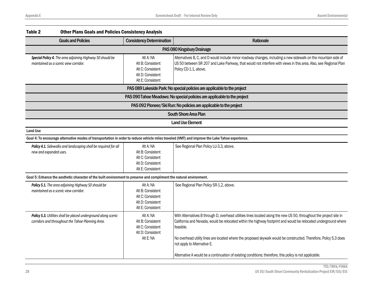|                                                                                                                     | <b>Other Plans Goals and Policies Consistency Analysis</b>                                    |                                                                                                                                                                                                                                                                                                                                                                                                                                                                                                                    |
|---------------------------------------------------------------------------------------------------------------------|-----------------------------------------------------------------------------------------------|--------------------------------------------------------------------------------------------------------------------------------------------------------------------------------------------------------------------------------------------------------------------------------------------------------------------------------------------------------------------------------------------------------------------------------------------------------------------------------------------------------------------|
| <b>Goals and Policies</b>                                                                                           | <b>Consistency Determination</b>                                                              | <b>Rationale</b>                                                                                                                                                                                                                                                                                                                                                                                                                                                                                                   |
|                                                                                                                     |                                                                                               | PAS 080 Kingsbury Drainage                                                                                                                                                                                                                                                                                                                                                                                                                                                                                         |
| Special Policy 4. The area adjoining Highway 50 should be<br>maintained as a scenic view corridor.                  | Alt A: NA<br>Alt B: Consistent<br>Alt C: Consistent<br>Alt D: Consistent<br>Alt E: Consistent | Alternatives B, C, and D would include minor roadway changes, including a new sidewalk on the mountain side of<br>US 50 between SR 207 and Lake Parkway, that would not interfere with views in this area. Also, see Regional Plan<br>Policy CD-1.1, above.                                                                                                                                                                                                                                                        |
|                                                                                                                     |                                                                                               | PAS 089 Lakeside Park: No special policies are applicable to the project                                                                                                                                                                                                                                                                                                                                                                                                                                           |
|                                                                                                                     |                                                                                               | PAS 090 Tahoe Meadows: No special policies are applicable to the project                                                                                                                                                                                                                                                                                                                                                                                                                                           |
|                                                                                                                     |                                                                                               | PAS 092 Pioneer/Ski Run: No policies are applicable to the project                                                                                                                                                                                                                                                                                                                                                                                                                                                 |
|                                                                                                                     |                                                                                               | South Shore Area Plan                                                                                                                                                                                                                                                                                                                                                                                                                                                                                              |
|                                                                                                                     |                                                                                               | <b>Land Use Element</b>                                                                                                                                                                                                                                                                                                                                                                                                                                                                                            |
|                                                                                                                     |                                                                                               |                                                                                                                                                                                                                                                                                                                                                                                                                                                                                                                    |
|                                                                                                                     |                                                                                               |                                                                                                                                                                                                                                                                                                                                                                                                                                                                                                                    |
| Policy 4.1. Sidewalks and landscaping shall be required for all<br>new and expanded uses.                           | Alt A: NA<br>Alt B: Consistent<br>Alt C: Consistent<br>Alt D: Consistent<br>Alt E: Consistent | See Regional Plan Policy LU-3.3, above.                                                                                                                                                                                                                                                                                                                                                                                                                                                                            |
|                                                                                                                     |                                                                                               |                                                                                                                                                                                                                                                                                                                                                                                                                                                                                                                    |
| Policy 5.1. The area adjoining Highway 50 should be<br>maintained as a scenic view corridor.                        | Alt A: NA<br>Alt B: Consistent<br>Alt C: Consistent<br>Alt D: Consistent<br>Alt E: Consistent | See Regional Plan Policy SR-1.2, above.                                                                                                                                                                                                                                                                                                                                                                                                                                                                            |
| Policy 5.3. Utilities shall be placed underground along scenic<br>corridors and throughout the Tahoe Planning Area. | Alt A: NA<br>Alt B: Consistent<br>Alt C: Consistent<br>Alt D: Consistent<br>Alt E: NA         | With Alternatives B through D, overhead utilities lines located along the new US 50, throughout the project site in<br>California and Nevada, would be relocated within the highway footprint and would be relocated underground where<br>feasible.<br>No overhead utility lines are located where the proposed skywalk would be constructed. Therefore, Policy 5.3 does<br>not apply to Alternative E.<br>Alternative A would be a continuation of existing conditions; therefore, this policy is not applicable. |
|                                                                                                                     |                                                                                               | Goal 4: To encourage alternative modes of transportation in order to reduce vehicle miles traveled (VMT) and improve the Lake Tahoe experience.<br>Goal 5: Enhance the aesthetic character of the built environment to preserve and compliment the natural environment.                                                                                                                                                                                                                                            |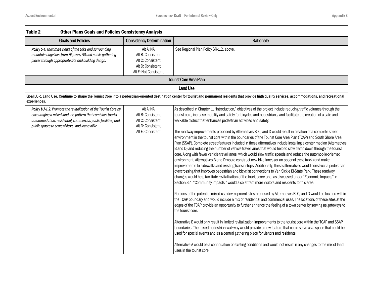| <b>Goals and Policies</b>                                                                                                                                                                                                                              | <b>Consistency Determination</b>                                                                  | Rationale                                                                                                                                                                                                                                                                                                                                                                                                                                                                                                                                                                                                                                                                                                                                                                                                                                                                                                                                                                                                                                                                                                                                                                                                                                                                                                                                                                                                                                                                                                                                                                                                                                                                                                                                                                                                                                                                                                                                                                                                                                                                                                                                                                                                                                                                                                                                                      |
|--------------------------------------------------------------------------------------------------------------------------------------------------------------------------------------------------------------------------------------------------------|---------------------------------------------------------------------------------------------------|----------------------------------------------------------------------------------------------------------------------------------------------------------------------------------------------------------------------------------------------------------------------------------------------------------------------------------------------------------------------------------------------------------------------------------------------------------------------------------------------------------------------------------------------------------------------------------------------------------------------------------------------------------------------------------------------------------------------------------------------------------------------------------------------------------------------------------------------------------------------------------------------------------------------------------------------------------------------------------------------------------------------------------------------------------------------------------------------------------------------------------------------------------------------------------------------------------------------------------------------------------------------------------------------------------------------------------------------------------------------------------------------------------------------------------------------------------------------------------------------------------------------------------------------------------------------------------------------------------------------------------------------------------------------------------------------------------------------------------------------------------------------------------------------------------------------------------------------------------------------------------------------------------------------------------------------------------------------------------------------------------------------------------------------------------------------------------------------------------------------------------------------------------------------------------------------------------------------------------------------------------------------------------------------------------------------------------------------------------------|
| Policy 5.4. Maximize views of the Lake and surrounding<br>mountain ridgelines from Highway 50 and public gathering<br>places through appropriate site and building design.                                                                             | Alt A: NA<br>Alt B: Consistent<br>Alt C: Consistent<br>Alt D: Consistent<br>Alt E: Not Consistent | See Regional Plan Policy SR-1.2, above.                                                                                                                                                                                                                                                                                                                                                                                                                                                                                                                                                                                                                                                                                                                                                                                                                                                                                                                                                                                                                                                                                                                                                                                                                                                                                                                                                                                                                                                                                                                                                                                                                                                                                                                                                                                                                                                                                                                                                                                                                                                                                                                                                                                                                                                                                                                        |
|                                                                                                                                                                                                                                                        |                                                                                                   | <b>Tourist Core Area Plan</b>                                                                                                                                                                                                                                                                                                                                                                                                                                                                                                                                                                                                                                                                                                                                                                                                                                                                                                                                                                                                                                                                                                                                                                                                                                                                                                                                                                                                                                                                                                                                                                                                                                                                                                                                                                                                                                                                                                                                                                                                                                                                                                                                                                                                                                                                                                                                  |
|                                                                                                                                                                                                                                                        |                                                                                                   | <b>Land Use</b>                                                                                                                                                                                                                                                                                                                                                                                                                                                                                                                                                                                                                                                                                                                                                                                                                                                                                                                                                                                                                                                                                                                                                                                                                                                                                                                                                                                                                                                                                                                                                                                                                                                                                                                                                                                                                                                                                                                                                                                                                                                                                                                                                                                                                                                                                                                                                |
| experiences.                                                                                                                                                                                                                                           |                                                                                                   | Goal LU-1 Land Use. Continue to shape the Tourist Core into a pedestrian-oriented destination center for tourist and permanent residents that provide high quality services, accommodations, and recreational                                                                                                                                                                                                                                                                                                                                                                                                                                                                                                                                                                                                                                                                                                                                                                                                                                                                                                                                                                                                                                                                                                                                                                                                                                                                                                                                                                                                                                                                                                                                                                                                                                                                                                                                                                                                                                                                                                                                                                                                                                                                                                                                                  |
| Policy LU-1.2. Promote the revitalization of the Tourist Core by<br>encouraging a mixed land use pattern that combines tourist<br>accommodation, residential, commercial, public facilities, and<br>public spaces to serve visitors- and locals alike. | Alt A: NA<br>Alt B: Consistent<br>Alt C: Consistent<br>Alt D: Consistent<br>Alt E: Consistent     | As described in Chapter 1, "Introduction," objectives of the project include reducing traffic volumes through the<br>tourist core, increase mobility and safety for bicycles and pedestrians, and facilitate the creation of a safe and<br>walkable district that enhances pedestrian activities and safety.<br>The roadway improvements proposed by Alternatives B, C, and D would result in creation of a complete street<br>environment in the tourist core within the boundaries of the Tourist Core Area Plan (TCAP) and South Shore Area<br>Plan (SSAP). Complete street features included in these alternatives include installing a center median (Alternatives<br>B and D) and reducing the number of vehicle travel lanes that would help to slow traffic down through the tourist<br>core. Along with fewer vehicle travel lanes, which would slow traffic speeds and reduce the automobile-oriented<br>environment, Alternatives B and D would construct new bike lanes (or an optional cycle track) and make<br>improvements to sidewalks and existing transit stops. Additionally, these alternatives would construct a pedestrian<br>overcrossing that improves pedestrian and bicyclist connections to Van Sickle Bi-State Park. These roadway<br>changes would help facilitate revitalization of the tourist core and, as discussed under "Economic Impacts" in<br>Section 3.4, "Community Impacts," would also attract more visitors and residents to this area.<br>Portions of the potential mixed-use development sites proposed by Alternatives B, C, and D would be located within<br>the TCAP boundary and would include a mix of residential and commercial uses. The locations of these sites at the<br>edges of the TCAP provide an opportunity to further enhance the feeling of a town center by serving as gateways to<br>the tourist core.<br>Alternative E would only result in limited revitalization improvements to the tourist core within the TCAP and SSAP<br>boundaries. The raised pedestrian walkway would provide a new feature that could serve as a space that could be<br>used for special events and as a central gathering place for visitors and residents.<br>Alternative A would be a continuation of existing conditions and would not result in any changes to the mix of land<br>uses in the tourist core. |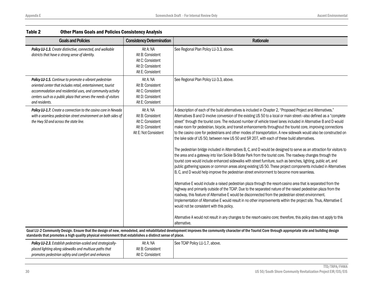| <b>Goals and Policies</b>                                                                                                                                                                                                                                                   | <b>Consistency Determination</b>                                                                  | Rationale                                                                                                                                                                                                                                                                                                                                                                                                                                                                                                                                                                                                                                                                                                                                                                                                                                                                                                                                                                                                                                                                                                                                                                                                                                                                                                                                                                                                                                                                                                                                                                                                                                                                                                                                                                                                                                                                                                                                |
|-----------------------------------------------------------------------------------------------------------------------------------------------------------------------------------------------------------------------------------------------------------------------------|---------------------------------------------------------------------------------------------------|------------------------------------------------------------------------------------------------------------------------------------------------------------------------------------------------------------------------------------------------------------------------------------------------------------------------------------------------------------------------------------------------------------------------------------------------------------------------------------------------------------------------------------------------------------------------------------------------------------------------------------------------------------------------------------------------------------------------------------------------------------------------------------------------------------------------------------------------------------------------------------------------------------------------------------------------------------------------------------------------------------------------------------------------------------------------------------------------------------------------------------------------------------------------------------------------------------------------------------------------------------------------------------------------------------------------------------------------------------------------------------------------------------------------------------------------------------------------------------------------------------------------------------------------------------------------------------------------------------------------------------------------------------------------------------------------------------------------------------------------------------------------------------------------------------------------------------------------------------------------------------------------------------------------------------------|
| Policy LU-1.3. Create distinctive, connected, and walkable<br>districts that have a strong sense of identity.                                                                                                                                                               | Alt A: NA<br>Alt B: Consistent<br>Alt C: Consistent<br>Alt D: Consistent<br>Alt E: Consistent     | See Regional Plan Policy LU-3.3, above.                                                                                                                                                                                                                                                                                                                                                                                                                                                                                                                                                                                                                                                                                                                                                                                                                                                                                                                                                                                                                                                                                                                                                                                                                                                                                                                                                                                                                                                                                                                                                                                                                                                                                                                                                                                                                                                                                                  |
| Policy LU-1.5. Continue to promote a vibrant pedestrian<br>oriented center that includes retail, entertainment, tourist<br>accommodation and residential uses, and community activity<br>centers such as a public plaza that serves the needs of visitors<br>and residents. | Alt A: NA<br>Alt B: Consistent<br>Alt C: Consistent<br>Alt D: Consistent<br>Alt E: Consistent     | See Regional Plan Policy LU-3.3, above.                                                                                                                                                                                                                                                                                                                                                                                                                                                                                                                                                                                                                                                                                                                                                                                                                                                                                                                                                                                                                                                                                                                                                                                                                                                                                                                                                                                                                                                                                                                                                                                                                                                                                                                                                                                                                                                                                                  |
| Policy LU-1.7. Create a connection to the casino core in Nevada<br>with a seamless pedestrian street environment on both sides of<br>the Hwy 50 and across the state line.                                                                                                  | Alt A: NA<br>Alt B: Consistent<br>Alt C: Consistent<br>Alt D: Consistent<br>Alt E: Not Consistent | A description of each of the build alternatives is included in Chapter 2, "Proposed Project and Alternatives."<br>Alternatives B and D involve conversion of the existing US 50 to a local or main street-also defined as a "complete<br>street" through the tourist core. The reduced number of vehicle travel lanes included in Alternative B and D would<br>make room for pedestrian, bicycle, and transit enhancements throughout the tourist core, improving connections<br>to the casino core for pedestrians and other modes of transportation. A new sidewalk would also be constructed on<br>the lake side of US 50, between new US 50 and SR 207, with each of these build alternatives.<br>The pedestrian bridge included in Alternatives B, C, and D would be designed to serve as an attraction for visitors to<br>the area and a gateway into Van Sickle Bi-State Park from the tourist core. The roadway changes through the<br>tourist core would include enhanced sidewalks with street furniture, such as benches, lighting, public art, and<br>public gathering spaces or common areas along existing US 50. These project components included in Alternatives<br>B, C, and D would help improve the pedestrian street environment to become more seamless.<br>Alternative E would include a raised pedestrian plaza through the resort-casino area that is separated from the<br>highway and primarily outside of the TCAP. Due to the separated nature of the raised pedestrian plaza from the<br>roadway, this feature of Alternative E would be disconnected from the pedestrian street environment.<br>Implementation of Alternative E would result in no other improvements within the project site. Thus, Alternative E<br>would not be consistent with this policy.<br>Alternative A would not result in any changes to the resort-casino core; therefore, this policy does not apply to this<br>alternative. |

Goal LU-2 Community Design. Ensure that the design of new, remodeled, and rehabilitated development improves the community character of the Tourist Core through appropriate site and building design standards that promotes a high quality physical environment that establishes a distinct sense of place.

| <b>Policy LU-2.3.</b> Establish pedestrian-scaled and strategically- | Alt A: NA         | See TCAP Policy LU-1.7, above. |
|----------------------------------------------------------------------|-------------------|--------------------------------|
| placed lighting along sidewalks and multiuse paths that              | Alt B: Consistent |                                |
| promotes pedestrian safety and comfort and enhances                  | Alt C: Consistent |                                |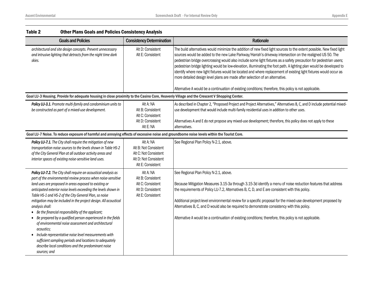| Table 2                                       | <b>Other Plans Goals and Policies Consistency Analysis</b>                                                                                                                                                                                                                                                                                                                                                                                                                                                                                                                                                                                                                                                                                         |                                                                                                           |                                                                                                                                                                                                                                                                                                                                                                                                                                                                                                                                                                                                                                                                                                                                                                                                   |
|-----------------------------------------------|----------------------------------------------------------------------------------------------------------------------------------------------------------------------------------------------------------------------------------------------------------------------------------------------------------------------------------------------------------------------------------------------------------------------------------------------------------------------------------------------------------------------------------------------------------------------------------------------------------------------------------------------------------------------------------------------------------------------------------------------------|-----------------------------------------------------------------------------------------------------------|---------------------------------------------------------------------------------------------------------------------------------------------------------------------------------------------------------------------------------------------------------------------------------------------------------------------------------------------------------------------------------------------------------------------------------------------------------------------------------------------------------------------------------------------------------------------------------------------------------------------------------------------------------------------------------------------------------------------------------------------------------------------------------------------------|
|                                               | <b>Goals and Policies</b>                                                                                                                                                                                                                                                                                                                                                                                                                                                                                                                                                                                                                                                                                                                          | <b>Consistency Determination</b>                                                                          | Rationale                                                                                                                                                                                                                                                                                                                                                                                                                                                                                                                                                                                                                                                                                                                                                                                         |
| skies.                                        | architectural and site design concepts. Prevent unnecessary<br>and intrusive lighting that detracts from the night time dark                                                                                                                                                                                                                                                                                                                                                                                                                                                                                                                                                                                                                       | Alt D: Consistent<br>Alt E: Consistent                                                                    | The build alternatives would minimize the addition of new fixed light sources to the extent possible. New fixed light<br>sources would be added to the new Lake Parkway/Harrah's driveway intersection on the realigned US 50. The<br>pedestrian bridge overcrossing would also include some light fixtures as a safety precaution for pedestrian users;<br>pedestrian bridge lighting would be low-elevation, illuminating the foot path. A lighting plan would be developed to<br>identify where new light fixtures would be located and where replacement of existing light fixtures would occur as<br>more detailed design level plans are made after selection of an alternative.<br>Alternative A would be a continuation of existing conditions; therefore, this policy is not applicable. |
|                                               | Goal LU-3 Housing. Provide for adequate housing in close proximity to the Casino Core, Heavenly Village and the Crescent V Shopping Center.                                                                                                                                                                                                                                                                                                                                                                                                                                                                                                                                                                                                        |                                                                                                           |                                                                                                                                                                                                                                                                                                                                                                                                                                                                                                                                                                                                                                                                                                                                                                                                   |
|                                               | Policy LU-3.1. Promote multi-family and condominium units to<br>be constructed as part of a mixed-use development.                                                                                                                                                                                                                                                                                                                                                                                                                                                                                                                                                                                                                                 | Alt A: NA<br>Alt B: Consistent<br>Alt C: Consistent<br>Alt D: Consistent<br>Alt E: NA                     | As described in Chapter 2, "Proposed Project and Project Alternatives," Alternatives B, C, and D include potential mixed-<br>use development that would include multi-family residential uses in addition to other uses.<br>Alternatives A and E do not propose any mixed-use development; therefore, this policy does not apply to these<br>alternatives.                                                                                                                                                                                                                                                                                                                                                                                                                                        |
|                                               | Goal LU-7 Noise. To reduce exposure of harmful and annoying effects of excessive noise and groundborne noise levels within the Tourist Core.                                                                                                                                                                                                                                                                                                                                                                                                                                                                                                                                                                                                       |                                                                                                           |                                                                                                                                                                                                                                                                                                                                                                                                                                                                                                                                                                                                                                                                                                                                                                                                   |
|                                               | Policy LU-7.1. The City shall require the mitigation of new<br>transportation noise sources to the levels shown in Table HS-2<br>of the City General Plan at all outdoor activity areas and<br>interior spaces of existing noise-sensitive land uses.                                                                                                                                                                                                                                                                                                                                                                                                                                                                                              | Alt A: NA<br>Alt B: Not Consistent<br>Alt C: Not Consistent<br>Alt D: Not Consistent<br>Alt E: Consistent | See Regional Plan Policy N-2.1, above.                                                                                                                                                                                                                                                                                                                                                                                                                                                                                                                                                                                                                                                                                                                                                            |
| analysis shall:<br>acoustics;<br>sources; and | Policy LU-7.2. The City shall require an acoustical analysis as<br>part of the environmental review process when noise-sensitive<br>land uses are proposed in areas exposed to existing or<br>anticipated exterior noise levels exceeding the levels shown in<br>Table HS-1 and HS-2 of the City General Plan, so noise<br>mitigation may be included in the project design. All acoustical<br>Be the financial responsibility of the applicant;<br>• Be prepared by a qualified person experienced in the fields<br>of environmental noise assessment and architectural<br>Include representative noise level measurements with<br>sufficient sampling periods and locations to adequately<br>describe local conditions and the predominant noise | Alt A: NA<br>Alt B: Consistent<br>Alt C: Consistent<br>Alt D: Consistent<br>Alt E: Consistent             | See Regional Plan Policy N-2.1, above.<br>Because Mitigation Measures 3.15-3a through 3.15-3d identify a menu of noise reduction features that address<br>the requirements of Policy LU-7.2, Alternatives B, C, D, and E are consistent with this policy.<br>Additional project-level environmental review for a specific proposal for the mixed-use development proposed by<br>Alternatives B, C, and D would also be required to demonstrate consistency with this policy.<br>Alternative A would be a continuation of existing conditions; therefore, this policy is not applicable.                                                                                                                                                                                                           |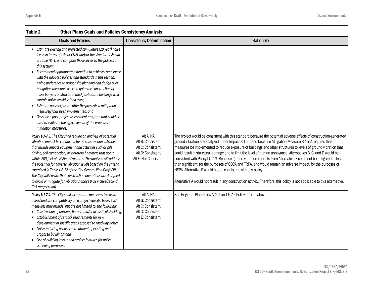| <b>Goals and Policies</b>                                                                                                                                                                                                                                                                                                                                                                                                                                                                                                                                                                                                                                                                                                                                                                                | <b>Consistency Determination</b>                                                                  | <b>Rationale</b>                                                                                                                                                                                                                                                                                                                                                                                                                                                                                                                                                                                                                                                                                                                                                                                                                                                                                     |
|----------------------------------------------------------------------------------------------------------------------------------------------------------------------------------------------------------------------------------------------------------------------------------------------------------------------------------------------------------------------------------------------------------------------------------------------------------------------------------------------------------------------------------------------------------------------------------------------------------------------------------------------------------------------------------------------------------------------------------------------------------------------------------------------------------|---------------------------------------------------------------------------------------------------|------------------------------------------------------------------------------------------------------------------------------------------------------------------------------------------------------------------------------------------------------------------------------------------------------------------------------------------------------------------------------------------------------------------------------------------------------------------------------------------------------------------------------------------------------------------------------------------------------------------------------------------------------------------------------------------------------------------------------------------------------------------------------------------------------------------------------------------------------------------------------------------------------|
| • Estimate existing and projected cumulative (20 year) noise<br>levels in terms of Ldn or CNEL and/or the standards shown<br>in Table HS-1, and compare those levels to the policies in<br>this section;<br>Recommend appropriate mitigation to achieve compliance<br>with the adopted policies and standards in this section,<br>giving preference to proper site planning and design over<br>mitigation measures which require the construction of<br>noise barriers or structural modifications to buildings which<br>contain noise-sensitive land uses;<br>Estimate noise exposure after the prescribed mitigation<br>measure(s) has been implemented; and<br>Describe a post-project assessment program that could be<br>used to evaluate the effectiveness of the proposed<br>mitigation measures. |                                                                                                   |                                                                                                                                                                                                                                                                                                                                                                                                                                                                                                                                                                                                                                                                                                                                                                                                                                                                                                      |
| Policy LU-7.3. The City shall require an analysis of potential<br>vibration impact be conducted for all construction activities<br>that include impact equipment and activities such as pile<br>driving, soil compaction, or vibratory hammers that occur<br>within 200 feet of existing structures. The analysis will address<br>the potential for adverse vibration levels based on the criteria<br>contained in Table 4.6-12 of the City General Plan Draft EIR.<br>The City will ensure that construction operations are designed<br>to avoid or mitigate for vibrations above 0.02 inches/second<br>(0.5 mm/second).                                                                                                                                                                                | Alt A: NA<br>Alt B: Consistent<br>Alt C: Consistent<br>Alt D: Consistent<br>Alt E: Not Consistent | The project would be consistent with this standard because the potential adverse effects of construction-generated<br>ground vibration are analyzed under Impact 3.15-2 and because Mitigation Measure 3.15-2 requires that<br>measures be implemented to reduce exposure of buildings and other structures to levels of ground vibration that<br>could result in structural damage and to limit the level of human annoyance. Alternatives B, C, and D would be<br>consistent with Policy LU-7.3. Because ground vibration impacts from Alternative E could not be mitigated to less<br>than significant, for the purposes of CEQA and TRPA, and would remain an adverse impact, for the purposes of<br>NEPA, Alternative E would not be consistent with this policy.<br>Alternative A would not result in any construction activity. Therefore, this policy is not applicable to this alternative. |
| Policy LU-7.4. The City shall incorporate measures to ensure<br>noise/land use compatibility on a project-specific basis. Such<br>measures may include, but are not limited to, the following:<br>• Construction of barriers, berms, and/or acoustical shielding;<br>• Establishment of setback requirements for new<br>development in specific areas exposed to roadway noise;<br>Noise-reducing acoustical treatment of existing and<br>$\bullet$<br>proposed buildings; and<br>Use of building layout and project features for noise-<br>screening purposes.                                                                                                                                                                                                                                          | Alt A: NA<br>Alt B: Consistent<br>Alt C: Consistent<br>Alt D: Consistent<br>Alt E: Consistent     | See Regional Plan Policy N-2.1 and TCAP Policy LU-7.2, above.                                                                                                                                                                                                                                                                                                                                                                                                                                                                                                                                                                                                                                                                                                                                                                                                                                        |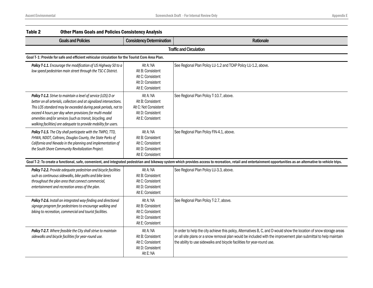| Table 2 | <b>Other Plans Goals and Policies Consistency Analysis</b>                                                                                                                                                                                                                                                                                                                                         |                                                                                                   |                                                                                                                                                                                                                                                                                                                     |
|---------|----------------------------------------------------------------------------------------------------------------------------------------------------------------------------------------------------------------------------------------------------------------------------------------------------------------------------------------------------------------------------------------------------|---------------------------------------------------------------------------------------------------|---------------------------------------------------------------------------------------------------------------------------------------------------------------------------------------------------------------------------------------------------------------------------------------------------------------------|
|         | <b>Goals and Policies</b>                                                                                                                                                                                                                                                                                                                                                                          | <b>Consistency Determination</b>                                                                  | Rationale                                                                                                                                                                                                                                                                                                           |
|         |                                                                                                                                                                                                                                                                                                                                                                                                    |                                                                                                   | <b>Traffic and Circulation</b>                                                                                                                                                                                                                                                                                      |
|         | Goal T-1: Provide for safe and efficient vehicular circulation for the Tourist Core Area Plan.                                                                                                                                                                                                                                                                                                     |                                                                                                   |                                                                                                                                                                                                                                                                                                                     |
|         | Policy T-1.1. Encourage the modification of US Highway 50 to a<br>low speed pedestrian main street through the TSC-C District.                                                                                                                                                                                                                                                                     | Alt A: NA<br>Alt B: Consistent<br>Alt C: Consistent<br>Alt D: Consistent<br>Alt E: Consistent     | See Regional Plan Policy LU-1.2 and TCAP Policy LU-1.2, above.                                                                                                                                                                                                                                                      |
|         | Policy T-1.2. Strive to maintain a level of service (LOS) D or<br>better on all arterials, collectors and at signalized intersections.<br>This LOS standard may be exceeded during peak periods, not to<br>exceed 4 hours per day when provisions for multi-modal<br>amenities and/or services (such as transit, bicycling, and<br>walking facilities) are adequate to provide mobility for users. | Alt A: NA<br>Alt B: Consistent<br>Alt C: Not Consistent<br>Alt D: Consistent<br>Alt E: Consistent | See Regional Plan Policy T-10.7, above.                                                                                                                                                                                                                                                                             |
|         | Policy T-1.5. The City shall participate with the TMPO, TTD,<br>FHWA, NDOT, Caltrans, Douglas County, the State Parks of<br>California and Nevada in the planning and implementation of<br>the South Shore Community Revitalization Project.                                                                                                                                                       | Alt A: NA<br>Alt B: Consistent<br>Alt C: Consistent<br>Alt D: Consistent<br>Alt E: Consistent     | See Regional Plan Policy FIN-4.1, above.                                                                                                                                                                                                                                                                            |
|         |                                                                                                                                                                                                                                                                                                                                                                                                    |                                                                                                   | Goal T-2: To create a functional, safe, convenient, and integrated pedestrian and bikeway system which provides access to recreation, retail and entertainment opportunities as an alternative to vehicle trips.                                                                                                    |
|         | Policy T-2.2. Provide adequate pedestrian and bicycle facilities<br>such as continuous sidewalks, bike paths and bike lanes<br>throughout the plan area that connect commercial,<br>entertainment and recreation areas of the plan.                                                                                                                                                                | Alt A: NA<br>Alt B: Consistent<br>Alt C: Consistent<br>Alt D: Consistent<br>Alt E: Consistent     | See Regional Plan Policy LU-3.3, above.                                                                                                                                                                                                                                                                             |
|         | Policy T-2.6. Install an integrated way-finding and directional<br>signage program for pedestrians to encourage walking and<br>biking to recreation, commercial and tourist facilities.                                                                                                                                                                                                            | Alt A: NA<br>Alt B: Consistent<br>Alt C: Consistent<br>Alt D: Consistent<br>Alt E: Consistent     | See Regional Plan Policy T-2.7, above.                                                                                                                                                                                                                                                                              |
|         | Policy T-2.7. Where feasible the City shall strive to maintain<br>sidewalks and bicycle facilities for year-round use.                                                                                                                                                                                                                                                                             | Alt A: NA<br>Alt B: Consistent<br>Alt C: Consistent<br>Alt D: Consistent<br>Alt E: NA             | In order to help the city achieve this policy, Alternatives B, C, and D would show the location of snow storage areas<br>on all site plans or a snow removal plan would be included with the improvement plan submittal to help maintain<br>the ability to use sidewalks and bicycle facilities for year-round use. |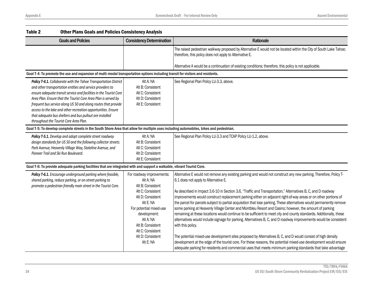| Table 2<br><b>Other Plans Goals and Policies Consistency Analysis</b>                                                                                                                                                                                                                                                                                                                                                                                                                                           |                                                                                                                                                                            |                                                                                                                                                                                                                                                                                                                                                                                                                                                                                                                                                                                                                                                                                                                                                                                                                                                   |
|-----------------------------------------------------------------------------------------------------------------------------------------------------------------------------------------------------------------------------------------------------------------------------------------------------------------------------------------------------------------------------------------------------------------------------------------------------------------------------------------------------------------|----------------------------------------------------------------------------------------------------------------------------------------------------------------------------|---------------------------------------------------------------------------------------------------------------------------------------------------------------------------------------------------------------------------------------------------------------------------------------------------------------------------------------------------------------------------------------------------------------------------------------------------------------------------------------------------------------------------------------------------------------------------------------------------------------------------------------------------------------------------------------------------------------------------------------------------------------------------------------------------------------------------------------------------|
| <b>Goals and Policies</b>                                                                                                                                                                                                                                                                                                                                                                                                                                                                                       | <b>Consistency Determination</b>                                                                                                                                           | Rationale                                                                                                                                                                                                                                                                                                                                                                                                                                                                                                                                                                                                                                                                                                                                                                                                                                         |
|                                                                                                                                                                                                                                                                                                                                                                                                                                                                                                                 |                                                                                                                                                                            | The raised pedestrian walkway proposed by Alternative E would not be located within the City of South Lake Tahoe;<br>therefore, this policy does not apply to Alternative E.                                                                                                                                                                                                                                                                                                                                                                                                                                                                                                                                                                                                                                                                      |
|                                                                                                                                                                                                                                                                                                                                                                                                                                                                                                                 |                                                                                                                                                                            | Alternative A would be a continuation of existing conditions; therefore, this policy is not applicable.                                                                                                                                                                                                                                                                                                                                                                                                                                                                                                                                                                                                                                                                                                                                           |
| Goal T-4: To promote the use and expansion of multi-modal transportation options including transit for visitors and residents.                                                                                                                                                                                                                                                                                                                                                                                  |                                                                                                                                                                            |                                                                                                                                                                                                                                                                                                                                                                                                                                                                                                                                                                                                                                                                                                                                                                                                                                                   |
| Policy T-4.1. Collaborate with the Tahoe Transportation District<br>and other transportation entities and service providers to<br>ensure adequate transit service and facilities in the Tourist Core<br>Area Plan. Ensure that the Tourist Core Area Plan is served by<br>frequent bus service along US 50 and along routes that provide<br>access to the lake and other recreation opportunities. Ensure<br>that adequate bus shelters and bus pullout are installed<br>throughout the Tourist Core Area Plan. | Alt A: NA<br>Alt B: Consistent<br>Alt C: Consistent<br>Alt D: Consistent<br>Alt E: Consistent                                                                              | See Regional Plan Policy LU-3.3, above.                                                                                                                                                                                                                                                                                                                                                                                                                                                                                                                                                                                                                                                                                                                                                                                                           |
| Goal T-5: To develop complete streets in the South Shore Area that allow for multiple uses including automobiles, bikes and pedestrian.                                                                                                                                                                                                                                                                                                                                                                         |                                                                                                                                                                            |                                                                                                                                                                                                                                                                                                                                                                                                                                                                                                                                                                                                                                                                                                                                                                                                                                                   |
| Policy T-5.1. Develop and adopt complete street roadway<br>design standards for US 50 and the following collector streets:<br>Park Avenue, Heavenly Village Way, Stateline Avenue, and<br>Pioneer Trail and Ski Run Boulevard.                                                                                                                                                                                                                                                                                  | Alt A: NA<br>Alt B: Consistent<br>Alt C: Consistent<br>Alt D: Consistent<br>Alt E: Consistent                                                                              | See Regional Plan Policy LU-3.3 and TCAP Policy LU-1.2, above.                                                                                                                                                                                                                                                                                                                                                                                                                                                                                                                                                                                                                                                                                                                                                                                    |
| Goal T-6: To provide adequate parking facilities that are integrated with and support a walkable, vibrant Tourist Core.                                                                                                                                                                                                                                                                                                                                                                                         |                                                                                                                                                                            |                                                                                                                                                                                                                                                                                                                                                                                                                                                                                                                                                                                                                                                                                                                                                                                                                                                   |
| Policy T-6.1. Encourage underground parking where feasible,<br>shared parking, reduce parking, or on-street parking to<br>promote a pedestrian friendly main street in the Tourist Core.                                                                                                                                                                                                                                                                                                                        | For roadway improvements:<br>Alt A: NA<br>Alt B: Consistent                                                                                                                | Alternative E would not remove any existing parking and would not construct any new parking. Therefore, Policy T-<br>6.1 does not apply to Alternative E.                                                                                                                                                                                                                                                                                                                                                                                                                                                                                                                                                                                                                                                                                         |
|                                                                                                                                                                                                                                                                                                                                                                                                                                                                                                                 | Alt C: Consistent<br>Alt D: Consistent<br>Alt E: NA<br>For potential mixed-use<br>development:<br>Alt A: NA<br>Alt B: Consistent<br>Alt C: Consistent<br>Alt D: Consistent | As described in Impact 3.6-10 in Section 3.6, "Traffic and Transportation," Alternatives B, C, and D roadway<br>improvements would construct replacement parking either on adjacent right-of-way areas or on other portions of<br>the parcel for parcels subject to partial acquisition that lose parking. These alternatives would permanently remove<br>some parking at Heavenly Village Center and Montbleu Resort and Casino; however, the amount of parking<br>remaining at these locations would continue to be sufficient to meet city and county standards. Additionally, these<br>alternatives would include signage for parking. Alternatives B, C, and D roadway improvements would be consistent<br>with this policy.<br>The potential mixed-use development sites proposed by Alternatives B, C, and D would consist of high density |
|                                                                                                                                                                                                                                                                                                                                                                                                                                                                                                                 | Alt E: NA                                                                                                                                                                  | development at the edge of the tourist core. For these reasons, the potential mixed-use development would ensure<br>adequate parking for residents and commercial uses that meets minimum parking standards that take advantage                                                                                                                                                                                                                                                                                                                                                                                                                                                                                                                                                                                                                   |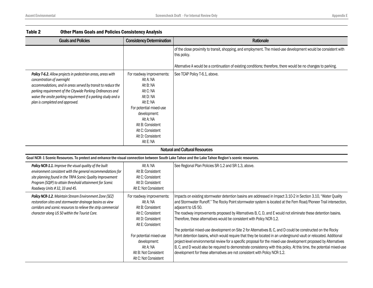| Table 2<br><b>Other Plans Goals and Policies Consistency Analysis</b>                                                                                                                                                                                                                                                        |                                                                                                                                                                                                                                |                                                                                                                                                                                                                                                                                                                                                                                                                                                                                                                                                               |
|------------------------------------------------------------------------------------------------------------------------------------------------------------------------------------------------------------------------------------------------------------------------------------------------------------------------------|--------------------------------------------------------------------------------------------------------------------------------------------------------------------------------------------------------------------------------|---------------------------------------------------------------------------------------------------------------------------------------------------------------------------------------------------------------------------------------------------------------------------------------------------------------------------------------------------------------------------------------------------------------------------------------------------------------------------------------------------------------------------------------------------------------|
| <b>Goals and Policies</b>                                                                                                                                                                                                                                                                                                    | <b>Consistency Determination</b>                                                                                                                                                                                               | Rationale                                                                                                                                                                                                                                                                                                                                                                                                                                                                                                                                                     |
|                                                                                                                                                                                                                                                                                                                              |                                                                                                                                                                                                                                | of the close proximity to transit, shopping, and employment. The mixed-use development would be consistent with<br>this policy.                                                                                                                                                                                                                                                                                                                                                                                                                               |
|                                                                                                                                                                                                                                                                                                                              |                                                                                                                                                                                                                                | Alternative A would be a continuation of existing conditions; therefore, there would be no changes to parking.                                                                                                                                                                                                                                                                                                                                                                                                                                                |
| Policy T-6.2. Allow projects in pedestrian areas, areas with<br>concentration of overnight<br>accommodations, and in areas served by transit to reduce the<br>parking requirement of the Citywide Parking Ordinances and<br>waive the onsite parking requirement if a parking study and a<br>plan is completed and approved. | For roadway improvements:<br>Alt A: NA<br>Alt B: NA<br>Alt C: NA<br>Alt D: NA<br>Alt E: NA<br>For potential mixed-use<br>development:<br>Alt A: NA<br>Alt B: Consistent<br>Alt C: Consistent<br>Alt D: Consistent<br>Alt E: NA | See TCAP Policy T-6.1, above.                                                                                                                                                                                                                                                                                                                                                                                                                                                                                                                                 |
|                                                                                                                                                                                                                                                                                                                              |                                                                                                                                                                                                                                | <b>Natural and Cultural Resources</b>                                                                                                                                                                                                                                                                                                                                                                                                                                                                                                                         |
| Goal NCR-1 Scenic Resources. To protect and enhance the visual connection between South Lake Tahoe and the Lake Tahoe Region's scenic resources.                                                                                                                                                                             |                                                                                                                                                                                                                                |                                                                                                                                                                                                                                                                                                                                                                                                                                                                                                                                                               |
| Policy NCR-1.1. Improve the visual quality of the built<br>environment consistent with the general recommendations for<br>site planning found in the TRPA Scenic Quality Improvement<br>Program (SQIP) to attain threshold attainment for Scenic<br>Roadway Units #32, 33 and 45.                                            | Alt A: NA<br>Alt B: Consistent<br>Alt C: Consistent<br>Alt D: Consistent<br>Alt E: Not Consistent                                                                                                                              | See Regional Plan Policies SR-1.2 and SR-1.3, above.                                                                                                                                                                                                                                                                                                                                                                                                                                                                                                          |
| Policy NCR-1.2. Maintain Stream Environment Zone (SEZ)<br>restoration sites and stormwater drainage basins as view<br>corridors and scenic resources to relieve the strip commercial<br>character along US 50 within the Tourist Core.                                                                                       | For roadway improvements:<br>Alt A: NA<br>Alt B: Consistent<br>Alt C: Consistent<br>Alt D: Consistent<br>Alt E: Consistent                                                                                                     | Impacts on existing stormwater detention basins are addressed in Impact 3.10-2 in Section 3.10, "Water Quality<br>and Stormwater Runoff." The Rocky Point stormwater system is located at the Fern Road/Pioneer Trail intersection,<br>adjacent to US 50.<br>The roadway improvements proposed by Alternatives B, C, D, and E would not eliminate these detention basins.<br>Therefore, these alternatives would be consistent with Policy NCR-1.2.                                                                                                           |
|                                                                                                                                                                                                                                                                                                                              | For potential mixed-use<br>development:<br>Alt A: NA<br>Alt B: Not Consistent<br>Alt C: Not Consistent                                                                                                                         | The potential mixed-use development on Site 2 for Alternatives B, C, and D could be constructed on the Rocky<br>Point detention basins, which would require that they be located in an underground vault or relocated. Additional<br>project-level environmental review for a specific proposal for the mixed-use development proposed by Alternatives<br>B, C, and D would also be required to demonstrate consistency with this policy. At this time, the potential mixed-use<br>development for these alternatives are not consistent with Policy NCR-1.2. |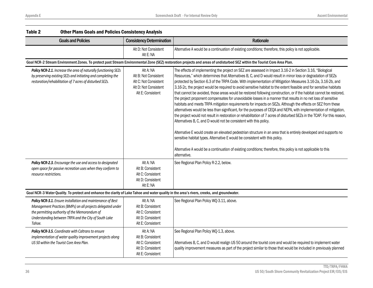| Table 2<br><b>Other Plans Goals and Policies Consistency Analysis</b>                                                                                                                                                                          |                                                                                                           |                                                                                                                                                                                                                                                                                                                                                                                                                                                                                                                                                                                                                                                                                                                                                                                                                                                                                                                                                                                                                                                                                                                                                                                                                                                                                                                                                                                                                                                                                       |
|------------------------------------------------------------------------------------------------------------------------------------------------------------------------------------------------------------------------------------------------|-----------------------------------------------------------------------------------------------------------|---------------------------------------------------------------------------------------------------------------------------------------------------------------------------------------------------------------------------------------------------------------------------------------------------------------------------------------------------------------------------------------------------------------------------------------------------------------------------------------------------------------------------------------------------------------------------------------------------------------------------------------------------------------------------------------------------------------------------------------------------------------------------------------------------------------------------------------------------------------------------------------------------------------------------------------------------------------------------------------------------------------------------------------------------------------------------------------------------------------------------------------------------------------------------------------------------------------------------------------------------------------------------------------------------------------------------------------------------------------------------------------------------------------------------------------------------------------------------------------|
| <b>Goals and Policies</b>                                                                                                                                                                                                                      | <b>Consistency Determination</b>                                                                          | Rationale                                                                                                                                                                                                                                                                                                                                                                                                                                                                                                                                                                                                                                                                                                                                                                                                                                                                                                                                                                                                                                                                                                                                                                                                                                                                                                                                                                                                                                                                             |
|                                                                                                                                                                                                                                                | Alt D: Not Consistent<br>Alt E: NA                                                                        | Alternative A would be a continuation of existing conditions; therefore, this policy is not applicable.                                                                                                                                                                                                                                                                                                                                                                                                                                                                                                                                                                                                                                                                                                                                                                                                                                                                                                                                                                                                                                                                                                                                                                                                                                                                                                                                                                               |
|                                                                                                                                                                                                                                                |                                                                                                           | Goal NCR-2 Stream Environment Zones. To protect past Stream Environmental Zone (SEZ) restoration projects and areas of undisturbed SEZ within the Tourist Core Area Plan.                                                                                                                                                                                                                                                                                                                                                                                                                                                                                                                                                                                                                                                                                                                                                                                                                                                                                                                                                                                                                                                                                                                                                                                                                                                                                                             |
| Policy NCR-2.1. Increase the area of naturally functioning SEZs<br>by preserving existing SEZs and initiating and completing the<br>restoration/rehabilitation of 7 acres of disturbed SEZs.                                                   | Alt A: NA<br>Alt B: Not Consistent<br>Alt C: Not Consistent<br>Alt D: Not Consistent<br>Alt E: Consistent | The effects of implementing the project on SEZ are assessed in Impact 3.16-2 in Section 3.16, "Biological<br>Resources," which determines that Alternatives B, C, and D would result in minor loss or degradation of SEZs<br>protected by Section 6.3 of the TRPA Code. With implementation of Mitigation Measures 3.16-2a, 3.16-2b, and<br>3.16-2c, the project would be required to avoid sensitive habitat to the extent feasible and for sensitive habitats<br>that cannot be avoided, those areas would be restored following construction, or if the habitat cannot be restored,<br>the project proponent compensates for unavoidable losses in a manner that results in no net loss of sensitive<br>habitats and meets TRPA mitigation requirements for impacts on SEZs. Although the effects on SEZ from these<br>alternatives would be less than significant, for the purposes of CEQA and NEPA, with implementation of mitigation,<br>the project would not result in restoration or rehabilitation of 7 acres of disturbed SEZs in the TCAP. For this reason,<br>Alternatives B, C, and D would not be consistent with this policy.<br>Alternative E would create an elevated pedestrian structure in an area that is entirely developed and supports no<br>sensitive habitat types. Alternative E would be consistent with this policy.<br>Alternative A would be a continuation of existing conditions; therefore, this policy is not applicable to this<br>alternative. |
| Policy NCR-2.3. Encourage the use and access to designated<br>open space for passive recreation uses when they conform to<br>resource restrictions.                                                                                            | Alt A: NA<br>Alt B: Consistent<br>Alt C: Consistent<br>Alt D: Consistent<br>Alt E: NA                     | See Regional Plan Policy R-2.2, below.                                                                                                                                                                                                                                                                                                                                                                                                                                                                                                                                                                                                                                                                                                                                                                                                                                                                                                                                                                                                                                                                                                                                                                                                                                                                                                                                                                                                                                                |
| Goal NCR-3 Water Quality. To protect and enhance the clarity of Lake Tahoe and water quality in the area's rivers, creeks, and groundwater.                                                                                                    |                                                                                                           |                                                                                                                                                                                                                                                                                                                                                                                                                                                                                                                                                                                                                                                                                                                                                                                                                                                                                                                                                                                                                                                                                                                                                                                                                                                                                                                                                                                                                                                                                       |
| Policy NCR-3.1. Ensure installation and maintenance of Best<br>Management Practices (BMPs) on all projects delegated under<br>the permitting authority of the Memorandum of<br>Understanding between TRPA and the City of South Lake<br>Tahoe. | Alt A: NA<br>Alt B: Consistent<br>Alt C: Consistent<br>Alt D: Consistent<br>Alt E: Consistent             | See Regional Plan Policy WQ-3.11, above.                                                                                                                                                                                                                                                                                                                                                                                                                                                                                                                                                                                                                                                                                                                                                                                                                                                                                                                                                                                                                                                                                                                                                                                                                                                                                                                                                                                                                                              |
| Policy NCR-3.5. Coordinate with Caltrans to ensure<br>implementation of water quality improvement projects along<br>US 50 within the Tourist Core Area Plan.                                                                                   | Alt A: NA<br>Alt B: Consistent<br>Alt C: Consistent<br>Alt D: Consistent<br>Alt E: Consistent             | See Regional Plan Policy WQ-1.3, above.<br>Alternatives B, C, and D would realign US 50 around the tourist core and would be required to implement water<br>quality improvement measures as part of the project similar to those that would be included in previously planned                                                                                                                                                                                                                                                                                                                                                                                                                                                                                                                                                                                                                                                                                                                                                                                                                                                                                                                                                                                                                                                                                                                                                                                                         |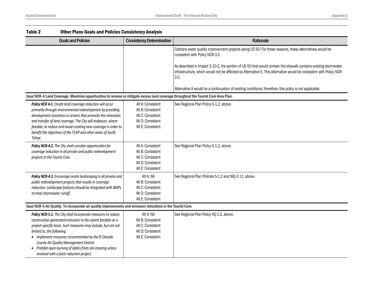| Table 2                    | <b>Other Plans Goals and Policies Consistency Analysis</b>                                                                                                                                                                                                                                                                                                                                                 |                                                                                                       |                                                                                                                                                                                                                                                |  |
|----------------------------|------------------------------------------------------------------------------------------------------------------------------------------------------------------------------------------------------------------------------------------------------------------------------------------------------------------------------------------------------------------------------------------------------------|-------------------------------------------------------------------------------------------------------|------------------------------------------------------------------------------------------------------------------------------------------------------------------------------------------------------------------------------------------------|--|
|                            | <b>Goals and Policies</b>                                                                                                                                                                                                                                                                                                                                                                                  | <b>Consistency Determination</b>                                                                      | Rationale                                                                                                                                                                                                                                      |  |
|                            |                                                                                                                                                                                                                                                                                                                                                                                                            |                                                                                                       | Caltrans water quality improvement projects along US 50. For these reasons, these alternatives would be<br>consistent with Policy NCR-3.5.                                                                                                     |  |
|                            |                                                                                                                                                                                                                                                                                                                                                                                                            |                                                                                                       | As described in Impact 3.10-2, the portion of US 50 that would contain the skywalk contains existing stormwater<br>infrastructure, which would not be affected by Alternative E. This alternative would be consistent with Policy NCR-<br>3.5. |  |
|                            |                                                                                                                                                                                                                                                                                                                                                                                                            |                                                                                                       | Alternative A would be a continuation of existing conditions; therefore, this policy is not applicable.                                                                                                                                        |  |
|                            | Goal NCR-4 Land Coverage. Maximize opportunities to remove or mitigate excess land coverage throughout the Tourist Core Area Plan.                                                                                                                                                                                                                                                                         |                                                                                                       |                                                                                                                                                                                                                                                |  |
| Tahoe.                     | Policy NCR 4-1. Onsite land coverage reduction will occur<br>primarily through environmental redevelopment by providing<br>development incentives in centers that promote the relocation<br>and transfer of land coverage. The City will endeavor, where<br>feasible, to reduce and avoid creating new coverage in order to<br>benefit the objectives of the TCAP and other areas of South                 | Alt A: Consistent<br>Alt B: Consistent<br>Alt C: Consistent<br>Alt D: Consistent<br>Alt E: Consistent | See Regional Plan Policy S-1.2, above.                                                                                                                                                                                                         |  |
|                            | Policy NCR-4.2. The City shall consider opportunities for<br>coverage reduction in all private and public redevelopment<br>projects in the Tourist Core.                                                                                                                                                                                                                                                   | Alt A: Consistent<br>Alt B: Consistent<br>Alt C: Consistent<br>Alt D: Consistent<br>Alt E: Consistent | See Regional Plan Policy S-1.2, above.                                                                                                                                                                                                         |  |
|                            | Policy NCR-4.3. Encourage onsite landscaping in all private and<br>public redevelopment projects that results in coverage<br>reduction. Landscape features should be integrated with BMPs<br>to treat stormwater runoff.                                                                                                                                                                                   | Alt A: NA<br>Alt B: Consistent<br>Alt C: Consistent<br>Alt D: Consistent<br>Alt E: Consistent         | See Regional Plan Policies S-1.2 and WQ-3.11, above.                                                                                                                                                                                           |  |
|                            | Goal NCR-5 Air Quality. To incorporate air quality improvements and emission reductions in the Tourist Core.                                                                                                                                                                                                                                                                                               |                                                                                                       |                                                                                                                                                                                                                                                |  |
| limited to, the following: | Policy NCR-5.1. The City shall incorporate measures to reduce<br>construction-generated emissions to the extent feasible on a<br>project-specific basis. Such measures may include, but are not<br>• Implement measures recommended by the El Dorado<br>County Air Quality Management District.<br>• Prohibit open burning of debris from site clearing unless<br>involved with a fuels reduction project. | Alt A: NA<br>Alt B: Consistent<br>Alt C: Consistent<br>Alt D: Consistent<br>Alt E: Consistent         | See Regional Plan Policy AQ-1.2, above.                                                                                                                                                                                                        |  |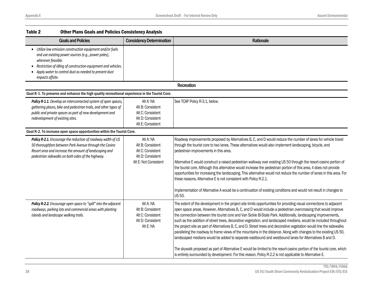| Table 2                                | <b>Other Plans Goals and Policies Consistency Analysis</b>                                                                                                                                                                                  |                                                                                                   |                                                                                                                                                                                                                                                                                                                                                                                                                                                                                                                                                                                                                                                                                                                                                                                                                                                                                                                                                                                                                                                                           |
|----------------------------------------|---------------------------------------------------------------------------------------------------------------------------------------------------------------------------------------------------------------------------------------------|---------------------------------------------------------------------------------------------------|---------------------------------------------------------------------------------------------------------------------------------------------------------------------------------------------------------------------------------------------------------------------------------------------------------------------------------------------------------------------------------------------------------------------------------------------------------------------------------------------------------------------------------------------------------------------------------------------------------------------------------------------------------------------------------------------------------------------------------------------------------------------------------------------------------------------------------------------------------------------------------------------------------------------------------------------------------------------------------------------------------------------------------------------------------------------------|
|                                        | <b>Goals and Policies</b>                                                                                                                                                                                                                   | <b>Consistency Determination</b>                                                                  | Rationale                                                                                                                                                                                                                                                                                                                                                                                                                                                                                                                                                                                                                                                                                                                                                                                                                                                                                                                                                                                                                                                                 |
| wherever feasible.<br>impacts offsite. | • Utilize low emission construction equipment and/or fuels<br>and use existing power sources (e.g., power poles),<br>Restriction of idling of construction equipment and vehicles.<br>Apply water to control dust as needed to prevent dust |                                                                                                   |                                                                                                                                                                                                                                                                                                                                                                                                                                                                                                                                                                                                                                                                                                                                                                                                                                                                                                                                                                                                                                                                           |
|                                        |                                                                                                                                                                                                                                             |                                                                                                   | <b>Recreation</b>                                                                                                                                                                                                                                                                                                                                                                                                                                                                                                                                                                                                                                                                                                                                                                                                                                                                                                                                                                                                                                                         |
|                                        | Goal R-1. To preserve and enhance the high quality recreational experience in the Tourist Core.                                                                                                                                             |                                                                                                   |                                                                                                                                                                                                                                                                                                                                                                                                                                                                                                                                                                                                                                                                                                                                                                                                                                                                                                                                                                                                                                                                           |
|                                        | Policy R-1.1. Develop an interconnected system of open spaces,<br>gathering places, bike and pedestrian trails, and other types of<br>public and private spaces as part of new development and<br>redevelopment of existing sites.          | Alt A: NA<br>Alt B: Consistent<br>Alt C: Consistent<br>Alt D: Consistent<br>Alt E: Consistent     | See TCAP Policy R-3.1, below.                                                                                                                                                                                                                                                                                                                                                                                                                                                                                                                                                                                                                                                                                                                                                                                                                                                                                                                                                                                                                                             |
|                                        | Goal R-2. To increase open space opportunities within the Tourist Core.                                                                                                                                                                     |                                                                                                   |                                                                                                                                                                                                                                                                                                                                                                                                                                                                                                                                                                                                                                                                                                                                                                                                                                                                                                                                                                                                                                                                           |
|                                        | Policy R-2.1. Encourage the reduction of roadway width of US<br>50 thoroughfare between Park Avenue through the Casino<br>Resort area and increase the amount of landscaping and<br>pedestrian sidewalks on both sides of the highway.      | Alt A: NA<br>Alt B: Consistent<br>Alt C: Consistent<br>Alt D: Consistent<br>Alt E: Not Consistent | Roadway improvements proposed by Alternatives B, C, and D would reduce the number of lanes for vehicle travel<br>through the tourist core to two lanes. These alternatives would also implement landscaping, bicycle, and<br>pedestrian improvements in this area.<br>Alternative E would construct a raised pedestrian walkway over existing US 50 through the resort-casino portion of<br>the tourist core. Although this alternative would increase the pedestrian portion of this area, it does not provide<br>opportunities for increasing the landscaping. This alternative would not reduce the number of lanes in this area. For<br>these reasons, Alternative E is not consistent with Policy R-2.1.<br>Implementation of Alternative A would be a continuation of existing conditions and would not result in changes to<br>US 50.                                                                                                                                                                                                                              |
|                                        | Policy R-2.2. Encourage open space to "spill" into the adjacent<br>roadways, parking lots and commercial areas with planting<br>islands and landscape walking trails.                                                                       | Alt A: NA<br>Alt B: Consistent<br>Alt C: Consistent<br>Alt D: Consistent<br>Alt E: NA             | The extent of the development in the project site limits opportunities for providing visual connections to adjacent<br>open space areas. However, Alternatives B, C, and D would include a pedestrian overcrossing that would improve<br>the connection between the tourist core and Van Sickle Bi-State Park. Additionally, landscaping improvements,<br>such as the addition of street trees, decorative vegetation, and landscaped medians, would be included throughout<br>the project site as part of Alternatives B, C, and D. Street trees and decorative vegetation would line the sidewalks<br>paralleling the roadway to frame views of the mountains in the distance. Along with changes to the existing US 50,<br>landscaped medians would be added to separate eastbound and westbound lanes for Alternatives B and D.<br>The skywalk proposed as part of Alternative E would be limited to the resort-casino portion of the tourist core, which<br>is entirely surrounded by development. For this reason, Policy R-2.2 is not applicable to Alternative E. |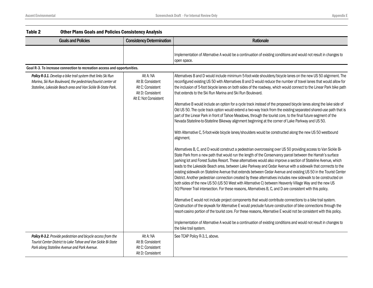| Table 2 | <b>Other Plans Goals and Policies Consistency Analysis</b>                                                                                                                                  |                                                                                                   |                                                                                                                                                                                                                                                                                                                                                                                                                                                                                                                                                                                                                                                                                                                                                                                                                                                                                                                                       |
|---------|---------------------------------------------------------------------------------------------------------------------------------------------------------------------------------------------|---------------------------------------------------------------------------------------------------|---------------------------------------------------------------------------------------------------------------------------------------------------------------------------------------------------------------------------------------------------------------------------------------------------------------------------------------------------------------------------------------------------------------------------------------------------------------------------------------------------------------------------------------------------------------------------------------------------------------------------------------------------------------------------------------------------------------------------------------------------------------------------------------------------------------------------------------------------------------------------------------------------------------------------------------|
|         | <b>Goals and Policies</b>                                                                                                                                                                   | <b>Consistency Determination</b>                                                                  | Rationale                                                                                                                                                                                                                                                                                                                                                                                                                                                                                                                                                                                                                                                                                                                                                                                                                                                                                                                             |
|         |                                                                                                                                                                                             |                                                                                                   | Implementation of Alternative A would be a continuation of existing conditions and would not result in changes to<br>open space.                                                                                                                                                                                                                                                                                                                                                                                                                                                                                                                                                                                                                                                                                                                                                                                                      |
|         | Goal R-3. To increase connection to recreation access and opportunities.                                                                                                                    |                                                                                                   |                                                                                                                                                                                                                                                                                                                                                                                                                                                                                                                                                                                                                                                                                                                                                                                                                                                                                                                                       |
|         | Policy R-3.1. Develop a bike trail system that links Ski Run<br>Marina, Ski Run Boulevard, the pedestrian/tourist center at<br>Stateline, Lakeside Beach area and Van Sickle Bi-State Park. | Alt A: NA<br>Alt B: Consistent<br>Alt C: Consistent<br>Alt D: Consistent<br>Alt E: Not Consistent | Alternatives B and D would include minimum 5-foot-wide shoulders/bicycle lanes on the new US 50 alignment. The<br>reconfigured existing US 50 with Alternatives B and D would reduce the number of travel lanes that would allow for<br>the inclusion of 5-foot bicycle lanes on both sides of the roadway, which would connect to the Linear Park bike path<br>that extends to the Ski Run Marina and Ski Run Boulevard.                                                                                                                                                                                                                                                                                                                                                                                                                                                                                                             |
|         |                                                                                                                                                                                             |                                                                                                   | Alternative B would include an option for a cycle track instead of the proposed bicycle lanes along the lake side of<br>Old US 50. The cycle track option would extend a two-way track from the existing separated shared-use path that is<br>part of the Linear Park in front of Tahoe Meadows, through the tourist core, to the final future segment of the<br>Nevada Stateline-to-Stateline Bikeway alignment beginning at the corner of Lake Parkway and US 50.                                                                                                                                                                                                                                                                                                                                                                                                                                                                   |
|         |                                                                                                                                                                                             |                                                                                                   | With Alternative C, 5-foot-wide bicycle lanes/shoulders would be constructed along the new US 50 westbound<br>alignment.                                                                                                                                                                                                                                                                                                                                                                                                                                                                                                                                                                                                                                                                                                                                                                                                              |
|         |                                                                                                                                                                                             |                                                                                                   | Alternatives B, C, and D would construct a pedestrian overcrossing over US 50 providing access to Van Sickle Bi-<br>State Park from a new path that would run the length of the Conservancy parcel between the Harrah's surface<br>parking lot and Forest Suites Resort. These alternatives would also improve a section of Stateline Avenue, which<br>leads to the Lakeside Beach area, between Lake Parkway and Cedar Avenue with a sidewalk that connects to the<br>existing sidewalk on Stateline Avenue that extends between Cedar Avenue and existing US 50 in the Tourist Center<br>District. Another pedestrian connection created by these alternatives includes new sidewalk to be constructed on<br>both sides of the new US 50 (US 50 West with Alternative C) between Heavenly Village Way and the new US<br>50/Pioneer Trail intersection. For these reasons, Alternatives B, C, and D are consistent with this policy. |
|         |                                                                                                                                                                                             |                                                                                                   | Alternative E would not include project components that would contribute connections to a bike trail system.<br>Construction of the skywalk for Alternative E would preclude future construction of bike connections through the<br>resort-casino portion of the tourist core. For these reasons, Alternative E would not be consistent with this policy.<br>Implementation of Alternative A would be a continuation of existing conditions and would not result in changes to<br>the bike trail system.                                                                                                                                                                                                                                                                                                                                                                                                                              |
|         | Policy R-3.2. Provide pedestrian and bicycle access from the<br>Tourist Center District to Lake Tahoe and Van Sickle Bi-State<br>Park along Stateline Avenue and Park Avenue.               | Alt A: NA<br>Alt B: Consistent<br>Alt C: Consistent<br>Alt D: Consistent                          | See TCAP Policy R-3.1, above.                                                                                                                                                                                                                                                                                                                                                                                                                                                                                                                                                                                                                                                                                                                                                                                                                                                                                                         |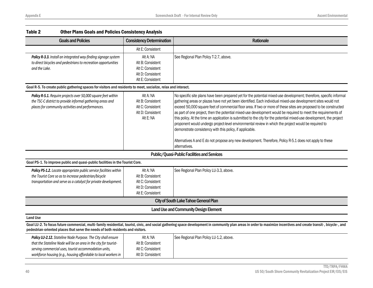| TANIC 4<br><u>ULIIEI FIAIIS QUAIS AIIU FUIILIES CUIISISLEIILY AIIAIVSIS</u>                                                                                                                    |                                                                                               |                                                                                                                                                                                                                                                                                                                                                                                                                                                                                                                                                                                                                                                                                                                                                                                                                                                                                                      |  |
|------------------------------------------------------------------------------------------------------------------------------------------------------------------------------------------------|-----------------------------------------------------------------------------------------------|------------------------------------------------------------------------------------------------------------------------------------------------------------------------------------------------------------------------------------------------------------------------------------------------------------------------------------------------------------------------------------------------------------------------------------------------------------------------------------------------------------------------------------------------------------------------------------------------------------------------------------------------------------------------------------------------------------------------------------------------------------------------------------------------------------------------------------------------------------------------------------------------------|--|
| <b>Goals and Policies</b>                                                                                                                                                                      | <b>Consistency Determination</b>                                                              | Rationale                                                                                                                                                                                                                                                                                                                                                                                                                                                                                                                                                                                                                                                                                                                                                                                                                                                                                            |  |
|                                                                                                                                                                                                | Alt E: Consistent                                                                             |                                                                                                                                                                                                                                                                                                                                                                                                                                                                                                                                                                                                                                                                                                                                                                                                                                                                                                      |  |
| Policy R-3.3. Install an integrated way-finding signage system<br>to direct bicycles and pedestrians to recreation opportunities<br>and the Lake.                                              | Alt A: NA<br>Alt B: Consistent<br>Alt C: Consistent<br>Alt D: Consistent<br>Alt E: Consistent | See Regional Plan Policy T-2.7, above.                                                                                                                                                                                                                                                                                                                                                                                                                                                                                                                                                                                                                                                                                                                                                                                                                                                               |  |
| Goal R-5. To create public gathering spaces for visitors and residents to meet, socialize, relax and interact.                                                                                 |                                                                                               |                                                                                                                                                                                                                                                                                                                                                                                                                                                                                                                                                                                                                                                                                                                                                                                                                                                                                                      |  |
| Policy R-5.1. Require projects over 50,000 square feet within<br>the TSC-C district to provide informal gathering areas and<br>places for community activities and performances.               | Alt A: NA<br>Alt B: Consistent<br>Alt C: Consistent<br>Alt D: Consistent<br>Alt E: NA         | No specific site plans have been prepared yet for the potential mixed-use development; therefore, specific informal<br>gathering areas or plazas have not yet been identified. Each individual mixed-use development sites would not<br>exceed 50,000 square feet of commercial floor area. If two or more of these sites are proposed to be constructed<br>as part of one project, then the potential mixed-use development would be required to meet the requirements of<br>this policy. At the time an application is submitted to the city for the potential mixed-use development, the project<br>proponent would undergo project-level environmental review in which the project would be required to<br>demonstrate consistency with this policy, if applicable.<br>Alternatives A and E do not propose any new development. Therefore, Policy R-5.1 does not apply to these<br>alternatives. |  |
|                                                                                                                                                                                                |                                                                                               | Public/Quasi-Public Facilities and Services                                                                                                                                                                                                                                                                                                                                                                                                                                                                                                                                                                                                                                                                                                                                                                                                                                                          |  |
| Goal PS-1. To improve public and quasi-public facilities in the Tourist Core.                                                                                                                  |                                                                                               |                                                                                                                                                                                                                                                                                                                                                                                                                                                                                                                                                                                                                                                                                                                                                                                                                                                                                                      |  |
| Policy PS-1.2. Locate appropriate public service facilities within<br>the Tourist Core so as to increase pedestrian/bicycle<br>transportation and serve as a catalyst for private development. | Alt A: NA<br>Alt B: Consistent<br>Alt C: Consistent<br>Alt D: Consistent<br>Alt E: Consistent | See Regional Plan Policy LU-3.3, above.                                                                                                                                                                                                                                                                                                                                                                                                                                                                                                                                                                                                                                                                                                                                                                                                                                                              |  |
|                                                                                                                                                                                                |                                                                                               | <b>City of South Lake Tahoe General Plan</b>                                                                                                                                                                                                                                                                                                                                                                                                                                                                                                                                                                                                                                                                                                                                                                                                                                                         |  |
|                                                                                                                                                                                                |                                                                                               | <b>Land Use and Community Design Element</b>                                                                                                                                                                                                                                                                                                                                                                                                                                                                                                                                                                                                                                                                                                                                                                                                                                                         |  |
| <b>Land Use</b>                                                                                                                                                                                |                                                                                               |                                                                                                                                                                                                                                                                                                                                                                                                                                                                                                                                                                                                                                                                                                                                                                                                                                                                                                      |  |
| pedestrian-oriented places that serve the needs of both residents and visitors.                                                                                                                |                                                                                               | Goal LU-2. To focus future commercial, multi-family residential, tourist, civic, and social gathering space development in community plan areas in order to maximize incentives and create transit-, bicycle-, and                                                                                                                                                                                                                                                                                                                                                                                                                                                                                                                                                                                                                                                                                   |  |
| <b>Policy LU-2.12.</b> Stateline Node Purpose. The City shall ensure                                                                                                                           | Alt A: NA                                                                                     | See Regional Plan Policy LU-1.2, above.                                                                                                                                                                                                                                                                                                                                                                                                                                                                                                                                                                                                                                                                                                                                                                                                                                                              |  |

Alt B: Consistent Alt C: Consistent Alt D: Consistent

| Table 2 | <b>Other Plans Goals and Policies Consistency Analysis</b> |  |
|---------|------------------------------------------------------------|--|
|---------|------------------------------------------------------------|--|

*that the Stateline Node will be an area in the city for touristserving commercial uses, tourist accommodation units, workforce housing (e.g., housing affordable to local workers in*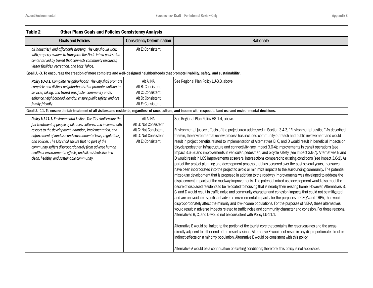| Table 2<br><b>Other Plans Goals and Policies Consistency Analysis</b>                                                                                                                                                                                                                                                                                                                                                                                                                                  |                                                                                                           |                                                                                                                                                                                                                                                                                                                                                                                                                                                                                                                                                                                                                                                                                                                                                                                                                                                                                                                                                                                                                                                                                                                                                                                                                                                                                                                                                                                                                                                                                                                                                                                                                                                                                                                                                                                                                                                                                                                                                                                                                                                                                                                                                                                                                                                                                                                                                                                |
|--------------------------------------------------------------------------------------------------------------------------------------------------------------------------------------------------------------------------------------------------------------------------------------------------------------------------------------------------------------------------------------------------------------------------------------------------------------------------------------------------------|-----------------------------------------------------------------------------------------------------------|--------------------------------------------------------------------------------------------------------------------------------------------------------------------------------------------------------------------------------------------------------------------------------------------------------------------------------------------------------------------------------------------------------------------------------------------------------------------------------------------------------------------------------------------------------------------------------------------------------------------------------------------------------------------------------------------------------------------------------------------------------------------------------------------------------------------------------------------------------------------------------------------------------------------------------------------------------------------------------------------------------------------------------------------------------------------------------------------------------------------------------------------------------------------------------------------------------------------------------------------------------------------------------------------------------------------------------------------------------------------------------------------------------------------------------------------------------------------------------------------------------------------------------------------------------------------------------------------------------------------------------------------------------------------------------------------------------------------------------------------------------------------------------------------------------------------------------------------------------------------------------------------------------------------------------------------------------------------------------------------------------------------------------------------------------------------------------------------------------------------------------------------------------------------------------------------------------------------------------------------------------------------------------------------------------------------------------------------------------------------------------|
| <b>Goals and Policies</b>                                                                                                                                                                                                                                                                                                                                                                                                                                                                              | <b>Consistency Determination</b>                                                                          | Rationale                                                                                                                                                                                                                                                                                                                                                                                                                                                                                                                                                                                                                                                                                                                                                                                                                                                                                                                                                                                                                                                                                                                                                                                                                                                                                                                                                                                                                                                                                                                                                                                                                                                                                                                                                                                                                                                                                                                                                                                                                                                                                                                                                                                                                                                                                                                                                                      |
| all industries), and affordable housing. The City should work<br>with property owners to transform the Node into a pedestrian<br>center served by transit that connects community resources,<br>visitor facilities, recreation, and Lake Tahoe.                                                                                                                                                                                                                                                        | Alt E: Consistent                                                                                         |                                                                                                                                                                                                                                                                                                                                                                                                                                                                                                                                                                                                                                                                                                                                                                                                                                                                                                                                                                                                                                                                                                                                                                                                                                                                                                                                                                                                                                                                                                                                                                                                                                                                                                                                                                                                                                                                                                                                                                                                                                                                                                                                                                                                                                                                                                                                                                                |
| Goal LU-3. To encourage the creation of more complete and well-designed neighborhoods that promote livability, safety, and sustainability.                                                                                                                                                                                                                                                                                                                                                             |                                                                                                           |                                                                                                                                                                                                                                                                                                                                                                                                                                                                                                                                                                                                                                                                                                                                                                                                                                                                                                                                                                                                                                                                                                                                                                                                                                                                                                                                                                                                                                                                                                                                                                                                                                                                                                                                                                                                                                                                                                                                                                                                                                                                                                                                                                                                                                                                                                                                                                                |
| Policy LU-3.1. Complete Neighborhoods. The City shall promote<br>complete and distinct neighborhoods that promote walking to<br>services, biking, and transit use; foster community pride;<br>enhance neighborhood identity; ensure public safety; and are<br>family-friendly.                                                                                                                                                                                                                         | Alt A: NA<br>Alt B: Consistent<br>Alt C: Consistent<br>Alt D: Consistent<br>Alt E: Consistent             | See Regional Plan Policy LU-3.3, above.                                                                                                                                                                                                                                                                                                                                                                                                                                                                                                                                                                                                                                                                                                                                                                                                                                                                                                                                                                                                                                                                                                                                                                                                                                                                                                                                                                                                                                                                                                                                                                                                                                                                                                                                                                                                                                                                                                                                                                                                                                                                                                                                                                                                                                                                                                                                        |
|                                                                                                                                                                                                                                                                                                                                                                                                                                                                                                        |                                                                                                           | Goal LU-11. To ensure the fair treatment of all visitors and residents, regardless of race, culture, and income with respect to land use and environmental decisions.                                                                                                                                                                                                                                                                                                                                                                                                                                                                                                                                                                                                                                                                                                                                                                                                                                                                                                                                                                                                                                                                                                                                                                                                                                                                                                                                                                                                                                                                                                                                                                                                                                                                                                                                                                                                                                                                                                                                                                                                                                                                                                                                                                                                          |
| Policy LU-11.1. Environmental Justice. The City shall ensure the<br>fair treatment of people of all races, cultures, and incomes with<br>respect to the development, adoption, implementation, and<br>enforcement of land use and environmental laws, regulations,<br>and policies. The City shall ensure that no part of the<br>community suffers disproportionately from adverse human<br>health or environmental effects, and all residents live in a<br>clean, healthy, and sustainable community. | Alt A: NA<br>Alt B: Not Consistent<br>Alt C: Not Consistent<br>Alt D: Not Consistent<br>Alt E: Consistent | See Regional Plan Policy HS-1.4, above.<br>Environmental justice effects of the project area addressed in Section 3.4.3, "Environmental Justice." As described<br>therein, the environmental review process has included community outreach and public involvement and would<br>result in project benefits related to implementation of Alternatives B, C, and D would result in beneficial impacts on<br>bicycle/pedestrian infrastructure and connectivity (see Impact 3.6-4); improvements in transit operations (see<br>Impact 3.6-5); and improvements in vehicular, pedestrian, and bicycle safety (see Impact 3.6-7). Alternatives B and<br>D would result in LOS improvements at several intersections compared to existing conditions (see Impact 3.6-1). As<br>part of the project planning and development process that has occurred over the past several years, measures<br>have been incorporated into the project to avoid or minimize impacts to the surrounding community. The potential<br>mixed-use development that is proposed in addition to the roadway improvements was developed to address the<br>displacement impacts of the roadway improvements. The potential mixed-use development would also meet the<br>desire of displaced residents to be relocated to housing that is nearby their existing home. However, Alternatives B,<br>C, and D would result in traffic noise and community character and cohesion impacts that could not be mitigated<br>and are unavoidable significant adverse environmental impacts, for the purposes of CEQA and TRPA, that would<br>disproportionately affect the minority and low-income populations. For the purposes of NEPA, these alternatives<br>would result in adverse impacts related to traffic noise and community character and cohesion. For these reasons,<br>Alternatives B, C, and D would not be consistent with Policy LU-11.1.<br>Alternative E would be limited to the portion of the tourist core that contains the resort-casinos and the areas<br>directly adjacent to either end of the resort-casinos. Alternative E would not result in any disproportionate direct or<br>indirect effects on a minority population. Alternative E would be consistent with this policy.<br>Alternative A would be a continuation of existing conditions; therefore, this policy is not applicable. |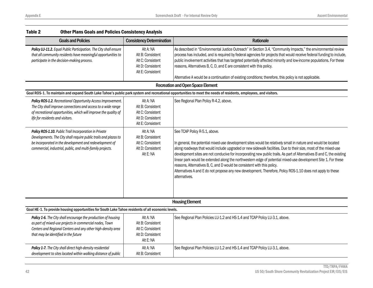| Table 2                          | <b>Other Plans Goals and Policies Consistency Analysis</b>                                                                                                                                                                                          |                                                                                               |                                                                                                                                                                                                                                                                                                                                                                                                                                                                                                                                                                                                                                                                                                                           |
|----------------------------------|-----------------------------------------------------------------------------------------------------------------------------------------------------------------------------------------------------------------------------------------------------|-----------------------------------------------------------------------------------------------|---------------------------------------------------------------------------------------------------------------------------------------------------------------------------------------------------------------------------------------------------------------------------------------------------------------------------------------------------------------------------------------------------------------------------------------------------------------------------------------------------------------------------------------------------------------------------------------------------------------------------------------------------------------------------------------------------------------------------|
|                                  | <b>Goals and Policies</b>                                                                                                                                                                                                                           | <b>Consistency Determination</b>                                                              | Rationale                                                                                                                                                                                                                                                                                                                                                                                                                                                                                                                                                                                                                                                                                                                 |
|                                  | Policy LU-11.2. Equal Public Participation. The City shall ensure<br>that all community residents have meaningful opportunities to<br>participate in the decision-making process.                                                                   | Alt A: NA<br>Alt B: Consistent<br>Alt C: Consistent<br>Alt D: Consistent<br>Alt E: Consistent | As described in "Environmental Justice Outreach" in Section 3.4, "Community Impacts," the environmental review<br>process has included, and is required by federal agencies for projects that would receive federal funding to include,<br>public involvement activities that has targeted potentially affected minority and low-income populations. For these<br>reasons, Alternatives B, C, D, and E are consistent with this policy.<br>Alternative A would be a continuation of existing conditions; therefore, this policy is not applicable.                                                                                                                                                                        |
|                                  |                                                                                                                                                                                                                                                     |                                                                                               | <b>Recreation and Open Space Element</b>                                                                                                                                                                                                                                                                                                                                                                                                                                                                                                                                                                                                                                                                                  |
|                                  |                                                                                                                                                                                                                                                     |                                                                                               | Goal ROS-1. To maintain and expand South Lake Tahoe's public park system and recreational opportunities to meet the needs of residents, employees, and visitors.                                                                                                                                                                                                                                                                                                                                                                                                                                                                                                                                                          |
| life for residents and visitors. | Policy ROS-1.2. Recreational Opportunity Access Improvement.<br>The City shall improve connections and access to a wide range<br>of recreational opportunities, which will improve the quality of                                                   | Alt A: NA<br>Alt B: Consistent<br>Alt C: Consistent<br>Alt D: Consistent<br>Alt E: Consistent | See Regional Plan Policy R-4.2, above.                                                                                                                                                                                                                                                                                                                                                                                                                                                                                                                                                                                                                                                                                    |
|                                  | Policy ROS-1.10. Public Trail Incorporation in Private<br>Developments. The City shall require public trails and plazas to<br>be incorporated in the development and redevelopment of<br>commercial, industrial, public, and multi-family projects. | Alt A: NA<br>Alt B: Consistent<br>Alt C: Consistent<br>Alt D: Consistent<br>Alt E: NA         | See TCAP Policy R-5.1, above.<br>In general, the potential mixed-use development sites would be relatively small in nature and would be located<br>along roadways that would include upgraded or new sidewalk facilities. Due to their size, most of the mixed-use<br>development sites are not conducive for incorporating new public trails. As part of Alternatives B and C, the existing<br>linear park would be extended along the northwestern edge of potential mixed-use development Site 1. For these<br>reasons, Alternatives B, C, and D would be consistent with this policy.<br>Alternatives A and E do not propose any new development. Therefore, Policy ROS-1.10 does not apply to these<br>alternatives. |
|                                  |                                                                                                                                                                                                                                                     |                                                                                               | <b>Housing Element</b>                                                                                                                                                                                                                                                                                                                                                                                                                                                                                                                                                                                                                                                                                                    |
|                                  | Goal HE-1. To provide housing opportunities for South Lake Tahoe residents of all economic levels.                                                                                                                                                  |                                                                                               |                                                                                                                                                                                                                                                                                                                                                                                                                                                                                                                                                                                                                                                                                                                           |
|                                  | Policy 1-6. The City shall encourage the production of housing<br>as part of mixed-use projects in commercial nodes, Town<br>Centers and Regional Centers and any other high-density area<br>that may be identified in the future                   | Alt A: NA<br>Alt B: Consistent<br>Alt C: Consistent<br>Alt D: Consistent<br>Alt E: NA         | See Regional Plan Policies LU-1.2 and HS-1.4 and TCAP Policy LU-3.1, above.                                                                                                                                                                                                                                                                                                                                                                                                                                                                                                                                                                                                                                               |

Alt A: NA Alt B: Consistent See Regional Plan Policies LU-1.2 and HS-1.4 and TCAP Policy LU-3.1, above.

*Policy 1-7. The City shall direct high-density residential development to sites located within walking distance of public*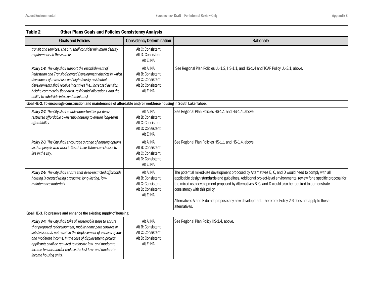| Table 2<br><b>Other Plans Goals and Policies Consistency Analysis</b>                                                                                                                                                                                                                                                                                                                                             |                                                                                       |                                                                                                                                                                                                                                                                                                                                                                                                                                                                                                     |
|-------------------------------------------------------------------------------------------------------------------------------------------------------------------------------------------------------------------------------------------------------------------------------------------------------------------------------------------------------------------------------------------------------------------|---------------------------------------------------------------------------------------|-----------------------------------------------------------------------------------------------------------------------------------------------------------------------------------------------------------------------------------------------------------------------------------------------------------------------------------------------------------------------------------------------------------------------------------------------------------------------------------------------------|
| <b>Goals and Policies</b>                                                                                                                                                                                                                                                                                                                                                                                         | <b>Consistency Determination</b>                                                      | Rationale                                                                                                                                                                                                                                                                                                                                                                                                                                                                                           |
| transit and services. The City shall consider minimum density<br>requirements in these areas.                                                                                                                                                                                                                                                                                                                     | Alt C: Consistent<br>Alt D: Consistent<br>Alt E: NA                                   |                                                                                                                                                                                                                                                                                                                                                                                                                                                                                                     |
| Policy 1-8. The City shall support the establishment of<br>Pedestrian and Transit-Oriented Development districts in which<br>developers of mixed-use and high-density residential<br>developments shall receive incentives (i.e., increased density,<br>height, commercial floor area, residential allocations, and the<br>ability to subdivide into condominiums).                                               | Alt A: NA<br>Alt B: Consistent<br>Alt C: Consistent<br>Alt D: Consistent<br>Alt E: NA | See Regional Plan Policies LU-1.2, HS-1.1, and HS-1.4 and TCAP Policy LU-3.1, above.                                                                                                                                                                                                                                                                                                                                                                                                                |
| Goal HE-2. To encourage construction and maintenance of affordable and/or workforce housing in South Lake Tahoe.                                                                                                                                                                                                                                                                                                  |                                                                                       |                                                                                                                                                                                                                                                                                                                                                                                                                                                                                                     |
| Policy 2-2. The City shall enable opportunities for deed-<br>restricted affordable ownership housing to ensure long-term<br>affordability.                                                                                                                                                                                                                                                                        | Alt A: NA<br>Alt B: Consistent<br>Alt C: Consistent<br>Alt D: Consistent<br>Alt E: NA | See Regional Plan Policies HS-1.1 and HS-1.4, above.                                                                                                                                                                                                                                                                                                                                                                                                                                                |
| Policy 2-3. The City shall encourage a range of housing options<br>so that people who work in South Lake Tahoe can choose to<br>live in the city.                                                                                                                                                                                                                                                                 | Alt A: NA<br>Alt B: Consistent<br>Alt C: Consistent<br>Alt D: Consistent<br>Alt E: NA | See Regional Plan Policies HS-1.1 and HS-1.4, above.                                                                                                                                                                                                                                                                                                                                                                                                                                                |
| Policy 2-6. The City shall ensure that deed-restricted affordable<br>housing is created using attractive, long-lasting, low-<br>maintenance materials.                                                                                                                                                                                                                                                            | Alt A: NA<br>Alt B: Consistent<br>Alt C: Consistent<br>Alt D: Consistent<br>Alt E: NA | The potential mixed-use development proposed by Alternatives B, C, and D would need to comply with all<br>applicable design standards and guidelines. Additional project-level environmental review for a specific proposal for<br>the mixed-use development proposed by Alternatives B, C, and D would also be required to demonstrate<br>consistency with this policy.<br>Alternatives A and E do not propose any new development. Therefore, Policy 2-6 does not apply to these<br>alternatives. |
| Goal HE-3. To preserve and enhance the existing supply of housing.                                                                                                                                                                                                                                                                                                                                                |                                                                                       |                                                                                                                                                                                                                                                                                                                                                                                                                                                                                                     |
| Policy 3-4. The City shall take all reasonable steps to ensure<br>that proposed redevelopment, mobile home park closures or<br>subdivisions do not result in the displacement of persons of low<br>and moderate income. In the case of displacement, project<br>applicants shall be required to relocate low- and moderate-<br>income tenants and/or replace the lost low- and moderate-<br>income housing units. | Alt A: NA<br>Alt B: Consistent<br>Alt C: Consistent<br>Alt D: Consistent<br>Alt E: NA | See Regional Plan Policy HS-1.4, above.                                                                                                                                                                                                                                                                                                                                                                                                                                                             |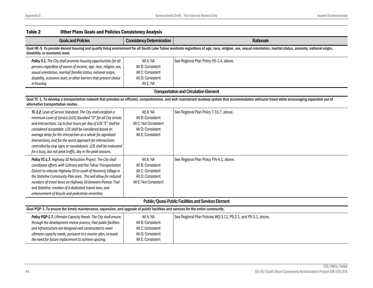| Table 2<br><b>Other Plans Goals and Policies Consistency Analysis</b>                                                                                                                                                                                                                                                                                                                                                                                                                                                           |                                                                                                   |                                                                                                                                                                                                               |
|---------------------------------------------------------------------------------------------------------------------------------------------------------------------------------------------------------------------------------------------------------------------------------------------------------------------------------------------------------------------------------------------------------------------------------------------------------------------------------------------------------------------------------|---------------------------------------------------------------------------------------------------|---------------------------------------------------------------------------------------------------------------------------------------------------------------------------------------------------------------|
| <b>Goals and Policies</b>                                                                                                                                                                                                                                                                                                                                                                                                                                                                                                       | <b>Consistency Determination</b>                                                                  | Rationale                                                                                                                                                                                                     |
| disability, or economic level.                                                                                                                                                                                                                                                                                                                                                                                                                                                                                                  |                                                                                                   | Goal HE-5. To provide decent housing and quality living environment for all South Lake Tahoe residents regardless of age, race, religion, sex, sexual orientation, marital status, ancestry, national origin, |
| Policy 5-1. The City shall promote housing opportunities for all<br>persons regardless of source of income, age, race, religion, sex,<br>sexual orientation, marital/familial status, national origin,<br>disability, economic level, or other barriers that prevent choice<br>in housing.                                                                                                                                                                                                                                      | Alt A: NA<br>Alt B: Consistent<br>Alt C: Consistent<br>Alt D: Consistent<br>Alt E: NA             | See Regional Plan Policy HS-1.4, above.                                                                                                                                                                       |
|                                                                                                                                                                                                                                                                                                                                                                                                                                                                                                                                 |                                                                                                   | <b>Transportation and Circulation Element</b>                                                                                                                                                                 |
| alternative transportation modes.                                                                                                                                                                                                                                                                                                                                                                                                                                                                                               |                                                                                                   | Goal TC-1. To develop a transportation network that provides an efficient, comprehensive, and well-maintained roadway system that accommodates vehicular travel while encouraging expanded use of             |
| TC-1.2. Level of Service Standard: The City shall establish a<br>minimum Level of Service (LOS) Standard "D" for all City streets<br>and intersections. Up to four hours per day of LOS "E" shall be<br>considered acceptable. LOS shall be considered based on<br>average delay for the intersection as a whole for signalized<br>intersections, and for the worst approach for intersections<br>controlled by stop signs or roundabouts. LOS shall be evaluated<br>for a busy, but not peak traffic, day in the peak seasons. | Alt A: NA<br>Alt B: Consistent<br>Alt C: Not Consistent<br>Alt D: Consistent<br>Alt E: Consistent | See Regional Plan Policy T-10.7, above.                                                                                                                                                                       |
| Policy TC-1.7. Highway 50 Relocation Project. The City shall<br>coordinate efforts with Caltrans and the Tahoe Transportation<br>District to relocate Highway 50 to south of Heavenly Village in<br>the Stateline Community Plan area. This will allow for reduced<br>numbers of travel lanes on Highway 50 between Pioneer Trail<br>and Stateline, creation of a dedicated transit lane, and<br>enhancement of bicycle and pedestrian amenities.                                                                               | Alt A: NA<br>Alt B: Consistent<br>Alt C: Consistent<br>Alt D: Consistent<br>Alt E: Not Consistent | See Regional Plan Policy FIN-4.1, above.                                                                                                                                                                      |
|                                                                                                                                                                                                                                                                                                                                                                                                                                                                                                                                 |                                                                                                   | Public/Quasi-Public Facilities and Services Element                                                                                                                                                           |
| Goal PQP-1. To ensure the timely maintenance, expansion, and upgrade of public facilities and services for the entire community.                                                                                                                                                                                                                                                                                                                                                                                                |                                                                                                   |                                                                                                                                                                                                               |
| Policy PQP-1.7. Ultimate Capacity Needs. The City shall ensure,<br>through the development review process, that public facilities<br>and infrastructure are designed and constructed to meet<br>ultimate capacity needs, pursuant to a master plan, to avoid<br>the need for future replacement to achieve upsizing.                                                                                                                                                                                                            | Alt A: NA<br>Alt B: Consistent<br>Alt C: Consistent<br>Alt D: Consistent<br>Alt E: Consistent     | See Regional Plan Policies WQ-3.11, PS-2.1, and PS-3.1, above.                                                                                                                                                |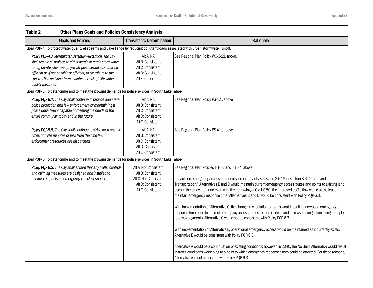| Table 2           | <b>Other Plans Goals and Policies Consistency Analysis</b>                                                                                                                                                                                                                                                                   |                                                                                                               |                                                                                                                                                                                                                                                                                                                                                                                                                                                                                                                                                                                                                                                                                                                                                                                                                                                                                                                                                                                                                                                                                                                                                                                                                                                                                                        |
|-------------------|------------------------------------------------------------------------------------------------------------------------------------------------------------------------------------------------------------------------------------------------------------------------------------------------------------------------------|---------------------------------------------------------------------------------------------------------------|--------------------------------------------------------------------------------------------------------------------------------------------------------------------------------------------------------------------------------------------------------------------------------------------------------------------------------------------------------------------------------------------------------------------------------------------------------------------------------------------------------------------------------------------------------------------------------------------------------------------------------------------------------------------------------------------------------------------------------------------------------------------------------------------------------------------------------------------------------------------------------------------------------------------------------------------------------------------------------------------------------------------------------------------------------------------------------------------------------------------------------------------------------------------------------------------------------------------------------------------------------------------------------------------------------|
|                   | <b>Goals and Policies</b>                                                                                                                                                                                                                                                                                                    | <b>Consistency Determination</b>                                                                              | Rationale                                                                                                                                                                                                                                                                                                                                                                                                                                                                                                                                                                                                                                                                                                                                                                                                                                                                                                                                                                                                                                                                                                                                                                                                                                                                                              |
|                   | Goal PQP-4. To protect water quality of streams and Lake Tahoe by reducing pollutant loads associated with urban stormwater runoff.                                                                                                                                                                                          |                                                                                                               |                                                                                                                                                                                                                                                                                                                                                                                                                                                                                                                                                                                                                                                                                                                                                                                                                                                                                                                                                                                                                                                                                                                                                                                                                                                                                                        |
| quality measures. | Policy PQP-4.3. Stormwater Detention/Retention. The City<br>shall require all projects to either detain or retain stormwater<br>runoff on-site whenever physically possible and economically<br>efficient or, if not possible or efficient, to contribute to the<br>construction and long-term maintenance of off-site water | Alt A: NA<br>Alt B: Consistent<br>Alt C: Consistent<br>Alt D: Consistent<br>Alt E: Consistent                 | See Regional Plan Policy WQ-3-11, above.                                                                                                                                                                                                                                                                                                                                                                                                                                                                                                                                                                                                                                                                                                                                                                                                                                                                                                                                                                                                                                                                                                                                                                                                                                                               |
|                   | Goal PQP-5: To deter crime and to meet the growing demands for police services in South Lake Tahoe                                                                                                                                                                                                                           |                                                                                                               |                                                                                                                                                                                                                                                                                                                                                                                                                                                                                                                                                                                                                                                                                                                                                                                                                                                                                                                                                                                                                                                                                                                                                                                                                                                                                                        |
|                   | Policy PQP-5.1. The City shall continue to provide adequate<br>police protection and law enforcement by maintaining a<br>police department capable of meeting the needs of the<br>entire community today and in the future.                                                                                                  | Alt A: NA<br>Alt B: Consistent<br>Alt C: Consistent<br>Alt D: Consistent<br>Alt E: Consistent                 | See Regional Plan Policy PS-4.1, above.                                                                                                                                                                                                                                                                                                                                                                                                                                                                                                                                                                                                                                                                                                                                                                                                                                                                                                                                                                                                                                                                                                                                                                                                                                                                |
|                   | Policy PQP-5.5. The City shall continue to strive for response<br>times of three minutes or less from the time law<br>enforcement resources are dispatched.                                                                                                                                                                  | Alt A: NA<br>Alt B: Consistent<br>Alt C: Consistent<br>Alt D: Consistent<br>Alt E: Consistent                 | See Regional Plan Policy PS-4.1, above.                                                                                                                                                                                                                                                                                                                                                                                                                                                                                                                                                                                                                                                                                                                                                                                                                                                                                                                                                                                                                                                                                                                                                                                                                                                                |
|                   | Goal PQP-6: To deter crime and to meet the growing demands for police services in South Lake Tahoe                                                                                                                                                                                                                           |                                                                                                               |                                                                                                                                                                                                                                                                                                                                                                                                                                                                                                                                                                                                                                                                                                                                                                                                                                                                                                                                                                                                                                                                                                                                                                                                                                                                                                        |
|                   | Policy PQP-6.3. The City shall ensure that any traffic controls<br>and calming measures are designed and installed to<br>minimize impacts on emergency vehicle response.                                                                                                                                                     | Alt A: Not Consistent<br>Alt B: Consistent<br>Alt C: Not Consistent<br>Alt D: Consistent<br>Alt E: Consistent | See Regional Plan Policies T-10.2 and T-10.4, above.<br>Impacts on emergency access are addressed in Impacts 3.6-8 and 3.6-18 in Section 3.6, "Traffic and<br>Transportation." Alternatives B and D would maintain current emergency access routes and points to existing land<br>uses in the study area and even with the narrowing of Old US 50, the improved traffic flow would at the least<br>maintain emergency response time. Alternatives B and D would be consistent with Policy PQP-6.3.<br>With implementation of Alternative C, the change in circulation patterns would result in increased emergency<br>response times due to indirect emergency access routes for some areas and increased congestion along multiple<br>roadway segments. Alternative C would not be consistent with Policy PQP-6.3.<br>With implementation of Alternative E, operational emergency access would be maintained as it currently exists.<br>Alternative E would be consistent with Policy PQP-6.3.<br>Alternative A would be a continuation of existing conditions; however, in 2040, the No Build Alternative would result<br>in traffic conditions worsening to a point to which emergency response times could be affected. For these reasons,<br>Alternative A is not consistent with Policy PQP-6.3. |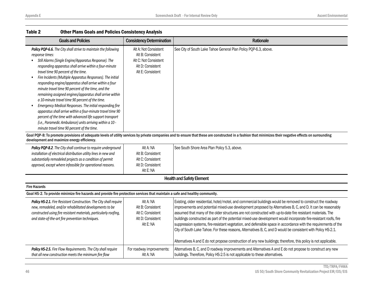| <b>Goals and Policies</b>                                                                                                                                                                                                                                                                                                                                                                                                                                                                                                                                                                                                                                                                                                                                                                                                                                                       | <b>Consistency Determination</b>                                                                              | Rationale                                                                                                                                                                                                                                                                                                                                                                                                                                                                                                                                                                                                                                                                                                                                                                                                               |
|---------------------------------------------------------------------------------------------------------------------------------------------------------------------------------------------------------------------------------------------------------------------------------------------------------------------------------------------------------------------------------------------------------------------------------------------------------------------------------------------------------------------------------------------------------------------------------------------------------------------------------------------------------------------------------------------------------------------------------------------------------------------------------------------------------------------------------------------------------------------------------|---------------------------------------------------------------------------------------------------------------|-------------------------------------------------------------------------------------------------------------------------------------------------------------------------------------------------------------------------------------------------------------------------------------------------------------------------------------------------------------------------------------------------------------------------------------------------------------------------------------------------------------------------------------------------------------------------------------------------------------------------------------------------------------------------------------------------------------------------------------------------------------------------------------------------------------------------|
| Policy PQP-6.6. The City shall strive to maintain the following<br>response times:<br>Still Alarms (Single Engine/Apparatus Response). The<br>$\bullet$<br>responding apparatus shall arrive within a four-minute<br>travel time 90 percent of the time.<br>Fire Incidents (Multiple Apparatus Responses). The initial<br>$\bullet$<br>responding engine/apparatus shall arrive within a four<br>minute travel time 90 percent of the time, and the<br>remaining assigned engines/apparatus shall arrive within<br>a 10-minute travel time 90 percent of the time.<br>Emergency Medical Responses. The initial responding fire<br>$\bullet$<br>apparatus shall arrive within a four-minute travel time 90<br>percent of the time with advanced life support transport<br>(i.e., Paramedic Ambulance) units arriving within a 10 -<br>minute travel time 90 percent of the time. | Alt A: Not Consistent<br>Alt B: Consistent<br>Alt C: Not Consistent<br>Alt D: Consistent<br>Alt E: Consistent | See City of South Lake Tahoe General Plan Policy PQP-6.3, above.                                                                                                                                                                                                                                                                                                                                                                                                                                                                                                                                                                                                                                                                                                                                                        |
| development and maximize energy efficiency.                                                                                                                                                                                                                                                                                                                                                                                                                                                                                                                                                                                                                                                                                                                                                                                                                                     |                                                                                                               | Goal PQP-8: To promote provisions of adequate levels of utility services by private companies and to ensure that these are constructed in a fashion that minimizes their negative effects on surrounding                                                                                                                                                                                                                                                                                                                                                                                                                                                                                                                                                                                                                |
| Policy PQP-8.2. The City shall continue to require underground<br>installation of electrical distribution utility lines in new and<br>substantially remodeled projects as a condition of permit<br>approval, except where infeasible for operational reasons.                                                                                                                                                                                                                                                                                                                                                                                                                                                                                                                                                                                                                   | Alt A: NA<br>Alt B: Consistent<br>Alt C: Consistent<br>Alt D: Consistent<br>Alt E: NA                         | See South Shore Area Plan Policy 5.3, above.                                                                                                                                                                                                                                                                                                                                                                                                                                                                                                                                                                                                                                                                                                                                                                            |
|                                                                                                                                                                                                                                                                                                                                                                                                                                                                                                                                                                                                                                                                                                                                                                                                                                                                                 |                                                                                                               | <b>Health and Safety Element</b>                                                                                                                                                                                                                                                                                                                                                                                                                                                                                                                                                                                                                                                                                                                                                                                        |
| <b>Fire Hazards</b>                                                                                                                                                                                                                                                                                                                                                                                                                                                                                                                                                                                                                                                                                                                                                                                                                                                             |                                                                                                               |                                                                                                                                                                                                                                                                                                                                                                                                                                                                                                                                                                                                                                                                                                                                                                                                                         |
| Goal HS-2. To provide minimize fire hazards and provide fire protection services that maintain a safe and healthy community.                                                                                                                                                                                                                                                                                                                                                                                                                                                                                                                                                                                                                                                                                                                                                    |                                                                                                               |                                                                                                                                                                                                                                                                                                                                                                                                                                                                                                                                                                                                                                                                                                                                                                                                                         |
| Policy HS-2.1. Fire Resistant Construction. The City shall require<br>new, remodeled, and/or rehabilitated developments to be<br>constructed using fire resistant materials, particularly roofing,<br>and state-of-the-art fire prevention techniques.                                                                                                                                                                                                                                                                                                                                                                                                                                                                                                                                                                                                                          | Alt A: NA<br>Alt B: Consistent<br>Alt C: Consistent<br>Alt D: Consistent<br>Alt E: NA                         | Existing, older residential, hotel/motel, and commercial buildings would be removed to construct the roadway<br>improvements and potential mixed-use development proposed by Alternatives B, C, and D. It can be reasonably<br>assumed that many of the older structures are not constructed with up-to-date fire resistant materials. The<br>buildings constructed as part of the potential mixed-use development would incorporate fire-resistant roofs, fire<br>suppression systems, fire-resistant vegetation, and defensible space in accordance with the requirements of the<br>City of South Lake Tahoe. For these reasons, Alternatives B, C, and D would be consistent with Policy HS-2.1.<br>Alternatives A and E do not propose construction of any new buildings; therefore, this policy is not applicable. |
| Policy HS-2.5. Fire Flow Requirements. The City shall require<br>that all new construction meets the minimum fire flow                                                                                                                                                                                                                                                                                                                                                                                                                                                                                                                                                                                                                                                                                                                                                          | For roadway improvements:<br>Alt A: NA                                                                        | Alternatives B, C, and D roadway improvements and Alternatives A and E do not propose to construct any new<br>buildings. Therefore, Policy HS-2.5 is not applicable to these alternatives.                                                                                                                                                                                                                                                                                                                                                                                                                                                                                                                                                                                                                              |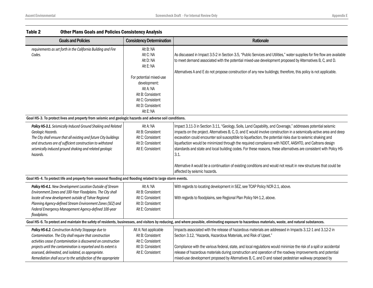| Table 2<br><b>Other Plans Goals and Policies Consistency Analysis</b>                                                                                                                                                                                                                                                 |                                                                                                                                                                                      |                                                                                                                                                                                                                                                                                                                                                                                                                                                                                                                                                                                                                                                                                                                                                 |
|-----------------------------------------------------------------------------------------------------------------------------------------------------------------------------------------------------------------------------------------------------------------------------------------------------------------------|--------------------------------------------------------------------------------------------------------------------------------------------------------------------------------------|-------------------------------------------------------------------------------------------------------------------------------------------------------------------------------------------------------------------------------------------------------------------------------------------------------------------------------------------------------------------------------------------------------------------------------------------------------------------------------------------------------------------------------------------------------------------------------------------------------------------------------------------------------------------------------------------------------------------------------------------------|
| <b>Goals and Policies</b>                                                                                                                                                                                                                                                                                             | <b>Consistency Determination</b>                                                                                                                                                     | Rationale                                                                                                                                                                                                                                                                                                                                                                                                                                                                                                                                                                                                                                                                                                                                       |
| requirements as set forth in the California Building and Fire<br>Codes.                                                                                                                                                                                                                                               | Alt B: NA<br>Alt C: NA<br>Alt D: NA<br>Alt E: NA<br>For potential mixed-use<br>development:<br>Alt A: NA<br>Alt B: Consistent<br>Alt C: Consistent<br>Alt D: Consistent<br>Alt E: NA | As discussed in Impact 3.5-2 in Section 3.5, "Public Services and Utilities," water supplies for fire flow are available<br>to meet demand associated with the potential mixed-use development proposed by Alternatives B, C, and D.<br>Alternatives A and E do not propose construction of any new buildings; therefore, this policy is not applicable.                                                                                                                                                                                                                                                                                                                                                                                        |
| Goal HS-3. To protect lives and property from seismic and geologic hazards and adverse soil conditions.                                                                                                                                                                                                               |                                                                                                                                                                                      |                                                                                                                                                                                                                                                                                                                                                                                                                                                                                                                                                                                                                                                                                                                                                 |
| Policy HS-3.1. Seismically Induced Ground Shaking and Related<br>Geologic Hazards.<br>The City shall ensure that all existing and future City buildings<br>and structures are of sufficient construction to withstand<br>seismically induced ground shaking and related geologic<br>hazards.                          | Alt A: NA<br>Alt B: Consistent<br>Alt C: Consistent<br>Alt D: Consistent<br>Alt E: Consistent                                                                                        | Impact 3.11-3 in Section 3.11, "Geology, Soils, Land Capability, and Coverage," addresses potential seismic<br>impacts on the project. Alternatives B, C, D, and E would involve construction in a seismically-active area and deep<br>excavation could encounter soil susceptible to liquefaction, the potential risks due to seismic shaking and<br>liquefaction would be minimized through the required compliance with NDOT, AASHTO, and Caltrans design<br>standards and state and local building codes. For these reasons, these alternatives are consistent with Policy HS-<br>3.1.<br>Alternative A would be a continuation of existing conditions and would not result in new structures that could be<br>affected by seismic hazards. |
| Goal HS-4. To protect life and property from seasonal flooding and flooding related to large storm events.                                                                                                                                                                                                            |                                                                                                                                                                                      |                                                                                                                                                                                                                                                                                                                                                                                                                                                                                                                                                                                                                                                                                                                                                 |
| Policy HS-4.1. New Development Location Outside of Stream<br>Environment Zones and 100-Year Floodplains. The City shall<br>locate all new development outside of Tahoe Regional<br>Planning Agency-defined Stream Environment Zones (SEZ) and<br>Federal Emergency Management Agency-defined 100-year<br>floodplains. | Alt A: NA<br>Alt B: Consistent<br>Alt C: Consistent<br>Alt D: Consistent<br>Alt E: Consistent                                                                                        | With regards to locating development in SEZ, see TCAP Policy NCR-2.1, above.<br>With regards to floodplains, see Regional Plan Policy NH-1.2, above.                                                                                                                                                                                                                                                                                                                                                                                                                                                                                                                                                                                            |
|                                                                                                                                                                                                                                                                                                                       |                                                                                                                                                                                      | Goal HS-6. To protect and maintain the safety of residents, businesses, and visitors by reducing, and where possible, eliminating exposure to hazardous materials, waste, and natural substances.                                                                                                                                                                                                                                                                                                                                                                                                                                                                                                                                               |
| Policy HS-6.2. Construction Activity Stoppage due to<br>Contamination. The City shall require that construction<br>activities cease if contamination is discovered on construction<br>projects until the contamination is reported and its extent is                                                                  | Alt A: Not applicable<br>Alt B: Consistent<br>Alt C: Consistent<br>Alt D: Consistent                                                                                                 | Impacts associated with the release of hazardous materials are addressed in Impacts 3.12-1 and 3.12-2 in<br>Section 3.12, "Hazards, Hazardous Materials, and Risk of Upset."<br>Compliance with the various federal, state, and local regulations would minimize the risk of a spill or accidental                                                                                                                                                                                                                                                                                                                                                                                                                                              |
| assessed, delineated, and isolated, as appropriate.<br>Remediation shall occur to the satisfaction of the appropriate                                                                                                                                                                                                 | Alt E: Consistent                                                                                                                                                                    | release of hazardous materials during construction and operation of the roadway improvements and potential<br>mixed-use development proposed by Alternatives B, C, and D and raised pedestrian walkway proposed by                                                                                                                                                                                                                                                                                                                                                                                                                                                                                                                              |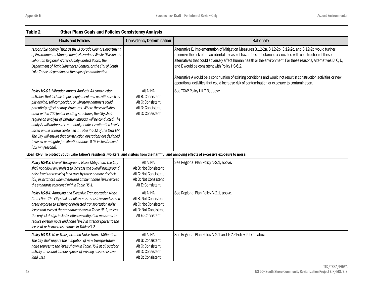| Table 2<br><b>Other Plans Goals and Policies Consistency Analysis</b> |                                                                                                                                                                                                                                                                                                                                                                                                                                                                                                                                                                                                                                                                         |                                                                                                           |                                                                                                                                                                                                                                                                                                                                                                                                                                                                                                                                                                                                                       |
|-----------------------------------------------------------------------|-------------------------------------------------------------------------------------------------------------------------------------------------------------------------------------------------------------------------------------------------------------------------------------------------------------------------------------------------------------------------------------------------------------------------------------------------------------------------------------------------------------------------------------------------------------------------------------------------------------------------------------------------------------------------|-----------------------------------------------------------------------------------------------------------|-----------------------------------------------------------------------------------------------------------------------------------------------------------------------------------------------------------------------------------------------------------------------------------------------------------------------------------------------------------------------------------------------------------------------------------------------------------------------------------------------------------------------------------------------------------------------------------------------------------------------|
|                                                                       | <b>Goals and Policies</b>                                                                                                                                                                                                                                                                                                                                                                                                                                                                                                                                                                                                                                               | <b>Consistency Determination</b>                                                                          | Rationale                                                                                                                                                                                                                                                                                                                                                                                                                                                                                                                                                                                                             |
|                                                                       | responsible agency (such as the El Dorado County Department<br>of Environmental Management, Hazardous Waste Division, the<br>Lahontan Regional Water Quality Control Board, the<br>Department of Toxic Substances Control, or the City of South<br>Lake Tahoe, depending on the type of contamination.                                                                                                                                                                                                                                                                                                                                                                  |                                                                                                           | Alternative E. Implementation of Mitigation Measures 3.12-2a, 3.12-2b, 3.12-2c, and 3.12-2d would further<br>minimize the risk of an accidental release of hazardous substances associated with construction of these<br>alternatives that could adversely affect human health or the environment. For these reasons, Alternatives B, C, D,<br>and E would be consistent with Policy HS-6.2.<br>Alternative A would be a continuation of existing conditions and would not result in construction activities or new<br>operational activities that could increase risk of contamination or exposure to contamination. |
| (0.5 mm/second).                                                      | Policy HS-6.3: Vibration Impact Analysis. All construction<br>activities that include impact equipment and activities such as<br>pile driving, soil compaction, or vibratory hammers could<br>potentially affect nearby structures. Where these activities<br>occur within 200 feet or existing structures, the City shall<br>require an analysis of vibration impacts will be conducted. The<br>analysis will address the potential for adverse vibration levels<br>based on the criteria contained in Table 4.6-12 of the Drat EIR.<br>The City will ensure that construction operations are designed<br>to avoid or mitigate for vibrations above 0.02 inches/second | Alt A: NA<br>Alt B: Consistent<br>Alt C: Consistent<br>Alt D: Consistent<br>Alt D: Consistent             | See TCAP Policy LU-7.3, above.                                                                                                                                                                                                                                                                                                                                                                                                                                                                                                                                                                                        |
|                                                                       |                                                                                                                                                                                                                                                                                                                                                                                                                                                                                                                                                                                                                                                                         |                                                                                                           | Goal HS-8. To protect South Lake Tahoe's residents, workers, and visitors from the harmful and annoying effects of excessive exposure to noise.                                                                                                                                                                                                                                                                                                                                                                                                                                                                       |
|                                                                       | Policy HS-8.3. Overall Background Noise Mitigation. The City<br>shall not allow any project to increase the overall background<br>noise levels at receiving land uses by three or more decibels<br>(dB) in instances when measured ambient noise levels exceed<br>the standards contained within Table HS-1.                                                                                                                                                                                                                                                                                                                                                            | Alt A: NA<br>Alt B: Not Consistent<br>Alt C: Not Consistent<br>Alt D: Not Consistent<br>Alt E: Consistent | See Regional Plan Policy N-2.1, above.                                                                                                                                                                                                                                                                                                                                                                                                                                                                                                                                                                                |
|                                                                       | Policy HS-8.4: Annoying and Excessive Transportation Noise<br>Protection. The City shall not allow noise-sensitive land uses in<br>areas exposed to existing or projected transportation noise<br>levels that exceed the standards shown in Table HS-2, unless<br>the project design includes effective mitigation measures to<br>reduce exterior noise and noise levels in interior spaces to the<br>levels at or below those shown in Table HS-2.                                                                                                                                                                                                                     | Alt A: NA<br>Alt B: Not Consistent<br>Alt C: Not Consistent<br>Alt D: Not Consistent<br>Alt E: Consistent | See Regional Plan Policy N-2.1, above.                                                                                                                                                                                                                                                                                                                                                                                                                                                                                                                                                                                |
| land uses.                                                            | Policy HS-8.5: New Transportation Noise Source Mitigation.<br>The City shall require the mitigation of new transportation<br>noise sources to the levels shown in Table HS-2 at all outdoor<br>activity areas and interior spaces of existing noise-sensitive                                                                                                                                                                                                                                                                                                                                                                                                           | Alt A: NA<br>Alt B: Consistent<br>Alt C: Consistent<br>Alt D: Consistent<br>Alt D: Consistent             | See Regional Plan Policy N-2.1 and TCAP Policy LU-7.2, above.                                                                                                                                                                                                                                                                                                                                                                                                                                                                                                                                                         |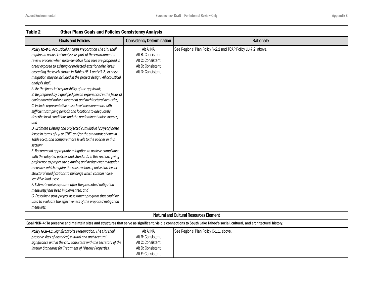| <b>Goals and Policies</b>                                                                                                                                                                                                                                                                                                                                                                                                                                                                                                                                                                                                                                                                                                                                                                                                                                                                                                                                                                                                                                                                                                                                                                                                                                                                                                                                                                                                                                                                                                                                                                                                                        | <b>Consistency Determination</b>                                                              | Rationale                                                     |
|--------------------------------------------------------------------------------------------------------------------------------------------------------------------------------------------------------------------------------------------------------------------------------------------------------------------------------------------------------------------------------------------------------------------------------------------------------------------------------------------------------------------------------------------------------------------------------------------------------------------------------------------------------------------------------------------------------------------------------------------------------------------------------------------------------------------------------------------------------------------------------------------------------------------------------------------------------------------------------------------------------------------------------------------------------------------------------------------------------------------------------------------------------------------------------------------------------------------------------------------------------------------------------------------------------------------------------------------------------------------------------------------------------------------------------------------------------------------------------------------------------------------------------------------------------------------------------------------------------------------------------------------------|-----------------------------------------------------------------------------------------------|---------------------------------------------------------------|
| Policy HS-8.6: Acoustical Analysis Preparation The City shall<br>require an acoustical analysis as part of the environmental<br>review process when noise-sensitive land uses are proposed in<br>areas exposed to existing or projected exterior noise levels<br>exceeding the levels shown in Tables HS-1 and HS-2, so noise<br>mitigation may be included in the project design. All acoustical<br>analysis shall:<br>A. Be the financial responsibility of the applicant;<br>B. Be prepared by a qualified person experienced in the fields of<br>environmental noise assessment and architectural acoustics;<br>C. Include representative noise level measurements with<br>sufficient sampling periods and locations to adequately<br>describe local conditions and the predominant noise sources;<br>and<br>D. Estimate existing and projected cumulative (20 year) noise<br>levels in terms of L <sub>dn</sub> or CNEL and/or the standards shown in<br>Table HS-1, and compare those levels to the policies in this<br>section;<br>E. Recommend appropriate mitigation to achieve compliance<br>with the adopted policies and standards in this section, giving<br>preference to proper site planning and design over mitigation<br>measures which require the construction of noise barriers or<br>structural modifications to buildings which contain noise-<br>sensitive land uses;<br>F. Estimate noise exposure after the prescribed mitigation<br>measure(s) has been implemented; and<br>G. Describe a post-project assessment program that could be<br>used to evaluate the effectiveness of the proposed mitigation<br>measures. | Alt A: NA<br>Alt B: Consistent<br>Alt C: Consistent<br>Alt D: Consistent<br>Alt D: Consistent | See Regional Plan Policy N-2.1 and TCAP Policy LU-7.2, above. |
|                                                                                                                                                                                                                                                                                                                                                                                                                                                                                                                                                                                                                                                                                                                                                                                                                                                                                                                                                                                                                                                                                                                                                                                                                                                                                                                                                                                                                                                                                                                                                                                                                                                  |                                                                                               | Notural and Cultural Decourses Flement                        |

#### Natural and Cultural Resources Element

| Goal NCR-4: To preserve and maintain sites and structures that serve as significant, visible connections to South Lake Tahoe's social, cultural, and architectural history. |   |   |  |  |  |
|-----------------------------------------------------------------------------------------------------------------------------------------------------------------------------|---|---|--|--|--|
| 그 사람들은 그 사람들은 그 사람들을 지르며 그 사람들을 지르며 그 사람들을 지르며 그 사람들을 지르며 그 사람들을 지르며 그 사람들을 지르며 그 사람들을 지르며 그 사람들을 지르며 그 사람들을 지르며 그 사                                                        | . | . |  |  |  |

| <b>Policy NCR-4.1.</b> Significant Site Preservation. The City shall | Alt A: NA         | See Regional Plan Policy C-1.1, above. |
|----------------------------------------------------------------------|-------------------|----------------------------------------|
| preserve sites of historical, cultural and architectural             | Alt B: Consistent |                                        |
| significance within the city, consistent with the Secretary of the   | Alt C: Consistent |                                        |
| Interior Standards for Treatment of Historic Properties.             | Alt D: Consistent |                                        |
|                                                                      | Alt E: Consistent |                                        |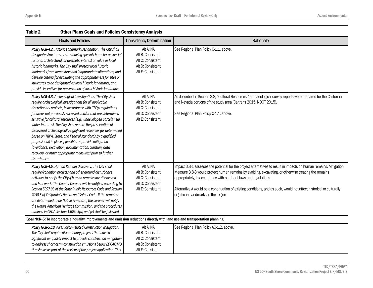| <b>Goals and Policies</b>                                                                                                                                                                                                                                                                                                                                                                                                                                                                                                                                                                                                                                                                                                      | <b>Consistency Determination</b>                                                              | Rationale                                                                                                                                                                                                                                                                                                                                                                                                                                                       |
|--------------------------------------------------------------------------------------------------------------------------------------------------------------------------------------------------------------------------------------------------------------------------------------------------------------------------------------------------------------------------------------------------------------------------------------------------------------------------------------------------------------------------------------------------------------------------------------------------------------------------------------------------------------------------------------------------------------------------------|-----------------------------------------------------------------------------------------------|-----------------------------------------------------------------------------------------------------------------------------------------------------------------------------------------------------------------------------------------------------------------------------------------------------------------------------------------------------------------------------------------------------------------------------------------------------------------|
| Policy NCR-4.2. Historic Landmark Designation. The City shall<br>designate structures or sites having special character or special<br>historic, architectural, or aesthetic interest or value as local<br>historic landmarks. The City shall protect local historic<br>landmarks from demolition and inappropriate alterations, and<br>develop criteria for evaluating the appropriateness for sites or<br>structures to be designated as local historic landmarks, and<br>provide incentives for preservation of local historic landmarks.                                                                                                                                                                                    | Alt A: NA<br>Alt B: Consistent<br>Alt C: Consistent<br>Alt D: Consistent<br>Alt E: Consistent | See Regional Plan Policy C-1.1, above.                                                                                                                                                                                                                                                                                                                                                                                                                          |
| Policy NCR-4.3. Archeological Investigations. The City shall<br>require archeological investigations for all applicable<br>discretionary projects, in accordance with CEQA regulations,<br>for areas not previously surveyed and/or that are determined<br>sensitive for cultural resources (e.g., undeveloped parcels near<br>water features). The City shall require the preservation of<br>discovered archeologically-significant resources (as determined<br>based on TRPA, State, and Federal standards by a qualified<br>professional) in place if feasible, or provide mitigation<br>(avoidance, excavation, documentation, curation, data<br>recovery, or other appropriate measures) prior to further<br>disturbance. | Alt A: NA<br>Alt B: Consistent<br>Alt C: Consistent<br>Alt D: Consistent<br>Alt E: Consistent | As described in Section 3.8, "Cultural Resources," archaeological survey reports were prepared for the California<br>and Nevada portions of the study area (Caltrans 2015, NDOT 2015).<br>See Regional Plan Policy C-1.1, above.                                                                                                                                                                                                                                |
| Policy NCR-4.5. Human Remain Discovery. The City shall<br>require/condition projects and other ground disturbance<br>activities to notify the City if human remains are discovered<br>and halt work. The County Coroner will be notified according to<br>Section 5097.98 of the State Public Resources Code and Section<br>7050.5 of California's Health and Safety Code. If the remains<br>are determined to be Native American, the coroner will notify<br>the Native American Heritage Commission, and the procedures<br>outlined in CEQA Section 15064.5(d) and (e) shall be followed.                                                                                                                                     | Alt A: NA<br>Alt B: Consistent<br>Alt C: Consistent<br>Alt D: Consistent<br>Alt E: Consistent | Impact 3.8-1 assesses the potential for the project alternatives to result in impacts on human remains. Mitigation<br>Measure 3.8-3 would protect human remains by avoiding, excavating, or otherwise treating the remains<br>appropriately, in accordance with pertinent laws and regulations.<br>Alternative A would be a continuation of existing conditions, and as such, would not affect historical or culturally<br>significant landmarks in the region. |
| Goal NCR-5: To incorporate air quality improvements and emission reductions directly with land use and transportation planning.                                                                                                                                                                                                                                                                                                                                                                                                                                                                                                                                                                                                |                                                                                               |                                                                                                                                                                                                                                                                                                                                                                                                                                                                 |
| Policy NCR-5.10. Air Quality-Related Construction Mitigation:<br>The City shall require discretionary projects that have a<br>significant air quality impact to provide construction mitigation<br>to address short-term construction emissions below EDCAQMD<br>thresholds as part of the review of the project application. This                                                                                                                                                                                                                                                                                                                                                                                             | Alt A: NA<br>Alt B: Consistent<br>Alt C: Consistent<br>Alt D: Consistent<br>Alt E: Consistent | See Regional Plan Policy AQ-1.2, above.                                                                                                                                                                                                                                                                                                                                                                                                                         |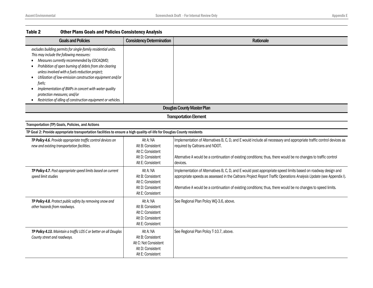| <b>Goals and Policies</b>                                                                                                                                                                                                                                                                                                                                                                                                                                                                             | <b>Consistency Determination</b>                                                                  | <b>Rationale</b>                                                                                                                                                                                                                                                                                                                                      |
|-------------------------------------------------------------------------------------------------------------------------------------------------------------------------------------------------------------------------------------------------------------------------------------------------------------------------------------------------------------------------------------------------------------------------------------------------------------------------------------------------------|---------------------------------------------------------------------------------------------------|-------------------------------------------------------------------------------------------------------------------------------------------------------------------------------------------------------------------------------------------------------------------------------------------------------------------------------------------------------|
| excludes building permits for single-family residential units.<br>This may include the following measures:<br>Measures currently recommended by EDCAQMD;<br>Prohibition of open burning of debris from site clearing<br>unless involved with a fuels reduction project;<br>Utilization of low-emission construction equipment and/or<br>fuels;<br>Implementation of BMPs in concert with water quality<br>protection measures; and/or<br>Restriction of idling of construction equipment or vehicles. |                                                                                                   |                                                                                                                                                                                                                                                                                                                                                       |
|                                                                                                                                                                                                                                                                                                                                                                                                                                                                                                       |                                                                                                   | <b>Douglas County Master Plan</b>                                                                                                                                                                                                                                                                                                                     |
|                                                                                                                                                                                                                                                                                                                                                                                                                                                                                                       |                                                                                                   | <b>Transportation Element</b>                                                                                                                                                                                                                                                                                                                         |
| Transportation (TP) Goals, Policies, and Actions                                                                                                                                                                                                                                                                                                                                                                                                                                                      |                                                                                                   |                                                                                                                                                                                                                                                                                                                                                       |
| TP Goal 2: Provide appropriate transportation facilities to ensure a high quality-of-life for Douglas County residents                                                                                                                                                                                                                                                                                                                                                                                |                                                                                                   |                                                                                                                                                                                                                                                                                                                                                       |
| TP Policy 4.6. Provide appropriate traffic control devices on<br>new and existing transportation facilities.                                                                                                                                                                                                                                                                                                                                                                                          | Alt A: NA<br>Alt B: Consistent<br>Alt C: Consistent<br>Alt D: Consistent<br>Alt E: Consistent     | Implementation of Alternatives B, C, D, and E would include all necessary and appropriate traffic control devices as<br>required by Caltrans and NDOT.<br>Alternative A would be a continuation of existing conditions; thus, there would be no changes to traffic control<br>devices.                                                                |
| TP Policy 4.7. Post appropriate speed limits based on current<br>speed limit studies                                                                                                                                                                                                                                                                                                                                                                                                                  | Alt A: NA<br>Alt B: Consistent<br>Alt C: Consistent<br>Alt D: Consistent<br>Alt E: Consistent     | Implementation of Alternatives B, C, D, and E would post appropriate speed limits based on roadway design and<br>appropriate speeds as assessed in the Caltrans Project Report Traffic Operations Analysis Update (see Appendix I).<br>Alternative A would be a continuation of existing conditions; thus, there would be no changes to speed limits. |
| TP Policy 4.8. Protect public safety by removing snow and<br>other hazards from roadways.                                                                                                                                                                                                                                                                                                                                                                                                             | Alt A: NA<br>Alt B: Consistent<br>Alt C: Consistent<br>Alt D: Consistent<br>Alt E: Consistent     | See Regional Plan Policy WQ-3.6, above.                                                                                                                                                                                                                                                                                                               |
| TP Policy 4.13. Maintain a traffic LOS C or better on all Douglas<br>County street and roadways.                                                                                                                                                                                                                                                                                                                                                                                                      | Alt A: NA<br>Alt B: Consistent<br>Alt C: Not Consistent<br>Alt D: Consistent<br>Alt E: Consistent | See Regional Plan Policy T-10.7, above.                                                                                                                                                                                                                                                                                                               |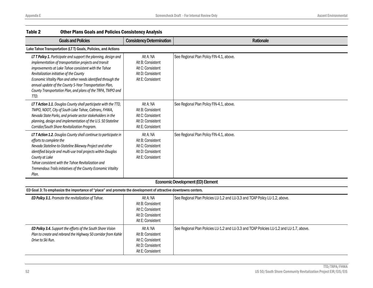| LAVIG 4<br>ULIICI FIAIIS QUAIS AIIU FUILICS CUIISISLEILLY AIIAIYSIS                                                                                                                                                                                                                                                                                                                                                           |                                                                                               |                                                                                          |
|-------------------------------------------------------------------------------------------------------------------------------------------------------------------------------------------------------------------------------------------------------------------------------------------------------------------------------------------------------------------------------------------------------------------------------|-----------------------------------------------------------------------------------------------|------------------------------------------------------------------------------------------|
| <b>Goals and Policies</b>                                                                                                                                                                                                                                                                                                                                                                                                     | <b>Consistency Determination</b>                                                              | Rationale                                                                                |
| Lake Tahoe Transportation (LTT) Goals, Policies, and Actions                                                                                                                                                                                                                                                                                                                                                                  |                                                                                               |                                                                                          |
| LTT Policy 1. Participate and support the planning, design and<br>implementation of transportation projects and transit<br>improvements at Lake Tahoe consistent with the Tahoe<br>Revitalization initiative of the County<br>Economic Vitality Plan and other needs identified through the<br>annual update of the County 5-Year Transportation Plan,<br>County Transportation Plan, and plans of the TRPA, TMPO and<br>TTD. | Alt A: NA<br>Alt B: Consistent<br>Alt C: Consistent<br>Alt D: Consistent<br>Alt E: Consistent | See Regional Plan Policy FIN-4.1, above.                                                 |
| LT T Action 1.1. Douglas County shall participate with the TTD,<br>TMPO, NDOT, City of South Lake Tahoe, Caltrans, FHWA,<br>Nevada State Parks, and private sector stakeholders in the<br>planning, design and implementation of the U.S. 50 Stateline<br>Corridor/South Shore Revitalization Program.                                                                                                                        | Alt A: NA<br>Alt B: Consistent<br>Alt C: Consistent<br>Alt D: Consistent<br>Alt E: Consistent | See Regional Plan Policy FIN-4.1, above.                                                 |
| LT T Action 1.2. Douglas County shall continue to participate in<br>efforts to complete the<br>Nevada Stateline-to-Stateline Bikeway Project and other<br>identified bicycle and multi-use trail projects within Douglas<br>County at Lake<br>Tahoe consistent with the Tahoe Revitalization and<br>Tremendous Trails initiatives of the County Economic Vitality<br>Plan.                                                    | Alt A: NA<br>Alt B: Consistent<br>Alt C: Consistent<br>Alt D: Consistent<br>Alt E: Consistent | See Regional Plan Policy FIN-4.1, above.                                                 |
|                                                                                                                                                                                                                                                                                                                                                                                                                               |                                                                                               | <b>Economic Development (ED) Element</b>                                                 |
| ED Goal 3: To emphasize the importance of "place" and promote the development of attractive downtowns centers.                                                                                                                                                                                                                                                                                                                |                                                                                               |                                                                                          |
| ED Policy 3.1. Promote the revitalization of Tahoe.                                                                                                                                                                                                                                                                                                                                                                           | Alt A: NA<br>Alt B: Consistent<br>Alt C: Consistent<br>Alt D: Consistent<br>Alt E: Consistent | See Regional Plan Policies LU-1.2 and LU-3.3 and TCAP Policy LU-1.2, above.              |
| ED Policy 3.4. Support the efforts of the South Shore Vision<br>Plan to create and rebrand the Highway 50 corridor from Kahle<br>Drive to Ski Run.                                                                                                                                                                                                                                                                            | Alt A: NA<br>Alt B: Consistent<br>Alt C: Consistent<br>Alt D: Consistent<br>Alt E: Consistent | See Regional Plan Policies LU-1.2 and LU-3.3 and TCAP Policies LU-1.2 and LU-1.7, above. |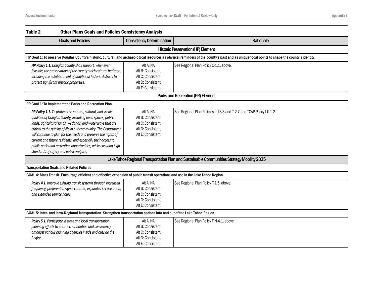| Table 2<br><b>Other Plans Goals and Policies Consistency Analysis</b>                                                                                                                                                                                                                                                                                                                                                                                                                                       |                                                                                               |                                                                                                                                                                                                |
|-------------------------------------------------------------------------------------------------------------------------------------------------------------------------------------------------------------------------------------------------------------------------------------------------------------------------------------------------------------------------------------------------------------------------------------------------------------------------------------------------------------|-----------------------------------------------------------------------------------------------|------------------------------------------------------------------------------------------------------------------------------------------------------------------------------------------------|
| <b>Goals and Policies</b>                                                                                                                                                                                                                                                                                                                                                                                                                                                                                   | <b>Consistency Determination</b>                                                              | Rationale                                                                                                                                                                                      |
|                                                                                                                                                                                                                                                                                                                                                                                                                                                                                                             |                                                                                               | <b>Historic Preservation (HP) Element</b>                                                                                                                                                      |
|                                                                                                                                                                                                                                                                                                                                                                                                                                                                                                             |                                                                                               | HP Goal 1: To preserve Douglas County's historic, cultural, and archaeological resources as physical reminders of the county's past and as unique focal points to shape the county's identity. |
| HP Policy 1.1. Douglas County shall support, whenever<br>feasible, the preservation of the county's rich cultural heritage,<br>including the establishment of additional historic districts to<br>protect significant historic properties.                                                                                                                                                                                                                                                                  | Alt A: NA<br>Alt B: Consistent<br>Alt C: Consistent<br>Alt D: Consistent<br>Alt E: Consistent | See Regional Plan Policy C-1.1, above.                                                                                                                                                         |
|                                                                                                                                                                                                                                                                                                                                                                                                                                                                                                             |                                                                                               | Parks and Recreation (PR) Element                                                                                                                                                              |
| PR Goal 1: To implement the Parks and Recreation Plan.                                                                                                                                                                                                                                                                                                                                                                                                                                                      |                                                                                               |                                                                                                                                                                                                |
| PR Policy 1.1. To protect the natural, cultural, and scenic<br>qualities of Douglas County, including open spaces, public<br>lands, agricultural lands, wetlands, and waterways that are<br>critical to the quality of life in our community. The Department<br>will continue to plan for the needs and preserve the rights of<br>current and future residents, and especially their access to<br>public parks and recreation opportunities, while ensuring high<br>standards of safety and public welfare. | Alt A: NA<br>Alt B: Consistent<br>Alt C: Consistent<br>Alt D: Consistent<br>Alt E: Consistent | See Regional Plan Policies LU-3.3 and T-2.7 and TCAP Policy LU-1.2.                                                                                                                            |
|                                                                                                                                                                                                                                                                                                                                                                                                                                                                                                             |                                                                                               | Lake Tahoe Regional Transportation Plan and Sustainable Communities Strategy Mobility 2035                                                                                                     |
| <b>Transportation Goals and Related Policies</b>                                                                                                                                                                                                                                                                                                                                                                                                                                                            |                                                                                               |                                                                                                                                                                                                |
| GOAL 4: Mass Transit. Encourage efficient and effective expansion of public transit operations and use in the Lake Tahoe Region.                                                                                                                                                                                                                                                                                                                                                                            |                                                                                               |                                                                                                                                                                                                |
| Policy 4.1. Improve existing transit systems through increased<br>frequency, preferential signal controls, expanded service areas,<br>and extended service hours.                                                                                                                                                                                                                                                                                                                                           | Alt A: NA<br>Alt B: Consistent<br>Alt C: Consistent<br>Alt D: Consistent<br>Alt E: Consistent | See Regional Plan Policy T-1.5, above.                                                                                                                                                         |
| GOAL 5: Inter- and Intra-Regional Transportation. Strengthen transportation options into and out of the Lake Tahoe Region.                                                                                                                                                                                                                                                                                                                                                                                  |                                                                                               |                                                                                                                                                                                                |
| Policy 5.1. Participate in state and local transportation<br>planning efforts to ensure coordination and consistency<br>amongst various planning agencies inside and outside the<br>Region.                                                                                                                                                                                                                                                                                                                 | Alt A: NA<br>Alt B: Consistent<br>Alt C: Consistent<br>Alt D: Consistent<br>Alt E: Consistent | See Regional Plan Policy FIN-4.1, above.                                                                                                                                                       |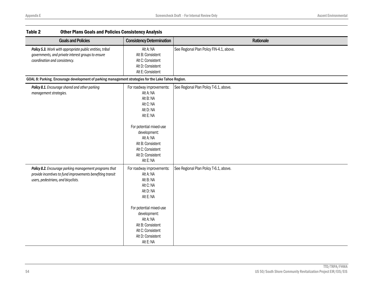| LANIC 4<br><u>ULIIEI FIAIIS QUAIS AIIU FUILLES CUIISISLEILLY AIIAIYSIS</u>                                                                                  |                                                                                                                                                                                                                                |                                          |
|-------------------------------------------------------------------------------------------------------------------------------------------------------------|--------------------------------------------------------------------------------------------------------------------------------------------------------------------------------------------------------------------------------|------------------------------------------|
| <b>Goals and Policies</b>                                                                                                                                   | <b>Consistency Determination</b>                                                                                                                                                                                               | Rationale                                |
| Policy 5.3. Work with appropriate public entities, tribal<br>governments, and private interest groups to ensure<br>coordination and consistency.            | Alt A: NA<br>Alt B: Consistent<br>Alt C: Consistent<br>Alt D: Consistent<br>Alt E: Consistent                                                                                                                                  | See Regional Plan Policy FIN-4.1, above. |
| GOAL 8: Parking. Encourage development of parking management strategies for the Lake Tahoe Region.                                                          |                                                                                                                                                                                                                                |                                          |
| Policy 8.1. Encourage shared and other parking<br>management strategies.                                                                                    | For roadway improvements:<br>Alt A: NA<br>Alt B: NA<br>Alt C: NA<br>Alt D: NA<br>Alt E: NA<br>For potential mixed-use<br>development:<br>Alt A: NA<br>Alt B: Consistent<br>Alt C: Consistent<br>Alt D: Consistent<br>Alt E: NA | See Regional Plan Policy T-6.1, above.   |
| Policy 8.2. Encourage parking management programs that<br>provide incentives to fund improvements benefiting transit<br>users, pedestrians, and bicyclists. | For roadway improvements:<br>Alt A: NA<br>Alt B: NA<br>Alt C: NA<br>Alt D: NA<br>Alt E: NA<br>For potential mixed-use<br>development:<br>Alt A: NA<br>Alt B: Consistent<br>Alt C: Consistent<br>Alt D: Consistent<br>Alt E: NA | See Regional Plan Policy T-6.1, above.   |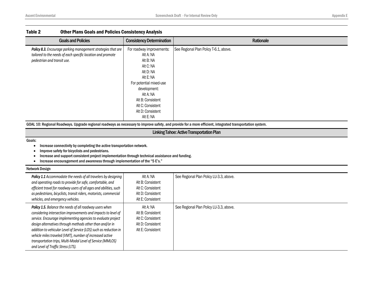| See Regional Plan Policy T-6.1, above.<br>For roadway improvements:<br>Policy 8.3. Encourage parking management strategies that are<br>tailored to the needs of each specific location and promote<br>Alt A: NA<br>pedestrian and transit use.<br>Alt B: NA<br>Alt C: NA<br>Alt D: NA<br>Alt E: NA<br>For potential mixed-use<br>development:<br>Alt A: NA<br>Alt B: Consistent | <b>Goals and Policies</b> | <b>Consistency Determination</b> | Rationale |
|---------------------------------------------------------------------------------------------------------------------------------------------------------------------------------------------------------------------------------------------------------------------------------------------------------------------------------------------------------------------------------|---------------------------|----------------------------------|-----------|
| Alt D: Consistent                                                                                                                                                                                                                                                                                                                                                               |                           | Alt C: Consistent                |           |

GOAL 10: Regional Roadways. Upgrade regional roadways as necessary to improve safety, and provide for a more efficient, integrated transportation system.

## Linking Tahoe: Active Transportation Plan

#### Goals:

- Increase connectivity by completing the active transportation network.
- Improve safety for bicyclists and pedestrians.
- Increase and support consistent project implementation through technical assistance and funding.
- Increase encouragement and awareness through implementation of the "5 E's."

#### Network Design  $\blacksquare$

| <b>Policy 1.1</b> Accommodate the needs of all travelers by designing<br>and operating roads to provide for safe, comfortable, and<br>efficient travel for roadway users of all ages and abilities, such<br>as pedestrians, bicyclists, transit riders, motorists, commercial<br>vehicles, and emergency vehicles.                                                                                                                                                                        | Alt A: NA<br>Alt B: Consistent<br>Alt C: Consistent<br>Alt D: Consistent<br>Alt E: Consistent | See Regional Plan Policy LU-3.3, above. |
|-------------------------------------------------------------------------------------------------------------------------------------------------------------------------------------------------------------------------------------------------------------------------------------------------------------------------------------------------------------------------------------------------------------------------------------------------------------------------------------------|-----------------------------------------------------------------------------------------------|-----------------------------------------|
| Policy 1.5. Balance the needs of all roadway users when<br>considering intersection improvements and impacts to level of<br>service. Encourage implementing agencies to evaluate project<br>design alternatives through methods other than and/or in<br>addition to vehicular Level of Service (LOS) such as reduction in<br>vehicle miles traveled (VMT), number of increased active<br>transportation trips, Multi-Modal Level of Service (MMLOS)<br>and Level of Traffic Stress (LTS). | Alt A: NA<br>Alt B: Consistent<br>Alt C: Consistent<br>Alt D: Consistent<br>Alt E: Consistent | See Regional Plan Policy LU-3.3, above. |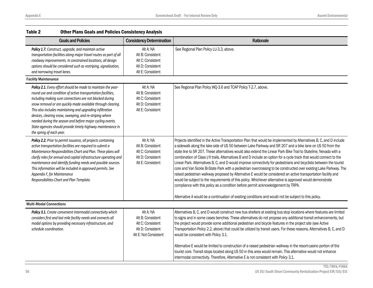| Table 2<br><b>Other Plans Goals and Policies Consistency Analysis</b>                                                                                                                                                                                                                                                                                                                                                                                                                                                                     |                                                                                                   |                                                                                                                                                                                                                                                                                                                                                                                                                                                                                                                                                                                                                                                                                                                                                                                                                                                                                                                                                                                                                                                                                                                                                       |
|-------------------------------------------------------------------------------------------------------------------------------------------------------------------------------------------------------------------------------------------------------------------------------------------------------------------------------------------------------------------------------------------------------------------------------------------------------------------------------------------------------------------------------------------|---------------------------------------------------------------------------------------------------|-------------------------------------------------------------------------------------------------------------------------------------------------------------------------------------------------------------------------------------------------------------------------------------------------------------------------------------------------------------------------------------------------------------------------------------------------------------------------------------------------------------------------------------------------------------------------------------------------------------------------------------------------------------------------------------------------------------------------------------------------------------------------------------------------------------------------------------------------------------------------------------------------------------------------------------------------------------------------------------------------------------------------------------------------------------------------------------------------------------------------------------------------------|
| <b>Goals and Policies</b>                                                                                                                                                                                                                                                                                                                                                                                                                                                                                                                 | <b>Consistency Determination</b>                                                                  | Rationale                                                                                                                                                                                                                                                                                                                                                                                                                                                                                                                                                                                                                                                                                                                                                                                                                                                                                                                                                                                                                                                                                                                                             |
| Policy 1.7. Construct, upgrade, and maintain active<br>transportation facilities along major travel routes as part of all<br>roadway improvements. In constrained locations, all design<br>options should be considered such as restriping, signalization,<br>and narrowing travel lanes.                                                                                                                                                                                                                                                 | Alt A: NA<br>Alt B: Consistent<br>Alt C: Consistent<br>Alt D: Consistent<br>Alt E: Consistent     | See Regional Plan Policy LU-3.3, above.                                                                                                                                                                                                                                                                                                                                                                                                                                                                                                                                                                                                                                                                                                                                                                                                                                                                                                                                                                                                                                                                                                               |
| <b>Facility Maintenance</b>                                                                                                                                                                                                                                                                                                                                                                                                                                                                                                               |                                                                                                   |                                                                                                                                                                                                                                                                                                                                                                                                                                                                                                                                                                                                                                                                                                                                                                                                                                                                                                                                                                                                                                                                                                                                                       |
| Policy 2.1. Every effort should be made to maintain the year-<br>round use and condition of active transportation facilities,<br>including making sure connections are not blocked during<br>snow removal or are quickly made available through clearing.<br>This also includes maintaining and upgrading infiltration<br>devices, clearing snow, sweeping, and re-striping where<br>needed during the season and before major cycling events.<br>State agencies should provide timely highway maintenance in<br>the spring of each year. | Alt A: NA<br>Alt B: Consistent<br>Alt C: Consistent<br>Alt D: Consistent<br>Alt E: Consistent     | See Regional Plan Policy WQ-3.6 and TCAP Policy T-2.7, above.                                                                                                                                                                                                                                                                                                                                                                                                                                                                                                                                                                                                                                                                                                                                                                                                                                                                                                                                                                                                                                                                                         |
| Policy 2.2. Prior to permit issuance, all projects containing<br>active transportation facilities are required to submit a<br>Maintenance Responsibilities Chart and Plan. These plans will<br>clarify roles for annual and capital infrastructure operating and<br>maintenance and identify funding needs and possible sources.<br>This information will be included in approved permits. See<br>Appendix F, for Maintenance<br>Responsibilities Chart and Plan Template.                                                                | Alt A: NA<br>Alt B: Consistent<br>Alt C: Consistent<br>Alt D: Consistent<br>Alt E: Consistent     | Projects identified in the Active Transportation Plan that would be implemented by Alternatives B, C, and D include<br>a sidewalk along the lake side of US 50 between Lake Parkway and SR 207 and a bike lane on US 50 from the<br>state line to SR 207. These alternatives would also extend the Linear Park Bike Trail to Stateline, Nevada with a<br>combination of Class I/II trails. Alternatives B and D include an option for a cycle track that would connect to the<br>Linear Park. Alternatives B, C, and D would improve connectivity for pedestrians and bicyclists between the tourist<br>core and Van Sickle Bi-State Park with a pedestrian overcrossing to be constructed over existing Lake Parkway. The<br>raised pedestrian walkway proposed by Alternative E would be considered an active transportation facility and<br>would be subject to the requirements of this policy. Whichever alternative is approved would demonstrate<br>compliance with this policy as a condition before permit acknowledgement by TRPA.<br>Alternative A would be a continuation of existing conditions and would not be subject to this policy. |
| <b>Multi-Modal Connections</b>                                                                                                                                                                                                                                                                                                                                                                                                                                                                                                            |                                                                                                   |                                                                                                                                                                                                                                                                                                                                                                                                                                                                                                                                                                                                                                                                                                                                                                                                                                                                                                                                                                                                                                                                                                                                                       |
| Policy 3.1. Create convenient intermodal connectivity which<br>considers first and last mile facility needs and connects all<br>modal options by providing necessary infrastructure, and<br>schedule coordination.                                                                                                                                                                                                                                                                                                                        | Alt A: NA<br>Alt B: Consistent<br>Alt C: Consistent<br>Alt D: Consistent<br>Alt E: Not Consistent | Alternatives B, C, and D would construct new bus shelters at existing bus stop locations where features are limited<br>to signs and in some cases benches. These alternatives do not propose any additional transit enhancements, but<br>the project would provide some additional pedestrian and bicycle features in the project site (see Active<br>Transportation Policy 2.2, above) that could be utilized by transit users. For these reasons, Alternatives B, C, and D<br>would be consistent with Policy 3.1.<br>Alternative E would be limited to construction of a raised pedestrian walkway in the resort-casino portion of the<br>tourist core. Transit stops located along US 50 in this area would remain. This alternative would not enhance<br>intermodal connectivity. Therefore, Alternative E is not consistent with Policy 3.1.                                                                                                                                                                                                                                                                                                    |